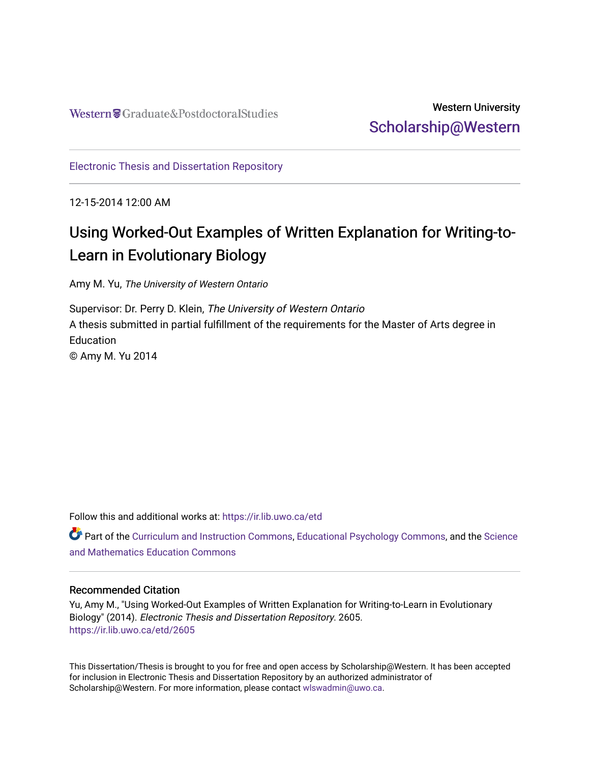## Western University [Scholarship@Western](https://ir.lib.uwo.ca/)

[Electronic Thesis and Dissertation Repository](https://ir.lib.uwo.ca/etd)

12-15-2014 12:00 AM

# Using Worked-Out Examples of Written Explanation for Writing-to-Learn in Evolutionary Biology

Amy M. Yu, The University of Western Ontario

Supervisor: Dr. Perry D. Klein, The University of Western Ontario A thesis submitted in partial fulfillment of the requirements for the Master of Arts degree in **Education** © Amy M. Yu 2014

Follow this and additional works at: [https://ir.lib.uwo.ca/etd](https://ir.lib.uwo.ca/etd?utm_source=ir.lib.uwo.ca%2Fetd%2F2605&utm_medium=PDF&utm_campaign=PDFCoverPages) 

Part of the [Curriculum and Instruction Commons,](http://network.bepress.com/hgg/discipline/786?utm_source=ir.lib.uwo.ca%2Fetd%2F2605&utm_medium=PDF&utm_campaign=PDFCoverPages) [Educational Psychology Commons,](http://network.bepress.com/hgg/discipline/798?utm_source=ir.lib.uwo.ca%2Fetd%2F2605&utm_medium=PDF&utm_campaign=PDFCoverPages) and the [Science](http://network.bepress.com/hgg/discipline/800?utm_source=ir.lib.uwo.ca%2Fetd%2F2605&utm_medium=PDF&utm_campaign=PDFCoverPages)  [and Mathematics Education Commons](http://network.bepress.com/hgg/discipline/800?utm_source=ir.lib.uwo.ca%2Fetd%2F2605&utm_medium=PDF&utm_campaign=PDFCoverPages) 

### Recommended Citation

Yu, Amy M., "Using Worked-Out Examples of Written Explanation for Writing-to-Learn in Evolutionary Biology" (2014). Electronic Thesis and Dissertation Repository. 2605. [https://ir.lib.uwo.ca/etd/2605](https://ir.lib.uwo.ca/etd/2605?utm_source=ir.lib.uwo.ca%2Fetd%2F2605&utm_medium=PDF&utm_campaign=PDFCoverPages)

This Dissertation/Thesis is brought to you for free and open access by Scholarship@Western. It has been accepted for inclusion in Electronic Thesis and Dissertation Repository by an authorized administrator of Scholarship@Western. For more information, please contact [wlswadmin@uwo.ca.](mailto:wlswadmin@uwo.ca)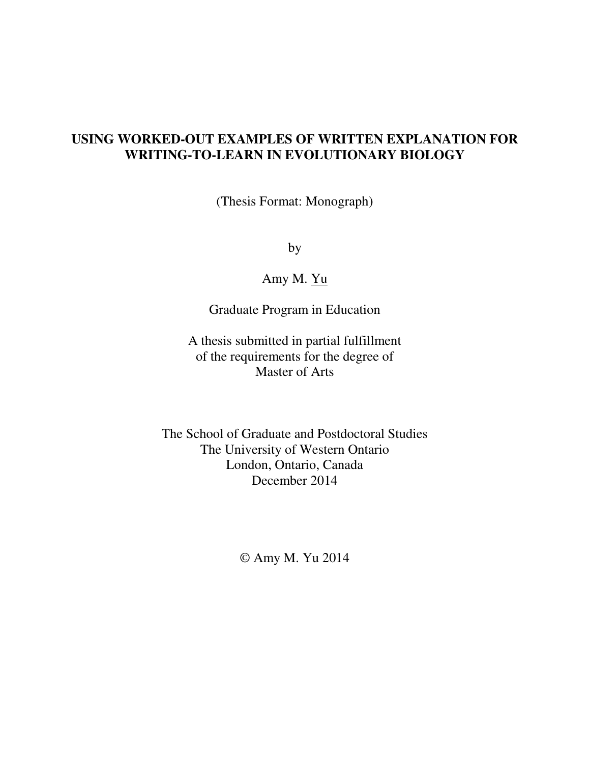## **USING WORKED-OUT EXAMPLES OF WRITTEN EXPLANATION FOR WRITING-TO-LEARN IN EVOLUTIONARY BIOLOGY**

(Thesis Format: Monograph)

by

Amy M. Yu

Graduate Program in Education

A thesis submitted in partial fulfillment of the requirements for the degree of Master of Arts

The School of Graduate and Postdoctoral Studies The University of Western Ontario London, Ontario, Canada December 2014

© Amy M. Yu 2014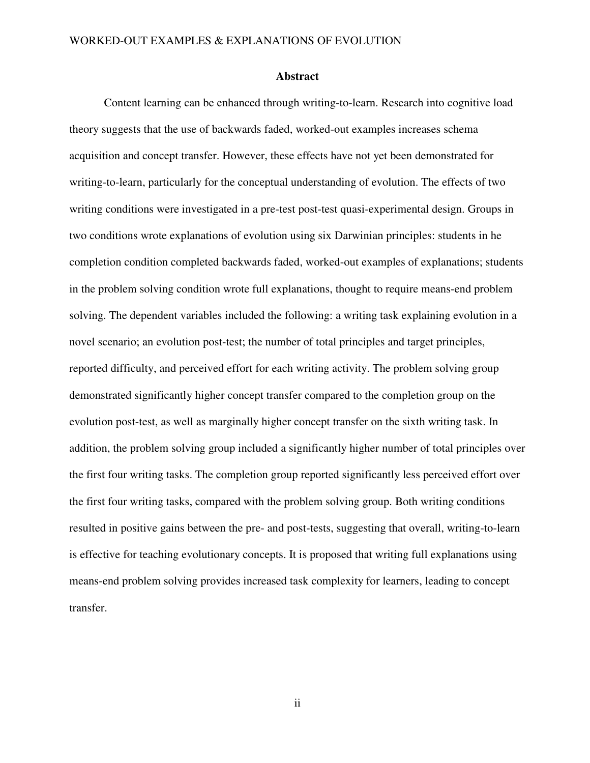#### **Abstract**

Content learning can be enhanced through writing-to-learn. Research into cognitive load theory suggests that the use of backwards faded, worked-out examples increases schema acquisition and concept transfer. However, these effects have not yet been demonstrated for writing-to-learn, particularly for the conceptual understanding of evolution. The effects of two writing conditions were investigated in a pre-test post-test quasi-experimental design. Groups in two conditions wrote explanations of evolution using six Darwinian principles: students in he completion condition completed backwards faded, worked-out examples of explanations; students in the problem solving condition wrote full explanations, thought to require means-end problem solving. The dependent variables included the following: a writing task explaining evolution in a novel scenario; an evolution post-test; the number of total principles and target principles, reported difficulty, and perceived effort for each writing activity. The problem solving group demonstrated significantly higher concept transfer compared to the completion group on the evolution post-test, as well as marginally higher concept transfer on the sixth writing task. In addition, the problem solving group included a significantly higher number of total principles over the first four writing tasks. The completion group reported significantly less perceived effort over the first four writing tasks, compared with the problem solving group. Both writing conditions resulted in positive gains between the pre- and post-tests, suggesting that overall, writing-to-learn is effective for teaching evolutionary concepts. It is proposed that writing full explanations using means-end problem solving provides increased task complexity for learners, leading to concept transfer.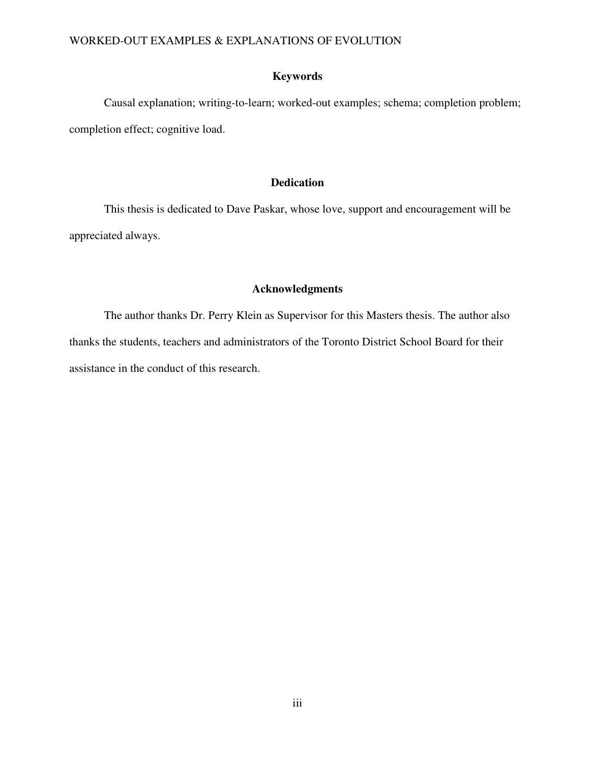## **Keywords**

Causal explanation; writing-to-learn; worked-out examples; schema; completion problem; completion effect; cognitive load.

## **Dedication**

 This thesis is dedicated to Dave Paskar, whose love, support and encouragement will be appreciated always.

## **Acknowledgments**

The author thanks Dr. Perry Klein as Supervisor for this Masters thesis. The author also thanks the students, teachers and administrators of the Toronto District School Board for their assistance in the conduct of this research.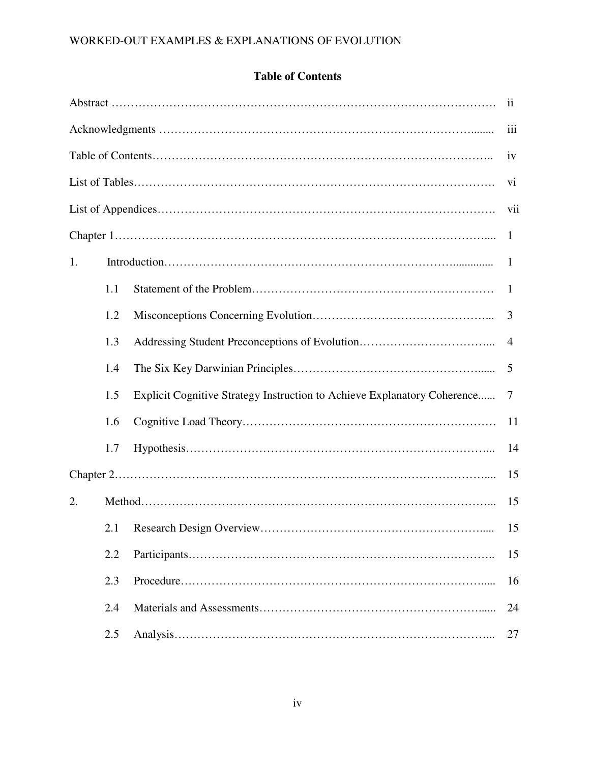## **Table of Contents**

| $\overline{\mathbf{u}}$ |     |                                                                          |                |  |  |
|-------------------------|-----|--------------------------------------------------------------------------|----------------|--|--|
|                         |     |                                                                          |                |  |  |
|                         | iv  |                                                                          |                |  |  |
|                         |     |                                                                          |                |  |  |
|                         | vii |                                                                          |                |  |  |
|                         |     |                                                                          | 1              |  |  |
| 1.                      |     |                                                                          | $\mathbf{1}$   |  |  |
|                         | 1.1 |                                                                          | $\mathbf{1}$   |  |  |
|                         | 1.2 |                                                                          | 3              |  |  |
|                         | 1.3 |                                                                          | $\overline{4}$ |  |  |
|                         | 1.4 |                                                                          | 5              |  |  |
|                         | 1.5 | Explicit Cognitive Strategy Instruction to Achieve Explanatory Coherence | 7              |  |  |
|                         | 1.6 |                                                                          | 11             |  |  |
|                         | 1.7 |                                                                          | 14             |  |  |
|                         |     |                                                                          | 15             |  |  |
| 2.                      |     |                                                                          | 15             |  |  |
|                         |     |                                                                          | 15             |  |  |
|                         | 2.2 |                                                                          | 15             |  |  |
|                         | 2.3 |                                                                          | 16             |  |  |
|                         | 2.4 |                                                                          | 24             |  |  |
|                         | 2.5 |                                                                          | 27             |  |  |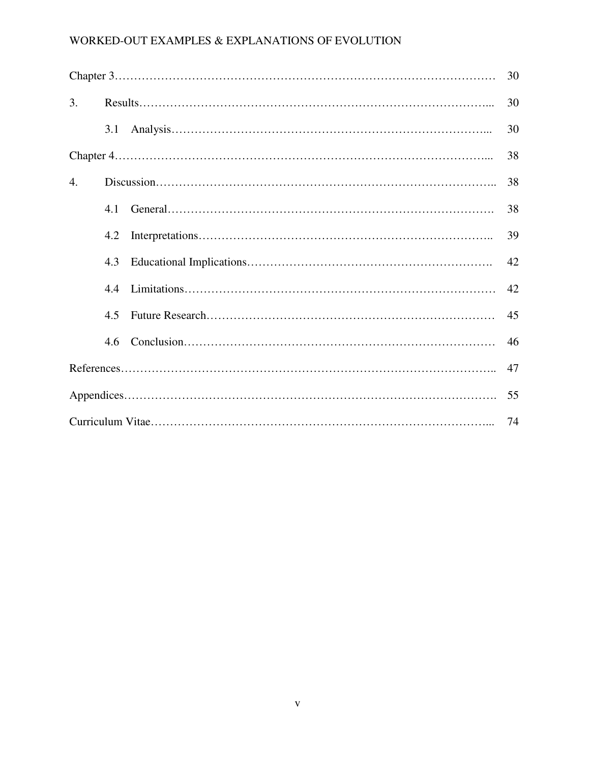|    |     |  | 30 |  |
|----|-----|--|----|--|
| 3. |     |  | 30 |  |
|    | 3.1 |  | 30 |  |
|    |     |  |    |  |
| 4. |     |  | 38 |  |
|    | 4.1 |  | 38 |  |
|    | 4.2 |  | 39 |  |
|    | 4.3 |  | 42 |  |
|    | 4.4 |  | 42 |  |
|    | 4.5 |  | 45 |  |
|    | 4.6 |  | 46 |  |
|    |     |  |    |  |
|    |     |  |    |  |
| 74 |     |  |    |  |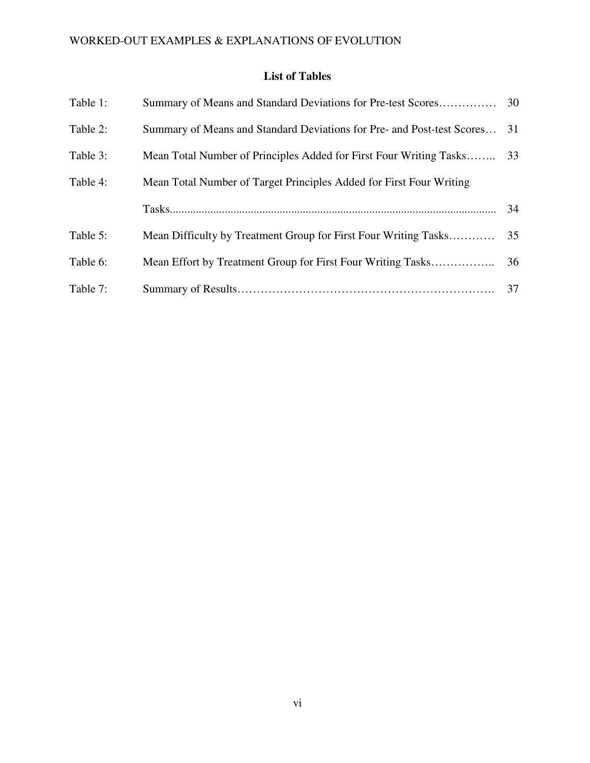## **List of Tables**

| Table 1: | Summary of Means and Standard Deviations for Pre-test Scores           | 30 |
|----------|------------------------------------------------------------------------|----|
| Table 2: | Summary of Means and Standard Deviations for Pre- and Post-test Scores | 31 |
| Table 3: | Mean Total Number of Principles Added for First Four Writing Tasks     | 33 |
| Table 4: | Mean Total Number of Target Principles Added for First Four Writing    |    |
|          |                                                                        | 34 |
| Table 5: | Mean Difficulty by Treatment Group for First Four Writing Tasks        | 35 |
| Table 6: |                                                                        | 36 |
|          |                                                                        |    |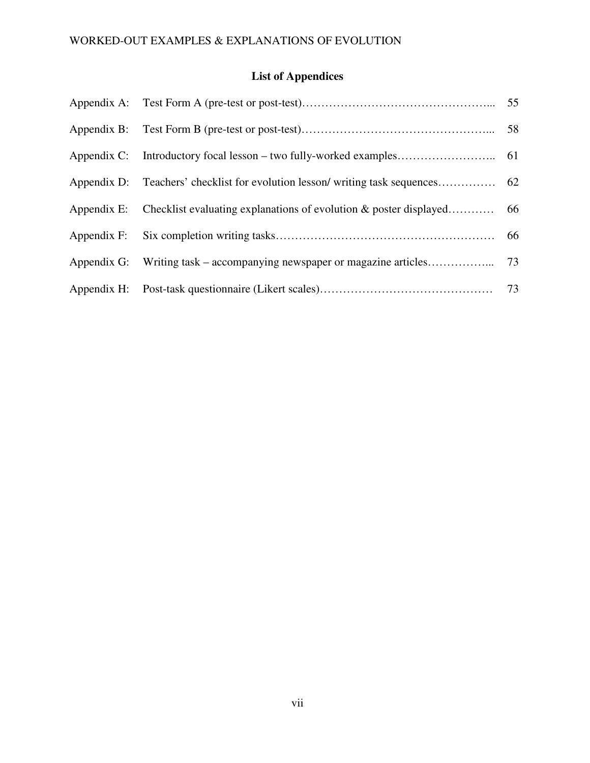## **List of Appendices**

|                                                                        | 66 |
|------------------------------------------------------------------------|----|
| Appendix G: Writing task – accompanying newspaper or magazine articles | 73 |
|                                                                        |    |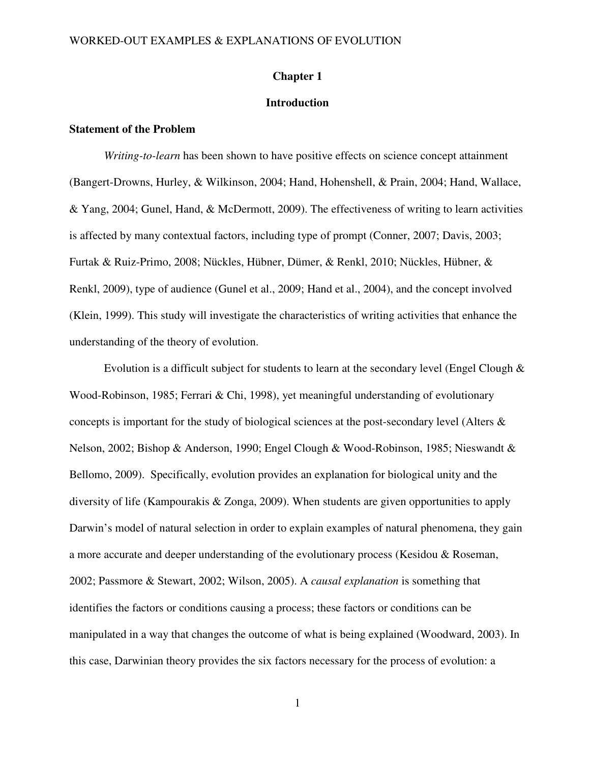### **Chapter 1**

## **Introduction**

## **Statement of the Problem**

*Writing-to-learn* has been shown to have positive effects on science concept attainment (Bangert-Drowns, Hurley, & Wilkinson, 2004; Hand, Hohenshell, & Prain, 2004; Hand, Wallace, & Yang, 2004; Gunel, Hand, & McDermott, 2009). The effectiveness of writing to learn activities is affected by many contextual factors, including type of prompt (Conner, 2007; Davis, 2003; Furtak & Ruiz-Primo, 2008; Nückles, Hübner, Dümer, & Renkl, 2010; Nückles, Hübner, & Renkl, 2009), type of audience (Gunel et al., 2009; Hand et al., 2004), and the concept involved (Klein, 1999). This study will investigate the characteristics of writing activities that enhance the understanding of the theory of evolution.

Evolution is a difficult subject for students to learn at the secondary level (Engel Clough  $\&$ Wood-Robinson, 1985; Ferrari & Chi, 1998), yet meaningful understanding of evolutionary concepts is important for the study of biological sciences at the post-secondary level (Alters & Nelson, 2002; Bishop & Anderson, 1990; Engel Clough & Wood-Robinson, 1985; Nieswandt & Bellomo, 2009). Specifically, evolution provides an explanation for biological unity and the diversity of life (Kampourakis & Zonga, 2009). When students are given opportunities to apply Darwin's model of natural selection in order to explain examples of natural phenomena, they gain a more accurate and deeper understanding of the evolutionary process (Kesidou & Roseman, 2002; Passmore & Stewart, 2002; Wilson, 2005). A *causal explanation* is something that identifies the factors or conditions causing a process; these factors or conditions can be manipulated in a way that changes the outcome of what is being explained (Woodward, 2003). In this case, Darwinian theory provides the six factors necessary for the process of evolution: a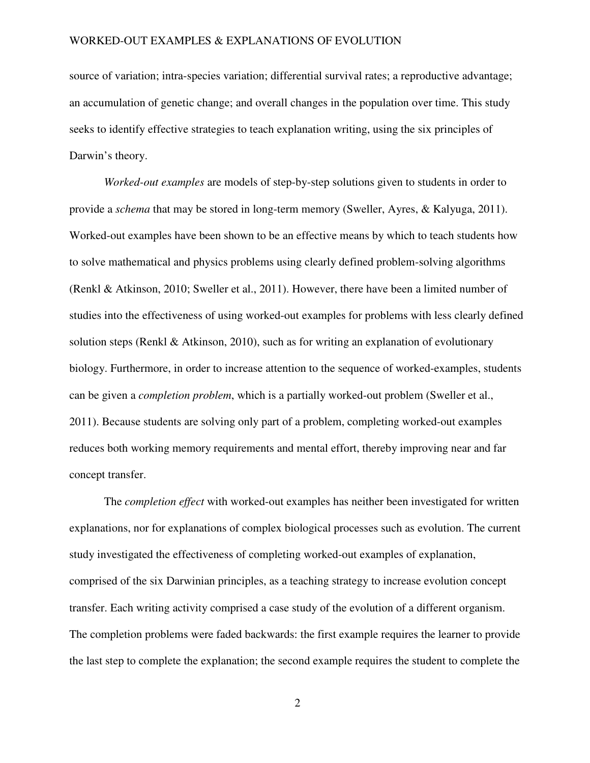source of variation; intra-species variation; differential survival rates; a reproductive advantage; an accumulation of genetic change; and overall changes in the population over time. This study seeks to identify effective strategies to teach explanation writing, using the six principles of Darwin's theory.

*Worked-out examples* are models of step-by-step solutions given to students in order to provide a *schema* that may be stored in long-term memory (Sweller, Ayres, & Kalyuga, 2011). Worked-out examples have been shown to be an effective means by which to teach students how to solve mathematical and physics problems using clearly defined problem-solving algorithms (Renkl & Atkinson, 2010; Sweller et al., 2011). However, there have been a limited number of studies into the effectiveness of using worked-out examples for problems with less clearly defined solution steps (Renkl & Atkinson, 2010), such as for writing an explanation of evolutionary biology. Furthermore, in order to increase attention to the sequence of worked-examples, students can be given a *completion problem*, which is a partially worked-out problem (Sweller et al., 2011). Because students are solving only part of a problem, completing worked-out examples reduces both working memory requirements and mental effort, thereby improving near and far concept transfer.

The *completion effect* with worked-out examples has neither been investigated for written explanations, nor for explanations of complex biological processes such as evolution. The current study investigated the effectiveness of completing worked-out examples of explanation, comprised of the six Darwinian principles, as a teaching strategy to increase evolution concept transfer. Each writing activity comprised a case study of the evolution of a different organism. The completion problems were faded backwards: the first example requires the learner to provide the last step to complete the explanation; the second example requires the student to complete the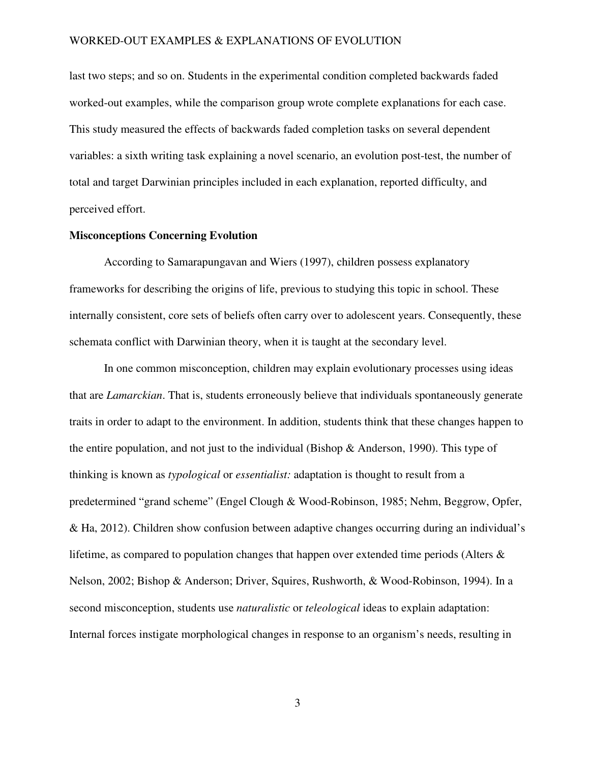last two steps; and so on. Students in the experimental condition completed backwards faded worked-out examples, while the comparison group wrote complete explanations for each case. This study measured the effects of backwards faded completion tasks on several dependent variables: a sixth writing task explaining a novel scenario, an evolution post-test, the number of total and target Darwinian principles included in each explanation, reported difficulty, and perceived effort.

## **Misconceptions Concerning Evolution**

According to Samarapungavan and Wiers (1997), children possess explanatory frameworks for describing the origins of life, previous to studying this topic in school. These internally consistent, core sets of beliefs often carry over to adolescent years. Consequently, these schemata conflict with Darwinian theory, when it is taught at the secondary level.

In one common misconception, children may explain evolutionary processes using ideas that are *Lamarckian*. That is, students erroneously believe that individuals spontaneously generate traits in order to adapt to the environment. In addition, students think that these changes happen to the entire population, and not just to the individual (Bishop & Anderson, 1990). This type of thinking is known as *typological* or *essentialist:* adaptation is thought to result from a predetermined "grand scheme" (Engel Clough & Wood-Robinson, 1985; Nehm, Beggrow, Opfer, & Ha, 2012). Children show confusion between adaptive changes occurring during an individual's lifetime, as compared to population changes that happen over extended time periods (Alters & Nelson, 2002; Bishop & Anderson; Driver, Squires, Rushworth, & Wood-Robinson, 1994). In a second misconception, students use *naturalistic* or *teleological* ideas to explain adaptation: Internal forces instigate morphological changes in response to an organism's needs, resulting in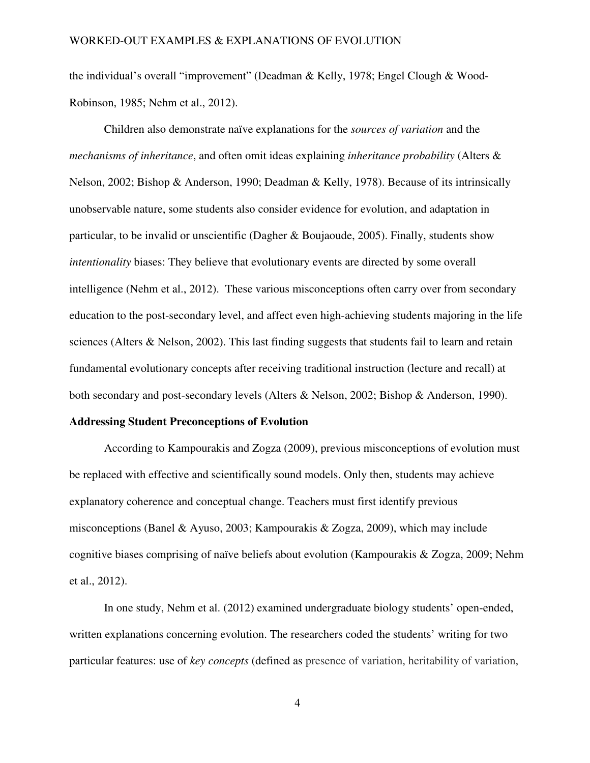the individual's overall "improvement" (Deadman & Kelly, 1978; Engel Clough & Wood-Robinson, 1985; Nehm et al., 2012).

Children also demonstrate naïve explanations for the *sources of variation* and the *mechanisms of inheritance*, and often omit ideas explaining *inheritance probability* (Alters & Nelson, 2002; Bishop & Anderson, 1990; Deadman & Kelly, 1978). Because of its intrinsically unobservable nature, some students also consider evidence for evolution, and adaptation in particular, to be invalid or unscientific (Dagher & Boujaoude, 2005). Finally, students show *intentionality* biases: They believe that evolutionary events are directed by some overall intelligence (Nehm et al., 2012). These various misconceptions often carry over from secondary education to the post-secondary level, and affect even high-achieving students majoring in the life sciences (Alters & Nelson, 2002). This last finding suggests that students fail to learn and retain fundamental evolutionary concepts after receiving traditional instruction (lecture and recall) at both secondary and post-secondary levels (Alters & Nelson, 2002; Bishop & Anderson, 1990).

## **Addressing Student Preconceptions of Evolution**

According to Kampourakis and Zogza (2009), previous misconceptions of evolution must be replaced with effective and scientifically sound models. Only then, students may achieve explanatory coherence and conceptual change. Teachers must first identify previous misconceptions (Banel & Ayuso, 2003; Kampourakis & Zogza, 2009), which may include cognitive biases comprising of naïve beliefs about evolution (Kampourakis & Zogza, 2009; Nehm et al., 2012).

In one study, Nehm et al. (2012) examined undergraduate biology students' open-ended, written explanations concerning evolution. The researchers coded the students' writing for two particular features: use of *key concepts* (defined as presence of variation, heritability of variation,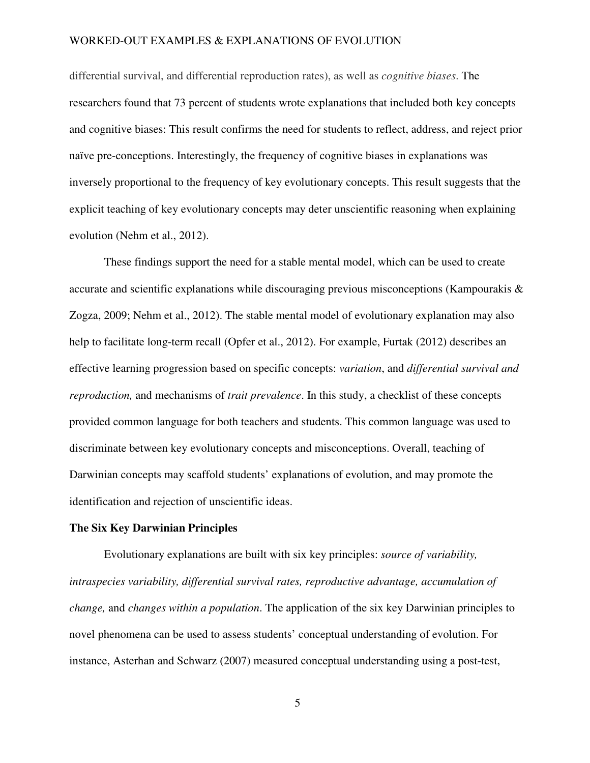differential survival, and differential reproduction rates), as well as *cognitive biases*. The researchers found that 73 percent of students wrote explanations that included both key concepts and cognitive biases: This result confirms the need for students to reflect, address, and reject prior naïve pre-conceptions. Interestingly, the frequency of cognitive biases in explanations was inversely proportional to the frequency of key evolutionary concepts. This result suggests that the explicit teaching of key evolutionary concepts may deter unscientific reasoning when explaining evolution (Nehm et al., 2012).

These findings support the need for a stable mental model, which can be used to create accurate and scientific explanations while discouraging previous misconceptions (Kampourakis & Zogza, 2009; Nehm et al., 2012). The stable mental model of evolutionary explanation may also help to facilitate long-term recall (Opfer et al., 2012). For example, Furtak (2012) describes an effective learning progression based on specific concepts: *variation*, and *differential survival and reproduction,* and mechanisms of *trait prevalence*. In this study, a checklist of these concepts provided common language for both teachers and students. This common language was used to discriminate between key evolutionary concepts and misconceptions. Overall, teaching of Darwinian concepts may scaffold students' explanations of evolution, and may promote the identification and rejection of unscientific ideas.

### **The Six Key Darwinian Principles**

Evolutionary explanations are built with six key principles: *source of variability, intraspecies variability, differential survival rates, reproductive advantage, accumulation of change,* and *changes within a population*. The application of the six key Darwinian principles to novel phenomena can be used to assess students' conceptual understanding of evolution. For instance, Asterhan and Schwarz (2007) measured conceptual understanding using a post-test,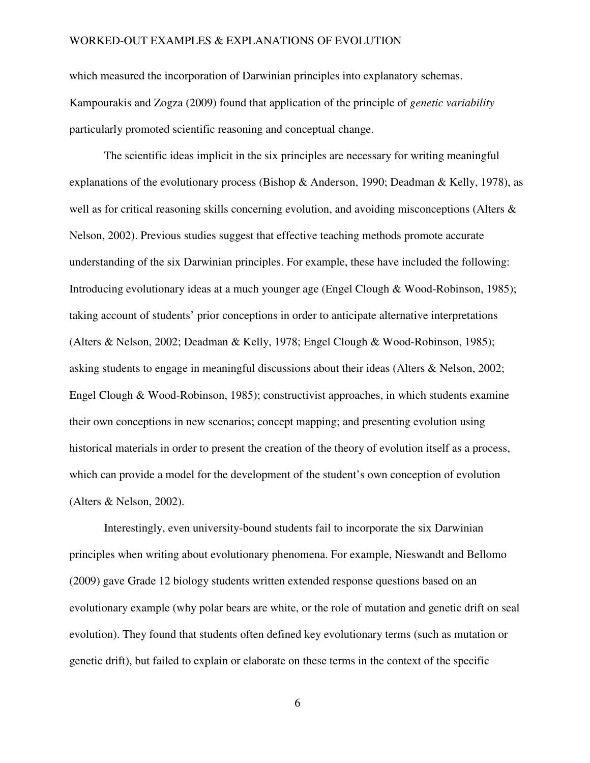which measured the incorporation of Darwinian principles into explanatory schemas. Kampourakis and Zogza (2009) found that application of the principle of *genetic variability* particularly promoted scientific reasoning and conceptual change.

The scientific ideas implicit in the six principles are necessary for writing meaningful explanations of the evolutionary process (Bishop & Anderson, 1990; Deadman & Kelly, 1978), as well as for critical reasoning skills concerning evolution, and avoiding misconceptions (Alters & Nelson, 2002). Previous studies suggest that effective teaching methods promote accurate understanding of the six Darwinian principles. For example, these have included the following: Introducing evolutionary ideas at a much younger age (Engel Clough & Wood-Robinson, 1985); taking account of students' prior conceptions in order to anticipate alternative interpretations (Alters & Nelson, 2002; Deadman & Kelly, 1978; Engel Clough & Wood-Robinson, 1985); asking students to engage in meaningful discussions about their ideas (Alters & Nelson, 2002; Engel Clough & Wood-Robinson, 1985); constructivist approaches, in which students examine their own conceptions in new scenarios; concept mapping; and presenting evolution using historical materials in order to present the creation of the theory of evolution itself as a process, which can provide a model for the development of the student's own conception of evolution (Alters & Nelson, 2002).

Interestingly, even university-bound students fail to incorporate the six Darwinian principles when writing about evolutionary phenomena. For example, Nieswandt and Bellomo (2009) gave Grade 12 biology students written extended response questions based on an evolutionary example (why polar bears are white, or the role of mutation and genetic drift on seal evolution). They found that students often defined key evolutionary terms (such as mutation or genetic drift), but failed to explain or elaborate on these terms in the context of the specific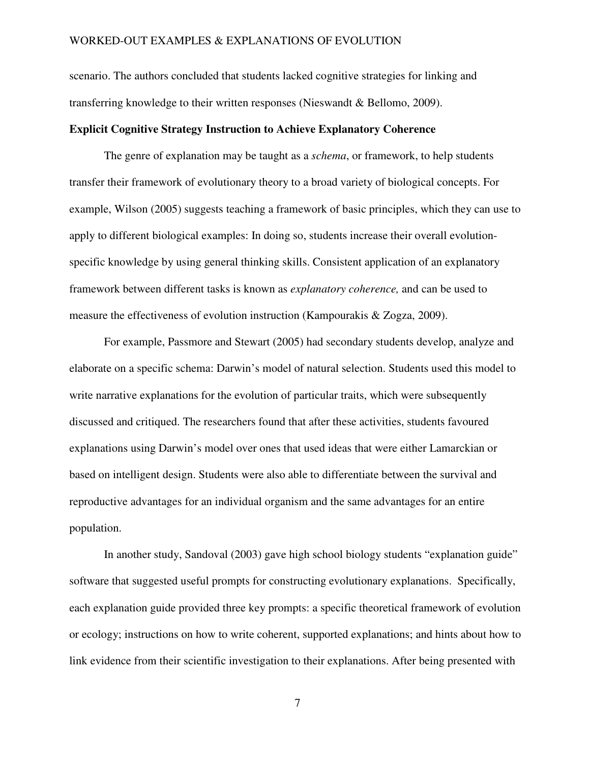scenario. The authors concluded that students lacked cognitive strategies for linking and transferring knowledge to their written responses (Nieswandt & Bellomo, 2009).

### **Explicit Cognitive Strategy Instruction to Achieve Explanatory Coherence**

The genre of explanation may be taught as a *schema*, or framework, to help students transfer their framework of evolutionary theory to a broad variety of biological concepts. For example, Wilson (2005) suggests teaching a framework of basic principles, which they can use to apply to different biological examples: In doing so, students increase their overall evolutionspecific knowledge by using general thinking skills. Consistent application of an explanatory framework between different tasks is known as *explanatory coherence,* and can be used to measure the effectiveness of evolution instruction (Kampourakis & Zogza, 2009).

For example, Passmore and Stewart (2005) had secondary students develop, analyze and elaborate on a specific schema: Darwin's model of natural selection. Students used this model to write narrative explanations for the evolution of particular traits, which were subsequently discussed and critiqued. The researchers found that after these activities, students favoured explanations using Darwin's model over ones that used ideas that were either Lamarckian or based on intelligent design. Students were also able to differentiate between the survival and reproductive advantages for an individual organism and the same advantages for an entire population.

In another study, Sandoval (2003) gave high school biology students "explanation guide" software that suggested useful prompts for constructing evolutionary explanations. Specifically, each explanation guide provided three key prompts: a specific theoretical framework of evolution or ecology; instructions on how to write coherent, supported explanations; and hints about how to link evidence from their scientific investigation to their explanations. After being presented with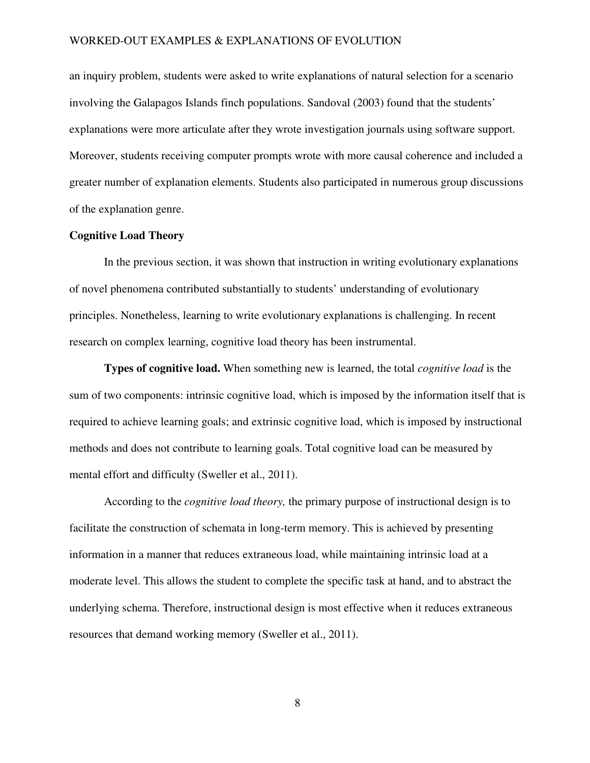an inquiry problem, students were asked to write explanations of natural selection for a scenario involving the Galapagos Islands finch populations. Sandoval (2003) found that the students' explanations were more articulate after they wrote investigation journals using software support. Moreover, students receiving computer prompts wrote with more causal coherence and included a greater number of explanation elements. Students also participated in numerous group discussions of the explanation genre.

## **Cognitive Load Theory**

In the previous section, it was shown that instruction in writing evolutionary explanations of novel phenomena contributed substantially to students' understanding of evolutionary principles. Nonetheless, learning to write evolutionary explanations is challenging. In recent research on complex learning, cognitive load theory has been instrumental.

**Types of cognitive load.** When something new is learned, the total *cognitive load* is the sum of two components: intrinsic cognitive load, which is imposed by the information itself that is required to achieve learning goals; and extrinsic cognitive load, which is imposed by instructional methods and does not contribute to learning goals. Total cognitive load can be measured by mental effort and difficulty (Sweller et al., 2011).

According to the *cognitive load theory,* the primary purpose of instructional design is to facilitate the construction of schemata in long-term memory. This is achieved by presenting information in a manner that reduces extraneous load, while maintaining intrinsic load at a moderate level. This allows the student to complete the specific task at hand, and to abstract the underlying schema. Therefore, instructional design is most effective when it reduces extraneous resources that demand working memory (Sweller et al., 2011).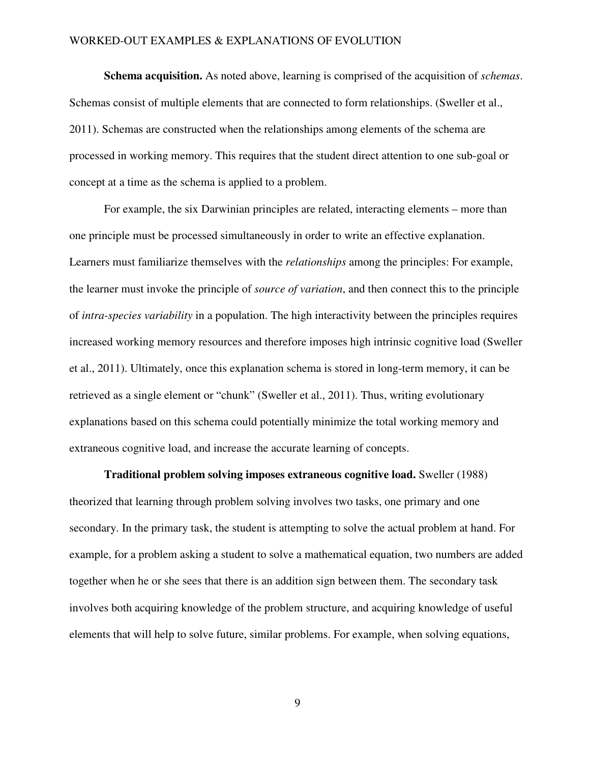**Schema acquisition.** As noted above, learning is comprised of the acquisition of *schemas*. Schemas consist of multiple elements that are connected to form relationships. (Sweller et al., 2011). Schemas are constructed when the relationships among elements of the schema are processed in working memory. This requires that the student direct attention to one sub-goal or concept at a time as the schema is applied to a problem.

For example, the six Darwinian principles are related, interacting elements – more than one principle must be processed simultaneously in order to write an effective explanation. Learners must familiarize themselves with the *relationships* among the principles: For example, the learner must invoke the principle of *source of variation*, and then connect this to the principle of *intra-species variability* in a population. The high interactivity between the principles requires increased working memory resources and therefore imposes high intrinsic cognitive load (Sweller et al., 2011). Ultimately, once this explanation schema is stored in long-term memory, it can be retrieved as a single element or "chunk" (Sweller et al., 2011). Thus, writing evolutionary explanations based on this schema could potentially minimize the total working memory and extraneous cognitive load, and increase the accurate learning of concepts.

**Traditional problem solving imposes extraneous cognitive load.** Sweller (1988) theorized that learning through problem solving involves two tasks, one primary and one secondary. In the primary task, the student is attempting to solve the actual problem at hand. For example, for a problem asking a student to solve a mathematical equation, two numbers are added together when he or she sees that there is an addition sign between them. The secondary task involves both acquiring knowledge of the problem structure, and acquiring knowledge of useful elements that will help to solve future, similar problems. For example, when solving equations,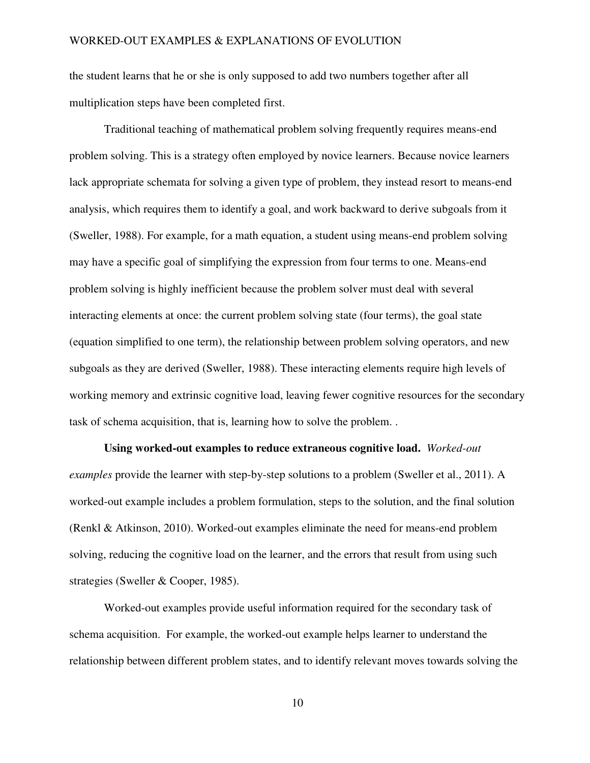the student learns that he or she is only supposed to add two numbers together after all multiplication steps have been completed first.

Traditional teaching of mathematical problem solving frequently requires means-end problem solving. This is a strategy often employed by novice learners. Because novice learners lack appropriate schemata for solving a given type of problem, they instead resort to means-end analysis, which requires them to identify a goal, and work backward to derive subgoals from it (Sweller, 1988). For example, for a math equation, a student using means-end problem solving may have a specific goal of simplifying the expression from four terms to one. Means-end problem solving is highly inefficient because the problem solver must deal with several interacting elements at once: the current problem solving state (four terms), the goal state (equation simplified to one term), the relationship between problem solving operators, and new subgoals as they are derived (Sweller, 1988). These interacting elements require high levels of working memory and extrinsic cognitive load, leaving fewer cognitive resources for the secondary task of schema acquisition, that is, learning how to solve the problem. .

**Using worked-out examples to reduce extraneous cognitive load.** *Worked-out examples* provide the learner with step-by-step solutions to a problem (Sweller et al., 2011). A worked-out example includes a problem formulation, steps to the solution, and the final solution (Renkl & Atkinson, 2010). Worked-out examples eliminate the need for means-end problem solving, reducing the cognitive load on the learner, and the errors that result from using such strategies (Sweller & Cooper, 1985).

Worked-out examples provide useful information required for the secondary task of schema acquisition. For example, the worked-out example helps learner to understand the relationship between different problem states, and to identify relevant moves towards solving the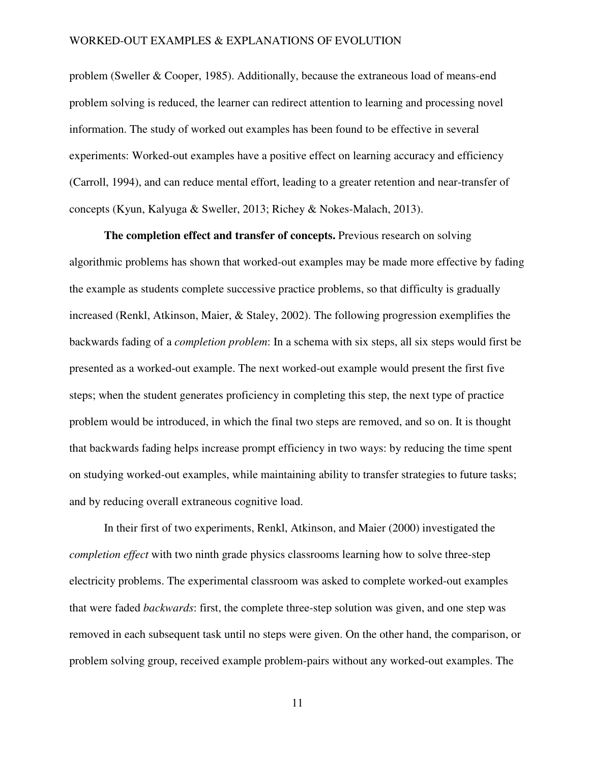problem (Sweller & Cooper, 1985). Additionally, because the extraneous load of means-end problem solving is reduced, the learner can redirect attention to learning and processing novel information. The study of worked out examples has been found to be effective in several experiments: Worked-out examples have a positive effect on learning accuracy and efficiency (Carroll, 1994), and can reduce mental effort, leading to a greater retention and near-transfer of concepts (Kyun, Kalyuga & Sweller, 2013; Richey & Nokes-Malach, 2013).

**The completion effect and transfer of concepts.** Previous research on solving algorithmic problems has shown that worked-out examples may be made more effective by fading the example as students complete successive practice problems, so that difficulty is gradually increased (Renkl, Atkinson, Maier, & Staley, 2002). The following progression exemplifies the backwards fading of a *completion problem*: In a schema with six steps, all six steps would first be presented as a worked-out example. The next worked-out example would present the first five steps; when the student generates proficiency in completing this step, the next type of practice problem would be introduced, in which the final two steps are removed, and so on. It is thought that backwards fading helps increase prompt efficiency in two ways: by reducing the time spent on studying worked-out examples, while maintaining ability to transfer strategies to future tasks; and by reducing overall extraneous cognitive load.

In their first of two experiments, Renkl, Atkinson, and Maier (2000) investigated the *completion effect* with two ninth grade physics classrooms learning how to solve three-step electricity problems. The experimental classroom was asked to complete worked-out examples that were faded *backwards*: first, the complete three-step solution was given, and one step was removed in each subsequent task until no steps were given. On the other hand, the comparison, or problem solving group, received example problem-pairs without any worked-out examples. The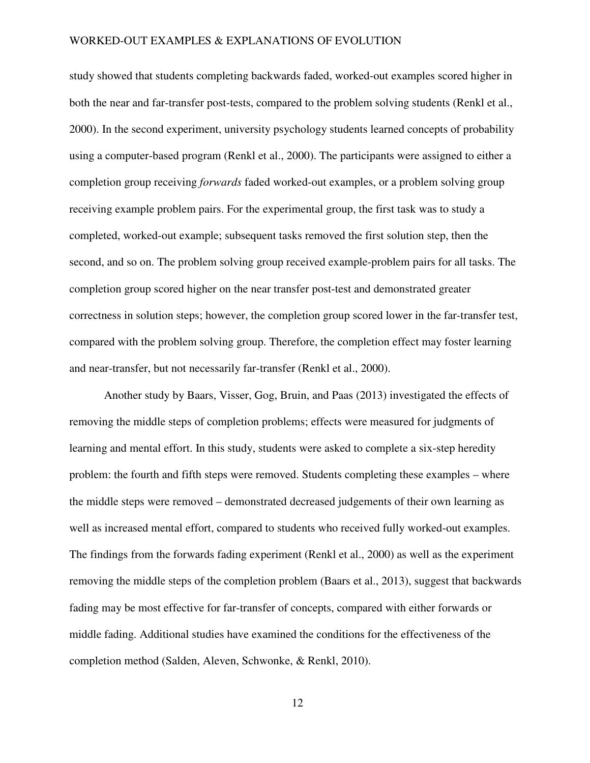study showed that students completing backwards faded, worked-out examples scored higher in both the near and far-transfer post-tests, compared to the problem solving students (Renkl et al., 2000). In the second experiment, university psychology students learned concepts of probability using a computer-based program (Renkl et al., 2000). The participants were assigned to either a completion group receiving *forwards* faded worked-out examples, or a problem solving group receiving example problem pairs. For the experimental group, the first task was to study a completed, worked-out example; subsequent tasks removed the first solution step, then the second, and so on. The problem solving group received example-problem pairs for all tasks. The completion group scored higher on the near transfer post-test and demonstrated greater correctness in solution steps; however, the completion group scored lower in the far-transfer test, compared with the problem solving group. Therefore, the completion effect may foster learning and near-transfer, but not necessarily far-transfer (Renkl et al., 2000).

Another study by Baars, Visser, Gog, Bruin, and Paas (2013) investigated the effects of removing the middle steps of completion problems; effects were measured for judgments of learning and mental effort. In this study, students were asked to complete a six-step heredity problem: the fourth and fifth steps were removed. Students completing these examples – where the middle steps were removed – demonstrated decreased judgements of their own learning as well as increased mental effort, compared to students who received fully worked-out examples. The findings from the forwards fading experiment (Renkl et al., 2000) as well as the experiment removing the middle steps of the completion problem (Baars et al., 2013), suggest that backwards fading may be most effective for far-transfer of concepts, compared with either forwards or middle fading. Additional studies have examined the conditions for the effectiveness of the completion method (Salden, Aleven, Schwonke, & Renkl, 2010).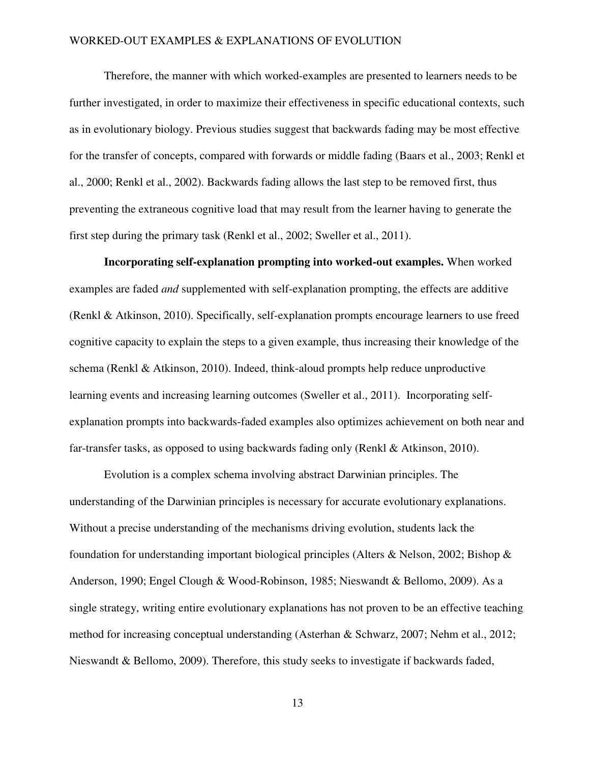Therefore, the manner with which worked-examples are presented to learners needs to be further investigated, in order to maximize their effectiveness in specific educational contexts, such as in evolutionary biology. Previous studies suggest that backwards fading may be most effective for the transfer of concepts, compared with forwards or middle fading (Baars et al., 2003; Renkl et al., 2000; Renkl et al., 2002). Backwards fading allows the last step to be removed first, thus preventing the extraneous cognitive load that may result from the learner having to generate the first step during the primary task (Renkl et al., 2002; Sweller et al., 2011).

**Incorporating self-explanation prompting into worked-out examples.** When worked examples are faded *and* supplemented with self-explanation prompting, the effects are additive (Renkl & Atkinson, 2010). Specifically, self-explanation prompts encourage learners to use freed cognitive capacity to explain the steps to a given example, thus increasing their knowledge of the schema (Renkl & Atkinson, 2010). Indeed, think-aloud prompts help reduce unproductive learning events and increasing learning outcomes (Sweller et al., 2011). Incorporating selfexplanation prompts into backwards-faded examples also optimizes achievement on both near and far-transfer tasks, as opposed to using backwards fading only (Renkl & Atkinson, 2010).

Evolution is a complex schema involving abstract Darwinian principles. The understanding of the Darwinian principles is necessary for accurate evolutionary explanations. Without a precise understanding of the mechanisms driving evolution, students lack the foundation for understanding important biological principles (Alters & Nelson, 2002; Bishop  $\&$ Anderson, 1990; Engel Clough & Wood-Robinson, 1985; Nieswandt & Bellomo, 2009). As a single strategy, writing entire evolutionary explanations has not proven to be an effective teaching method for increasing conceptual understanding (Asterhan & Schwarz, 2007; Nehm et al., 2012; Nieswandt & Bellomo, 2009). Therefore, this study seeks to investigate if backwards faded,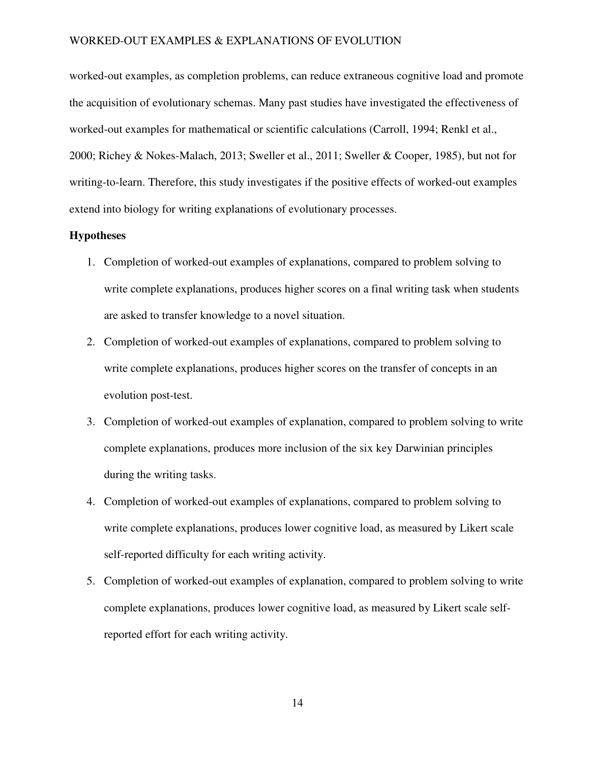worked-out examples, as completion problems, can reduce extraneous cognitive load and promote the acquisition of evolutionary schemas. Many past studies have investigated the effectiveness of worked-out examples for mathematical or scientific calculations (Carroll, 1994; Renkl et al., 2000; Richey & Nokes-Malach, 2013; Sweller et al., 2011; Sweller & Cooper, 1985), but not for writing-to-learn. Therefore, this study investigates if the positive effects of worked-out examples extend into biology for writing explanations of evolutionary processes.

### **Hypotheses**

- 1. Completion of worked-out examples of explanations, compared to problem solving to write complete explanations, produces higher scores on a final writing task when students are asked to transfer knowledge to a novel situation.
- 2. Completion of worked-out examples of explanations, compared to problem solving to write complete explanations, produces higher scores on the transfer of concepts in an evolution post-test.
- 3. Completion of worked-out examples of explanation, compared to problem solving to write complete explanations, produces more inclusion of the six key Darwinian principles during the writing tasks.
- 4. Completion of worked-out examples of explanations, compared to problem solving to write complete explanations, produces lower cognitive load, as measured by Likert scale self-reported difficulty for each writing activity.
- 5. Completion of worked-out examples of explanation, compared to problem solving to write complete explanations, produces lower cognitive load, as measured by Likert scale selfreported effort for each writing activity.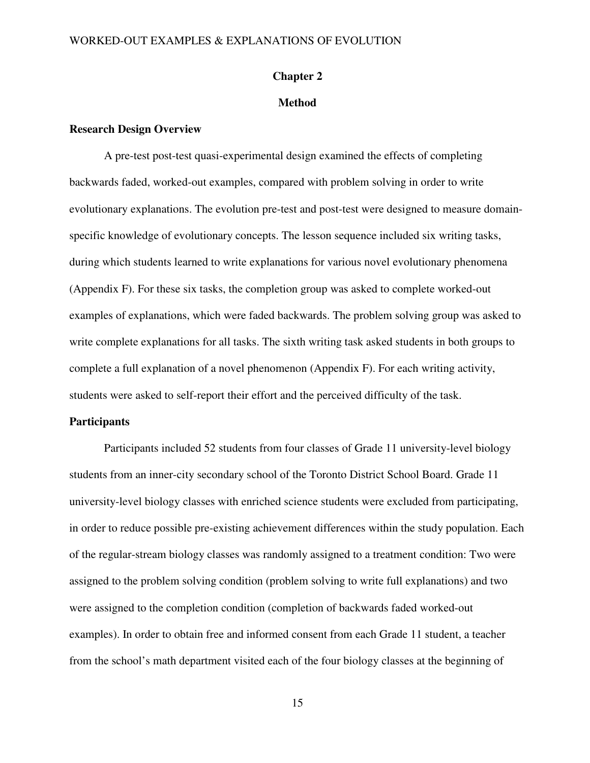### **Chapter 2**

## **Method**

#### **Research Design Overview**

A pre-test post-test quasi-experimental design examined the effects of completing backwards faded, worked-out examples, compared with problem solving in order to write evolutionary explanations. The evolution pre-test and post-test were designed to measure domainspecific knowledge of evolutionary concepts. The lesson sequence included six writing tasks, during which students learned to write explanations for various novel evolutionary phenomena (Appendix F). For these six tasks, the completion group was asked to complete worked-out examples of explanations, which were faded backwards. The problem solving group was asked to write complete explanations for all tasks. The sixth writing task asked students in both groups to complete a full explanation of a novel phenomenon (Appendix F). For each writing activity, students were asked to self-report their effort and the perceived difficulty of the task.

### **Participants**

Participants included 52 students from four classes of Grade 11 university-level biology students from an inner-city secondary school of the Toronto District School Board. Grade 11 university-level biology classes with enriched science students were excluded from participating, in order to reduce possible pre-existing achievement differences within the study population. Each of the regular-stream biology classes was randomly assigned to a treatment condition: Two were assigned to the problem solving condition (problem solving to write full explanations) and two were assigned to the completion condition (completion of backwards faded worked-out examples). In order to obtain free and informed consent from each Grade 11 student, a teacher from the school's math department visited each of the four biology classes at the beginning of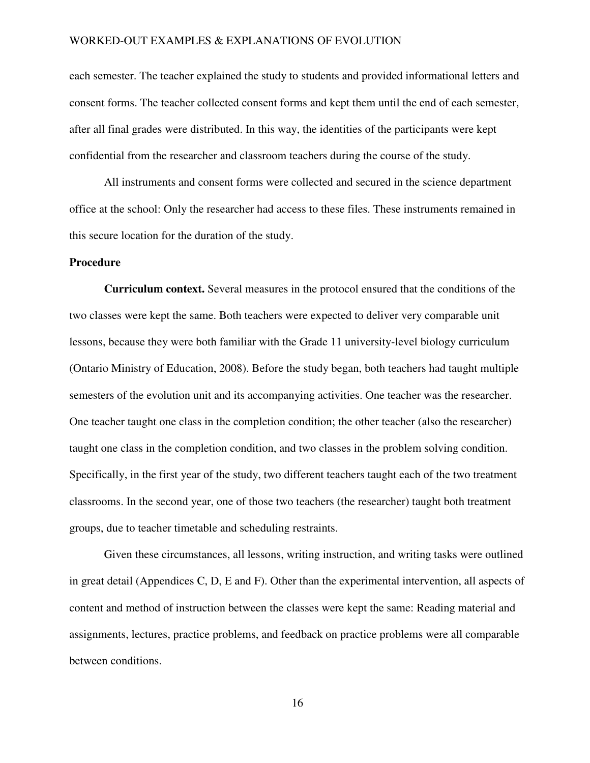each semester. The teacher explained the study to students and provided informational letters and consent forms. The teacher collected consent forms and kept them until the end of each semester, after all final grades were distributed. In this way, the identities of the participants were kept confidential from the researcher and classroom teachers during the course of the study.

All instruments and consent forms were collected and secured in the science department office at the school: Only the researcher had access to these files. These instruments remained in this secure location for the duration of the study.

#### **Procedure**

**Curriculum context.** Several measures in the protocol ensured that the conditions of the two classes were kept the same. Both teachers were expected to deliver very comparable unit lessons, because they were both familiar with the Grade 11 university-level biology curriculum (Ontario Ministry of Education, 2008). Before the study began, both teachers had taught multiple semesters of the evolution unit and its accompanying activities. One teacher was the researcher. One teacher taught one class in the completion condition; the other teacher (also the researcher) taught one class in the completion condition, and two classes in the problem solving condition. Specifically, in the first year of the study, two different teachers taught each of the two treatment classrooms. In the second year, one of those two teachers (the researcher) taught both treatment groups, due to teacher timetable and scheduling restraints.

Given these circumstances, all lessons, writing instruction, and writing tasks were outlined in great detail (Appendices C, D, E and F). Other than the experimental intervention, all aspects of content and method of instruction between the classes were kept the same: Reading material and assignments, lectures, practice problems, and feedback on practice problems were all comparable between conditions.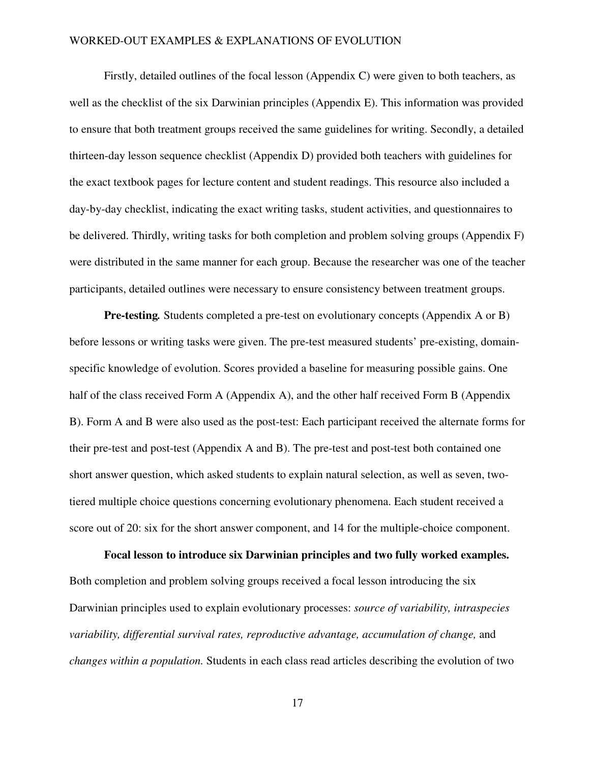Firstly, detailed outlines of the focal lesson (Appendix C) were given to both teachers, as well as the checklist of the six Darwinian principles (Appendix E). This information was provided to ensure that both treatment groups received the same guidelines for writing. Secondly, a detailed thirteen-day lesson sequence checklist (Appendix D) provided both teachers with guidelines for the exact textbook pages for lecture content and student readings. This resource also included a day-by-day checklist, indicating the exact writing tasks, student activities, and questionnaires to be delivered. Thirdly, writing tasks for both completion and problem solving groups (Appendix F) were distributed in the same manner for each group. Because the researcher was one of the teacher participants, detailed outlines were necessary to ensure consistency between treatment groups.

**Pre-testing***.* Students completed a pre-test on evolutionary concepts (Appendix A or B) before lessons or writing tasks were given. The pre-test measured students' pre-existing, domainspecific knowledge of evolution. Scores provided a baseline for measuring possible gains. One half of the class received Form A (Appendix A), and the other half received Form B (Appendix B). Form A and B were also used as the post-test: Each participant received the alternate forms for their pre-test and post-test (Appendix A and B). The pre-test and post-test both contained one short answer question, which asked students to explain natural selection, as well as seven, twotiered multiple choice questions concerning evolutionary phenomena. Each student received a score out of 20: six for the short answer component, and 14 for the multiple-choice component.

**Focal lesson to introduce six Darwinian principles and two fully worked examples.** Both completion and problem solving groups received a focal lesson introducing the six Darwinian principles used to explain evolutionary processes: *source of variability, intraspecies variability, differential survival rates, reproductive advantage, accumulation of change,* and *changes within a population.* Students in each class read articles describing the evolution of two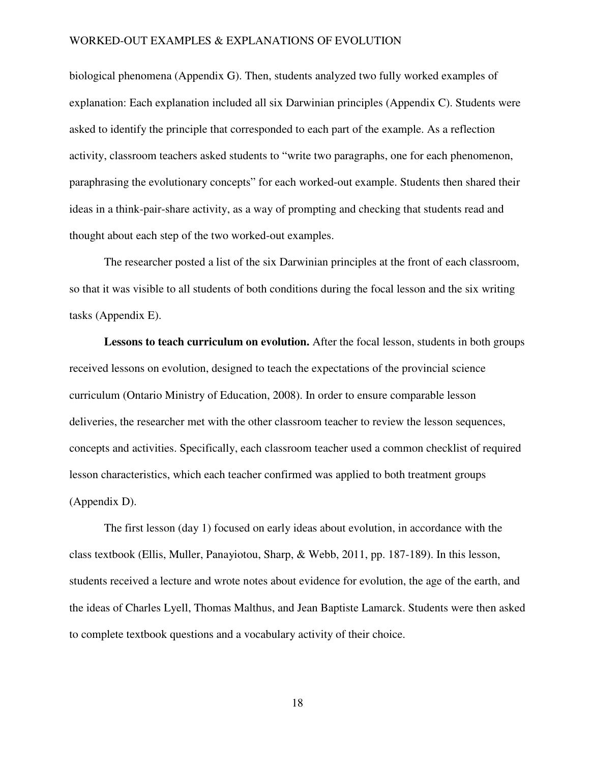biological phenomena (Appendix G). Then, students analyzed two fully worked examples of explanation: Each explanation included all six Darwinian principles (Appendix C). Students were asked to identify the principle that corresponded to each part of the example. As a reflection activity, classroom teachers asked students to "write two paragraphs, one for each phenomenon, paraphrasing the evolutionary concepts" for each worked-out example. Students then shared their ideas in a think-pair-share activity, as a way of prompting and checking that students read and thought about each step of the two worked-out examples.

The researcher posted a list of the six Darwinian principles at the front of each classroom, so that it was visible to all students of both conditions during the focal lesson and the six writing tasks (Appendix E).

**Lessons to teach curriculum on evolution.** After the focal lesson, students in both groups received lessons on evolution, designed to teach the expectations of the provincial science curriculum (Ontario Ministry of Education, 2008). In order to ensure comparable lesson deliveries, the researcher met with the other classroom teacher to review the lesson sequences, concepts and activities. Specifically, each classroom teacher used a common checklist of required lesson characteristics, which each teacher confirmed was applied to both treatment groups (Appendix D).

The first lesson (day 1) focused on early ideas about evolution, in accordance with the class textbook (Ellis, Muller, Panayiotou, Sharp, & Webb, 2011, pp. 187-189). In this lesson, students received a lecture and wrote notes about evidence for evolution, the age of the earth, and the ideas of Charles Lyell, Thomas Malthus, and Jean Baptiste Lamarck. Students were then asked to complete textbook questions and a vocabulary activity of their choice.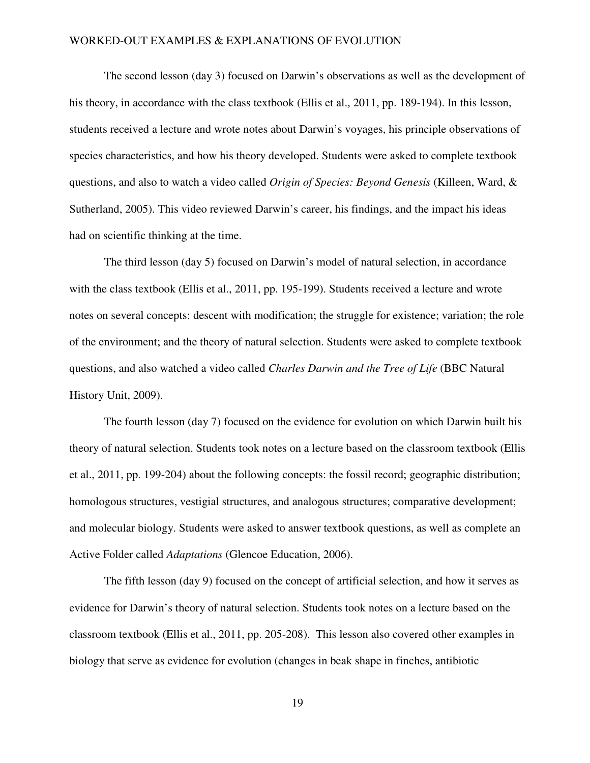The second lesson (day 3) focused on Darwin's observations as well as the development of his theory, in accordance with the class textbook (Ellis et al., 2011, pp. 189-194). In this lesson, students received a lecture and wrote notes about Darwin's voyages, his principle observations of species characteristics, and how his theory developed. Students were asked to complete textbook questions, and also to watch a video called *Origin of Species: Beyond Genesis* (Killeen, Ward, & Sutherland, 2005). This video reviewed Darwin's career, his findings, and the impact his ideas had on scientific thinking at the time.

The third lesson (day 5) focused on Darwin's model of natural selection, in accordance with the class textbook (Ellis et al., 2011, pp. 195-199). Students received a lecture and wrote notes on several concepts: descent with modification; the struggle for existence; variation; the role of the environment; and the theory of natural selection. Students were asked to complete textbook questions, and also watched a video called *Charles Darwin and the Tree of Life* (BBC Natural History Unit, 2009).

The fourth lesson (day 7) focused on the evidence for evolution on which Darwin built his theory of natural selection. Students took notes on a lecture based on the classroom textbook (Ellis et al., 2011, pp. 199-204) about the following concepts: the fossil record; geographic distribution; homologous structures, vestigial structures, and analogous structures; comparative development; and molecular biology. Students were asked to answer textbook questions, as well as complete an Active Folder called *Adaptations* (Glencoe Education, 2006).

 The fifth lesson (day 9) focused on the concept of artificial selection, and how it serves as evidence for Darwin's theory of natural selection. Students took notes on a lecture based on the classroom textbook (Ellis et al., 2011, pp. 205-208). This lesson also covered other examples in biology that serve as evidence for evolution (changes in beak shape in finches, antibiotic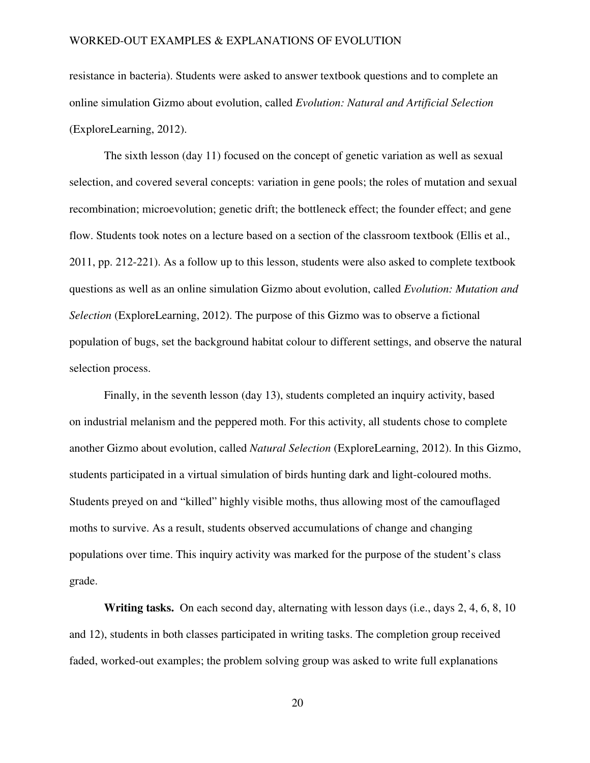resistance in bacteria). Students were asked to answer textbook questions and to complete an online simulation Gizmo about evolution, called *Evolution: Natural and Artificial Selection* (ExploreLearning, 2012).

The sixth lesson (day 11) focused on the concept of genetic variation as well as sexual selection, and covered several concepts: variation in gene pools; the roles of mutation and sexual recombination; microevolution; genetic drift; the bottleneck effect; the founder effect; and gene flow. Students took notes on a lecture based on a section of the classroom textbook (Ellis et al., 2011, pp. 212-221). As a follow up to this lesson, students were also asked to complete textbook questions as well as an online simulation Gizmo about evolution, called *Evolution: Mutation and Selection* (ExploreLearning, 2012). The purpose of this Gizmo was to observe a fictional population of bugs, set the background habitat colour to different settings, and observe the natural selection process.

Finally, in the seventh lesson (day 13), students completed an inquiry activity, based on industrial melanism and the peppered moth. For this activity, all students chose to complete another Gizmo about evolution, called *Natural Selection* (ExploreLearning, 2012). In this Gizmo, students participated in a virtual simulation of birds hunting dark and light-coloured moths. Students preyed on and "killed" highly visible moths, thus allowing most of the camouflaged moths to survive. As a result, students observed accumulations of change and changing populations over time. This inquiry activity was marked for the purpose of the student's class grade.

**Writing tasks.** On each second day, alternating with lesson days (i.e., days 2, 4, 6, 8, 10 and 12), students in both classes participated in writing tasks. The completion group received faded, worked-out examples; the problem solving group was asked to write full explanations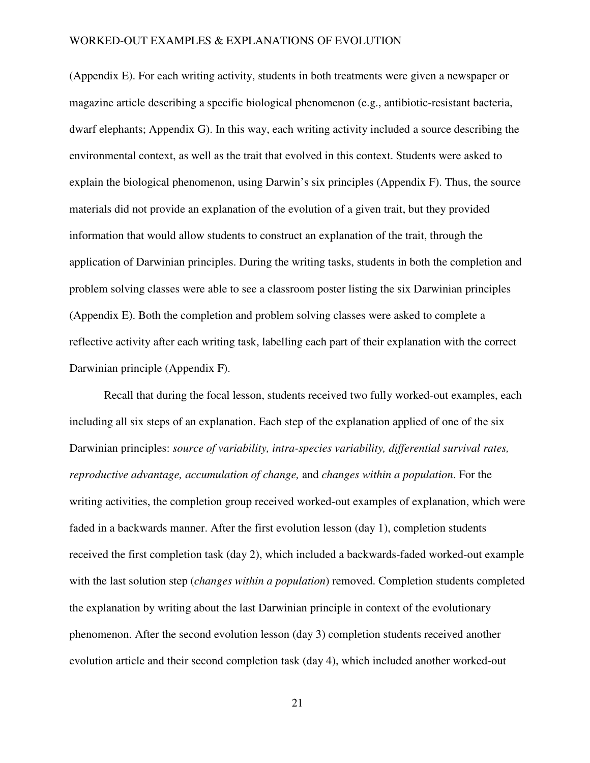(Appendix E). For each writing activity, students in both treatments were given a newspaper or magazine article describing a specific biological phenomenon (e.g., antibiotic-resistant bacteria, dwarf elephants; Appendix G). In this way, each writing activity included a source describing the environmental context, as well as the trait that evolved in this context. Students were asked to explain the biological phenomenon, using Darwin's six principles (Appendix F). Thus, the source materials did not provide an explanation of the evolution of a given trait, but they provided information that would allow students to construct an explanation of the trait, through the application of Darwinian principles. During the writing tasks, students in both the completion and problem solving classes were able to see a classroom poster listing the six Darwinian principles (Appendix E). Both the completion and problem solving classes were asked to complete a reflective activity after each writing task, labelling each part of their explanation with the correct Darwinian principle (Appendix F).

Recall that during the focal lesson, students received two fully worked-out examples, each including all six steps of an explanation. Each step of the explanation applied of one of the six Darwinian principles: *source of variability, intra-species variability, differential survival rates, reproductive advantage, accumulation of change,* and *changes within a population*. For the writing activities, the completion group received worked-out examples of explanation, which were faded in a backwards manner. After the first evolution lesson (day 1), completion students received the first completion task (day 2), which included a backwards-faded worked-out example with the last solution step (*changes within a population*) removed. Completion students completed the explanation by writing about the last Darwinian principle in context of the evolutionary phenomenon. After the second evolution lesson (day 3) completion students received another evolution article and their second completion task (day 4), which included another worked-out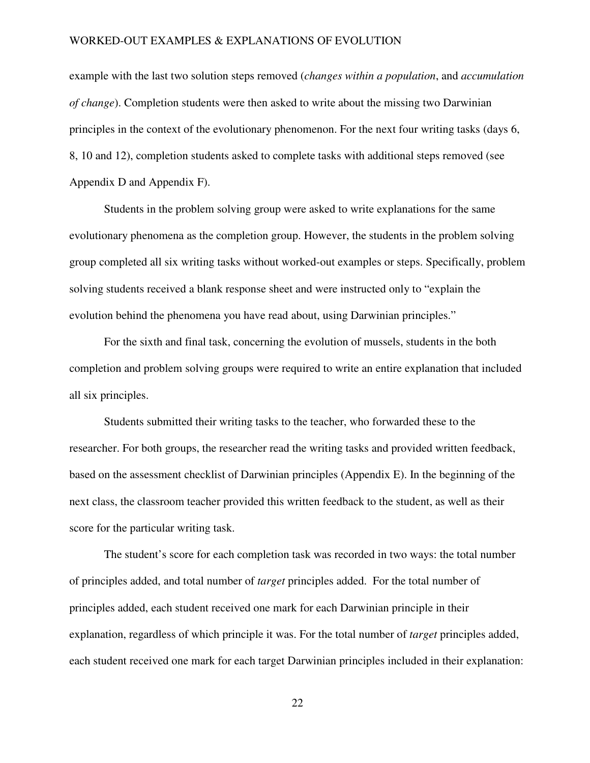example with the last two solution steps removed (*changes within a population*, and *accumulation of change*). Completion students were then asked to write about the missing two Darwinian principles in the context of the evolutionary phenomenon. For the next four writing tasks (days 6, 8, 10 and 12), completion students asked to complete tasks with additional steps removed (see Appendix D and Appendix F).

Students in the problem solving group were asked to write explanations for the same evolutionary phenomena as the completion group. However, the students in the problem solving group completed all six writing tasks without worked-out examples or steps. Specifically, problem solving students received a blank response sheet and were instructed only to "explain the evolution behind the phenomena you have read about, using Darwinian principles."

 For the sixth and final task, concerning the evolution of mussels, students in the both completion and problem solving groups were required to write an entire explanation that included all six principles.

 Students submitted their writing tasks to the teacher, who forwarded these to the researcher. For both groups, the researcher read the writing tasks and provided written feedback, based on the assessment checklist of Darwinian principles (Appendix E). In the beginning of the next class, the classroom teacher provided this written feedback to the student, as well as their score for the particular writing task.

The student's score for each completion task was recorded in two ways: the total number of principles added, and total number of *target* principles added. For the total number of principles added, each student received one mark for each Darwinian principle in their explanation, regardless of which principle it was. For the total number of *target* principles added, each student received one mark for each target Darwinian principles included in their explanation: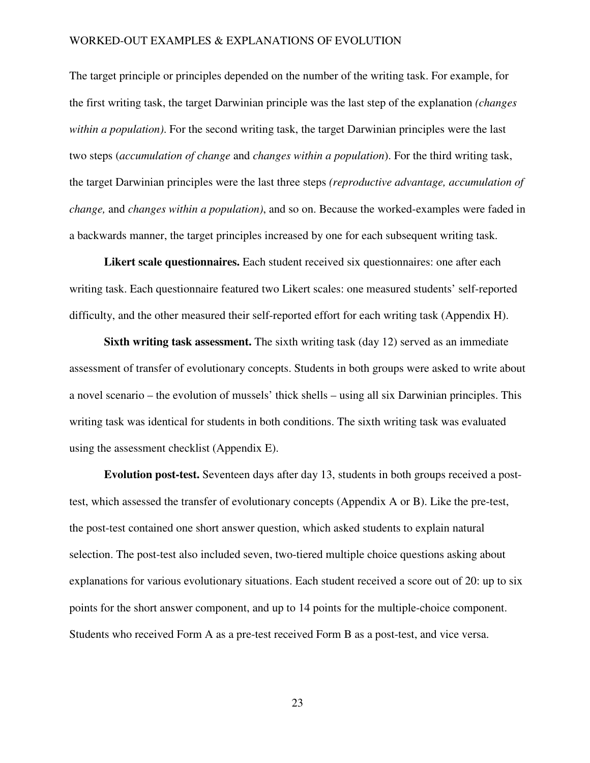The target principle or principles depended on the number of the writing task. For example, for the first writing task, the target Darwinian principle was the last step of the explanation *(changes within a population)*. For the second writing task, the target Darwinian principles were the last two steps (*accumulation of change* and *changes within a population*). For the third writing task, the target Darwinian principles were the last three steps *(reproductive advantage, accumulation of change,* and *changes within a population)*, and so on. Because the worked-examples were faded in a backwards manner, the target principles increased by one for each subsequent writing task.

**Likert scale questionnaires.** Each student received six questionnaires: one after each writing task. Each questionnaire featured two Likert scales: one measured students' self-reported difficulty, and the other measured their self-reported effort for each writing task (Appendix H).

**Sixth writing task assessment.** The sixth writing task (day 12) served as an immediate assessment of transfer of evolutionary concepts. Students in both groups were asked to write about a novel scenario – the evolution of mussels' thick shells – using all six Darwinian principles. This writing task was identical for students in both conditions. The sixth writing task was evaluated using the assessment checklist (Appendix E).

**Evolution post-test.** Seventeen days after day 13, students in both groups received a posttest, which assessed the transfer of evolutionary concepts (Appendix A or B). Like the pre-test, the post-test contained one short answer question, which asked students to explain natural selection. The post-test also included seven, two-tiered multiple choice questions asking about explanations for various evolutionary situations. Each student received a score out of 20: up to six points for the short answer component, and up to 14 points for the multiple-choice component. Students who received Form A as a pre-test received Form B as a post-test, and vice versa.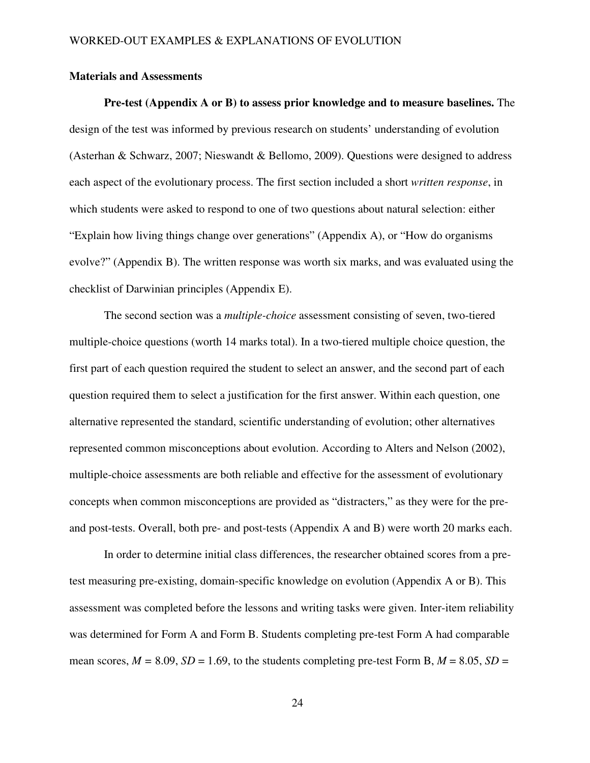## **Materials and Assessments**

**Pre-test (Appendix A or B) to assess prior knowledge and to measure baselines.** The design of the test was informed by previous research on students' understanding of evolution (Asterhan & Schwarz, 2007; Nieswandt & Bellomo, 2009). Questions were designed to address each aspect of the evolutionary process. The first section included a short *written response*, in which students were asked to respond to one of two questions about natural selection: either "Explain how living things change over generations" (Appendix A), or "How do organisms evolve?" (Appendix B). The written response was worth six marks, and was evaluated using the checklist of Darwinian principles (Appendix E).

The second section was a *multiple-choice* assessment consisting of seven, two-tiered multiple-choice questions (worth 14 marks total). In a two-tiered multiple choice question, the first part of each question required the student to select an answer, and the second part of each question required them to select a justification for the first answer. Within each question, one alternative represented the standard, scientific understanding of evolution; other alternatives represented common misconceptions about evolution. According to Alters and Nelson (2002), multiple-choice assessments are both reliable and effective for the assessment of evolutionary concepts when common misconceptions are provided as "distracters," as they were for the preand post-tests. Overall, both pre- and post-tests (Appendix A and B) were worth 20 marks each.

In order to determine initial class differences, the researcher obtained scores from a pretest measuring pre-existing, domain-specific knowledge on evolution (Appendix A or B). This assessment was completed before the lessons and writing tasks were given. Inter-item reliability was determined for Form A and Form B. Students completing pre-test Form A had comparable mean scores,  $M = 8.09$ ,  $SD = 1.69$ , to the students completing pre-test Form B,  $M = 8.05$ ,  $SD =$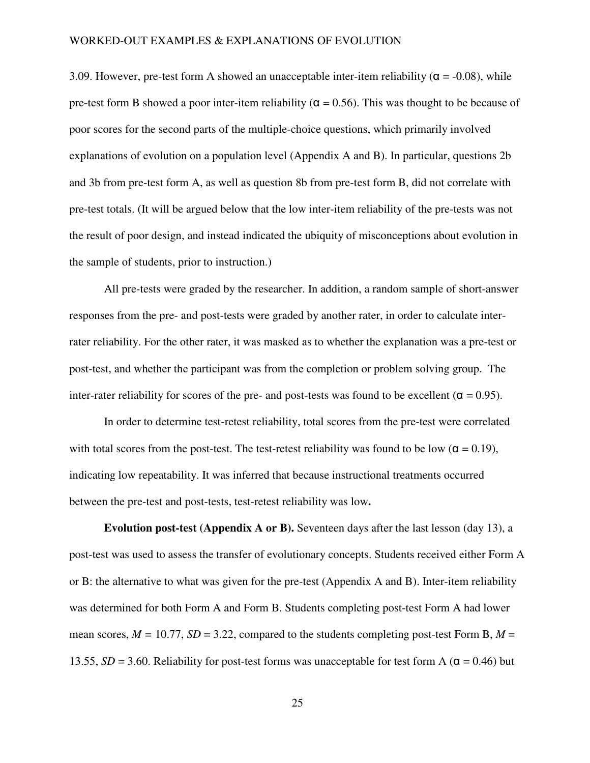3.09. However, pre-test form A showed an unacceptable inter-item reliability ( $\alpha$  = -0.08), while pre-test form B showed a poor inter-item reliability ( $\alpha = 0.56$ ). This was thought to be because of poor scores for the second parts of the multiple-choice questions, which primarily involved explanations of evolution on a population level (Appendix A and B). In particular, questions 2b and 3b from pre-test form A, as well as question 8b from pre-test form B, did not correlate with pre-test totals. (It will be argued below that the low inter-item reliability of the pre-tests was not the result of poor design, and instead indicated the ubiquity of misconceptions about evolution in the sample of students, prior to instruction.)

All pre-tests were graded by the researcher. In addition, a random sample of short-answer responses from the pre- and post-tests were graded by another rater, in order to calculate interrater reliability. For the other rater, it was masked as to whether the explanation was a pre-test or post-test, and whether the participant was from the completion or problem solving group. The inter-rater reliability for scores of the pre- and post-tests was found to be excellent ( $\alpha = 0.95$ ).

In order to determine test-retest reliability, total scores from the pre-test were correlated with total scores from the post-test. The test-retest reliability was found to be low ( $\alpha = 0.19$ ), indicating low repeatability. It was inferred that because instructional treatments occurred between the pre-test and post-tests, test-retest reliability was low**.** 

**Evolution post-test (Appendix A or B).** Seventeen days after the last lesson (day 13), a post-test was used to assess the transfer of evolutionary concepts. Students received either Form A or B: the alternative to what was given for the pre-test (Appendix A and B). Inter-item reliability was determined for both Form A and Form B. Students completing post-test Form A had lower mean scores,  $M = 10.77$ ,  $SD = 3.22$ , compared to the students completing post-test Form B,  $M =$ 13.55, *SD* = 3.60. Reliability for post-test forms was unacceptable for test form A ( $\alpha$  = 0.46) but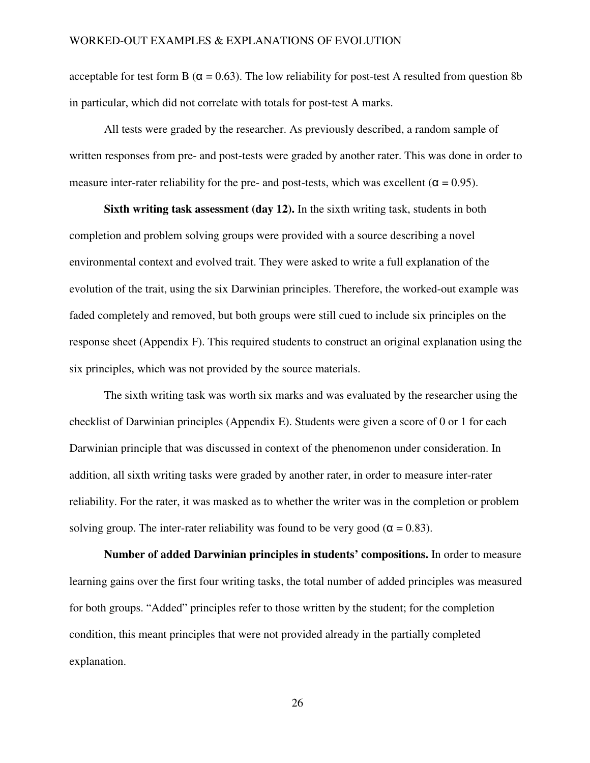acceptable for test form B ( $\alpha$  = 0.63). The low reliability for post-test A resulted from question 8b in particular, which did not correlate with totals for post-test A marks.

All tests were graded by the researcher. As previously described, a random sample of written responses from pre- and post-tests were graded by another rater. This was done in order to measure inter-rater reliability for the pre- and post-tests, which was excellent ( $\alpha = 0.95$ ).

**Sixth writing task assessment (day 12).** In the sixth writing task, students in both completion and problem solving groups were provided with a source describing a novel environmental context and evolved trait. They were asked to write a full explanation of the evolution of the trait, using the six Darwinian principles. Therefore, the worked-out example was faded completely and removed, but both groups were still cued to include six principles on the response sheet (Appendix F). This required students to construct an original explanation using the six principles, which was not provided by the source materials.

The sixth writing task was worth six marks and was evaluated by the researcher using the checklist of Darwinian principles (Appendix E). Students were given a score of 0 or 1 for each Darwinian principle that was discussed in context of the phenomenon under consideration. In addition, all sixth writing tasks were graded by another rater, in order to measure inter-rater reliability. For the rater, it was masked as to whether the writer was in the completion or problem solving group. The inter-rater reliability was found to be very good ( $\alpha = 0.83$ ).

**Number of added Darwinian principles in students' compositions.** In order to measure learning gains over the first four writing tasks, the total number of added principles was measured for both groups. "Added" principles refer to those written by the student; for the completion condition, this meant principles that were not provided already in the partially completed explanation.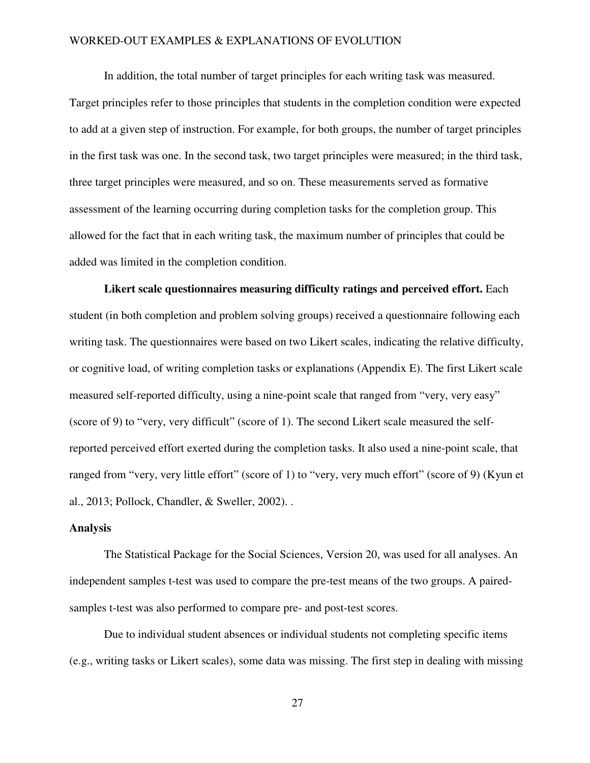In addition, the total number of target principles for each writing task was measured.

Target principles refer to those principles that students in the completion condition were expected to add at a given step of instruction. For example, for both groups, the number of target principles in the first task was one. In the second task, two target principles were measured; in the third task, three target principles were measured, and so on. These measurements served as formative assessment of the learning occurring during completion tasks for the completion group. This allowed for the fact that in each writing task, the maximum number of principles that could be added was limited in the completion condition.

**Likert scale questionnaires measuring difficulty ratings and perceived effort.** Each student (in both completion and problem solving groups) received a questionnaire following each writing task. The questionnaires were based on two Likert scales, indicating the relative difficulty, or cognitive load, of writing completion tasks or explanations (Appendix E). The first Likert scale measured self-reported difficulty, using a nine-point scale that ranged from "very, very easy" (score of 9) to "very, very difficult" (score of 1). The second Likert scale measured the selfreported perceived effort exerted during the completion tasks. It also used a nine-point scale, that ranged from "very, very little effort" (score of 1) to "very, very much effort" (score of 9) (Kyun et al., 2013; Pollock, Chandler, & Sweller, 2002). .

#### **Analysis**

The Statistical Package for the Social Sciences, Version 20, was used for all analyses. An independent samples t-test was used to compare the pre-test means of the two groups. A pairedsamples t-test was also performed to compare pre- and post-test scores.

 Due to individual student absences or individual students not completing specific items (e.g., writing tasks or Likert scales), some data was missing. The first step in dealing with missing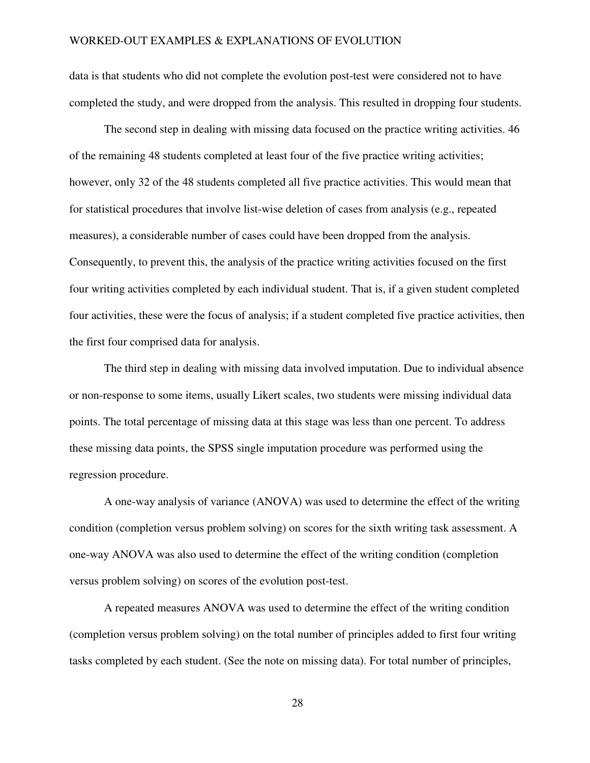data is that students who did not complete the evolution post-test were considered not to have completed the study, and were dropped from the analysis. This resulted in dropping four students.

The second step in dealing with missing data focused on the practice writing activities. 46 of the remaining 48 students completed at least four of the five practice writing activities; however, only 32 of the 48 students completed all five practice activities. This would mean that for statistical procedures that involve list-wise deletion of cases from analysis (e.g., repeated measures), a considerable number of cases could have been dropped from the analysis. Consequently, to prevent this, the analysis of the practice writing activities focused on the first four writing activities completed by each individual student. That is, if a given student completed four activities, these were the focus of analysis; if a student completed five practice activities, then the first four comprised data for analysis.

The third step in dealing with missing data involved imputation. Due to individual absence or non-response to some items, usually Likert scales, two students were missing individual data points. The total percentage of missing data at this stage was less than one percent. To address these missing data points, the SPSS single imputation procedure was performed using the regression procedure.

A one-way analysis of variance (ANOVA) was used to determine the effect of the writing condition (completion versus problem solving) on scores for the sixth writing task assessment. A one-way ANOVA was also used to determine the effect of the writing condition (completion versus problem solving) on scores of the evolution post-test.

A repeated measures ANOVA was used to determine the effect of the writing condition (completion versus problem solving) on the total number of principles added to first four writing tasks completed by each student. (See the note on missing data). For total number of principles,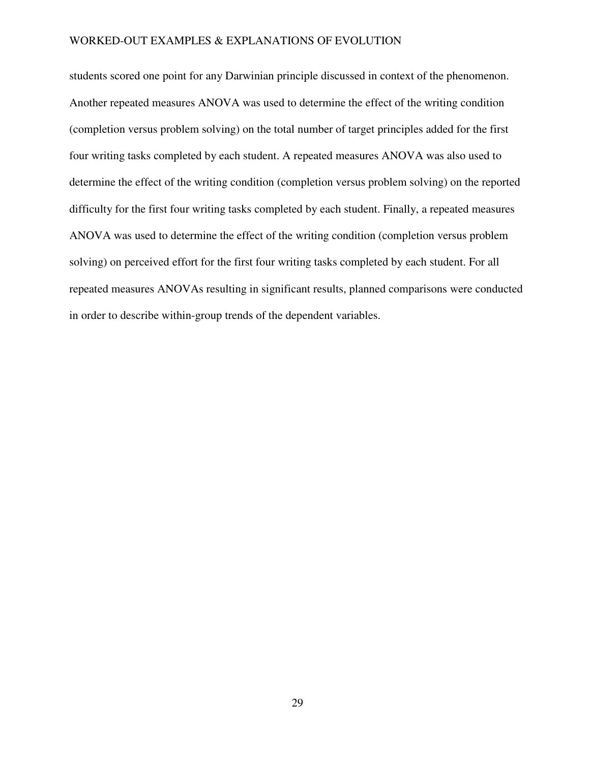students scored one point for any Darwinian principle discussed in context of the phenomenon. Another repeated measures ANOVA was used to determine the effect of the writing condition (completion versus problem solving) on the total number of target principles added for the first four writing tasks completed by each student. A repeated measures ANOVA was also used to determine the effect of the writing condition (completion versus problem solving) on the reported difficulty for the first four writing tasks completed by each student. Finally, a repeated measures ANOVA was used to determine the effect of the writing condition (completion versus problem solving) on perceived effort for the first four writing tasks completed by each student. For all repeated measures ANOVAs resulting in significant results, planned comparisons were conducted in order to describe within-group trends of the dependent variables.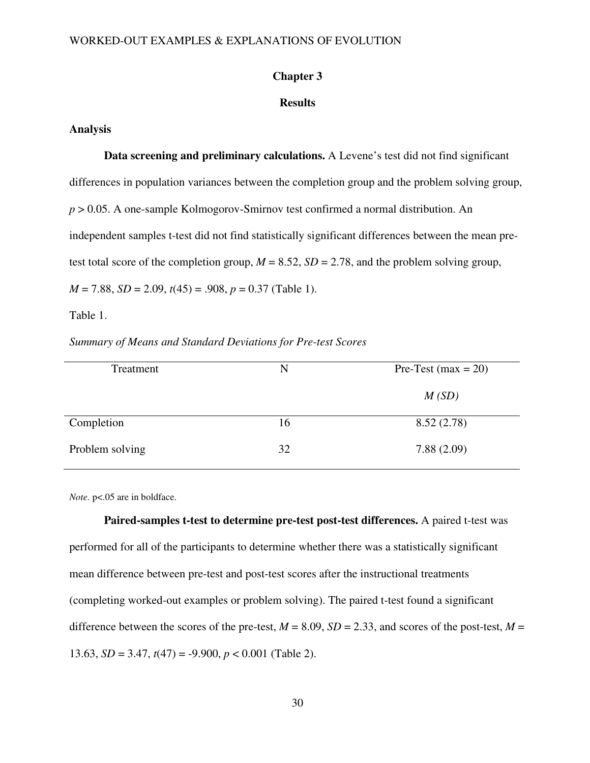#### **Chapter 3**

## **Results**

#### **Analysis**

**Data screening and preliminary calculations.** A Levene's test did not find significant differences in population variances between the completion group and the problem solving group, *p* > 0.05. A one-sample Kolmogorov-Smirnov test confirmed a normal distribution. An independent samples t-test did not find statistically significant differences between the mean pretest total score of the completion group,  $M = 8.52$ ,  $SD = 2.78$ , and the problem solving group, *M* = 7.88, *SD* = 2.09, *t*(45) = .908, *p* = 0.37 (Table 1).

## Table 1.

*Summary of Means and Standard Deviations for Pre-test Scores* 

| Treatment       | N  | Pre-Test (max = $20$ ) |
|-----------------|----|------------------------|
|                 |    | M(SD)                  |
| Completion      | 16 | 8.52(2.78)             |
| Problem solving | 32 | 7.88(2.09)             |

*Note.* p<.05 are in boldface.

**Paired-samples t-test to determine pre-test post-test differences.** A paired t-test was performed for all of the participants to determine whether there was a statistically significant mean difference between pre-test and post-test scores after the instructional treatments (completing worked-out examples or problem solving). The paired t-test found a significant difference between the scores of the pre-test,  $M = 8.09$ ,  $SD = 2.33$ , and scores of the post-test,  $M =$ 13.63, *SD* = 3.47, *t*(47) = -9.900, *p* < 0.001 (Table 2).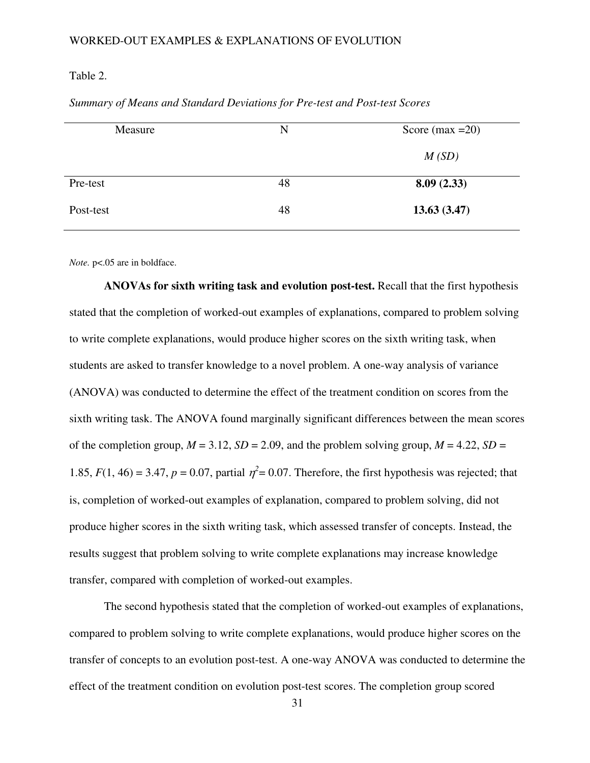#### Table 2.

| Measure   | N  | Score (max $=20$ ) |
|-----------|----|--------------------|
|           |    | M(SD)              |
| Pre-test  | 48 | 8.09(2.33)         |
| Post-test | 48 | 13.63(3.47)        |

*Summary of Means and Standard Deviations for Pre-test and Post-test Scores* 

*Note.* p<.05 are in boldface.

 **ANOVAs for sixth writing task and evolution post-test.** Recall that the first hypothesis stated that the completion of worked-out examples of explanations, compared to problem solving to write complete explanations, would produce higher scores on the sixth writing task, when students are asked to transfer knowledge to a novel problem. A one-way analysis of variance (ANOVA) was conducted to determine the effect of the treatment condition on scores from the sixth writing task. The ANOVA found marginally significant differences between the mean scores of the completion group,  $M = 3.12$ ,  $SD = 2.09$ , and the problem solving group,  $M = 4.22$ ,  $SD =$ 1.85,  $F(1, 46) = 3.47$ ,  $p = 0.07$ , partial  $\eta^2 = 0.07$ . Therefore, the first hypothesis was rejected; that is, completion of worked-out examples of explanation, compared to problem solving, did not produce higher scores in the sixth writing task, which assessed transfer of concepts. Instead, the results suggest that problem solving to write complete explanations may increase knowledge transfer, compared with completion of worked-out examples.

The second hypothesis stated that the completion of worked-out examples of explanations, compared to problem solving to write complete explanations, would produce higher scores on the transfer of concepts to an evolution post-test. A one-way ANOVA was conducted to determine the effect of the treatment condition on evolution post-test scores. The completion group scored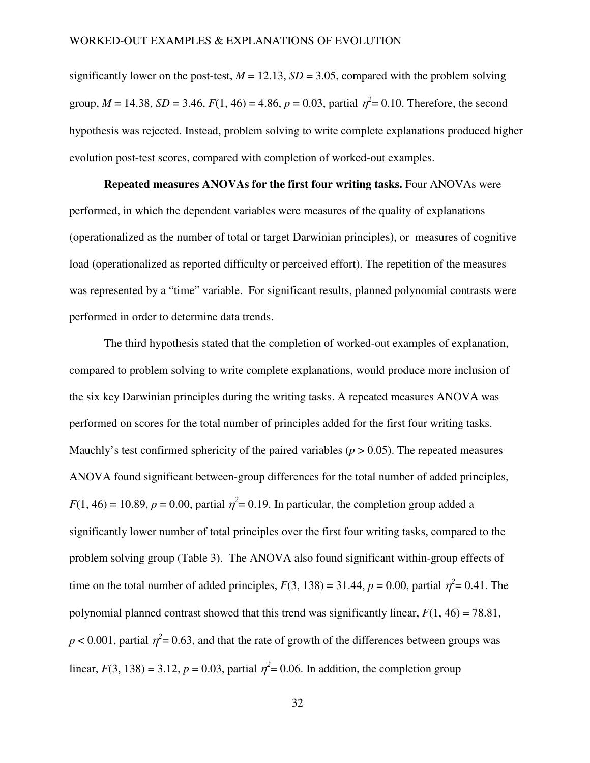significantly lower on the post-test,  $M = 12.13$ ,  $SD = 3.05$ , compared with the problem solving group,  $M = 14.38$ ,  $SD = 3.46$ ,  $F(1, 46) = 4.86$ ,  $p = 0.03$ , partial  $\eta^2 = 0.10$ . Therefore, the second hypothesis was rejected. Instead, problem solving to write complete explanations produced higher evolution post-test scores, compared with completion of worked-out examples.

# **Repeated measures ANOVAs for the first four writing tasks.** Four ANOVAs were performed, in which the dependent variables were measures of the quality of explanations (operationalized as the number of total or target Darwinian principles), or measures of cognitive load (operationalized as reported difficulty or perceived effort). The repetition of the measures was represented by a "time" variable. For significant results, planned polynomial contrasts were performed in order to determine data trends.

The third hypothesis stated that the completion of worked-out examples of explanation, compared to problem solving to write complete explanations, would produce more inclusion of the six key Darwinian principles during the writing tasks. A repeated measures ANOVA was performed on scores for the total number of principles added for the first four writing tasks. Mauchly's test confirmed sphericity of the paired variables ( $p > 0.05$ ). The repeated measures ANOVA found significant between-group differences for the total number of added principles,  $F(1, 46) = 10.89$ ,  $p = 0.00$ , partial  $\eta^2 = 0.19$ . In particular, the completion group added a significantly lower number of total principles over the first four writing tasks, compared to the problem solving group (Table 3). The ANOVA also found significant within-group effects of time on the total number of added principles,  $F(3, 138) = 31.44$ ,  $p = 0.00$ , partial  $\eta^2 = 0.41$ . The polynomial planned contrast showed that this trend was significantly linear,  $F(1, 46) = 78.81$ ,  $p < 0.001$ , partial  $\eta^2 = 0.63$ , and that the rate of growth of the differences between groups was linear,  $F(3, 138) = 3.12$ ,  $p = 0.03$ , partial  $\eta^2 = 0.06$ . In addition, the completion group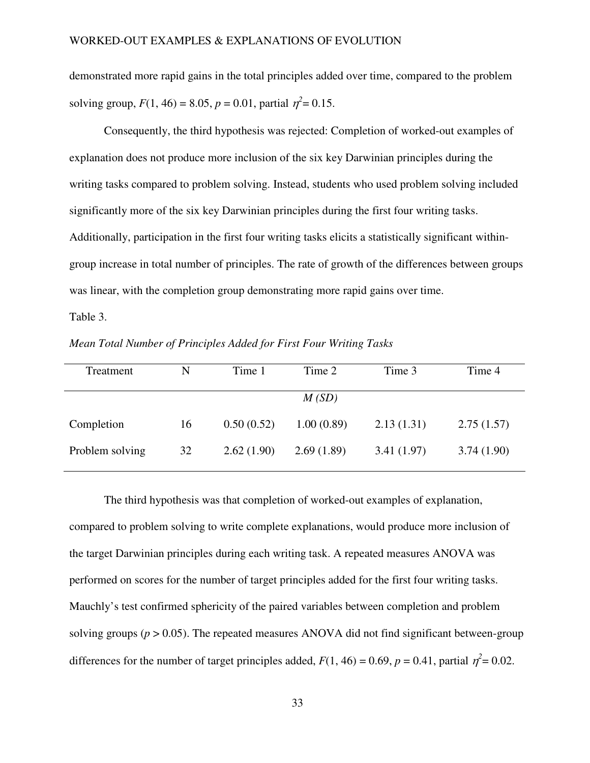demonstrated more rapid gains in the total principles added over time, compared to the problem solving group,  $F(1, 46) = 8.05$ ,  $p = 0.01$ , partial  $\eta^2 = 0.15$ .

Consequently, the third hypothesis was rejected: Completion of worked-out examples of explanation does not produce more inclusion of the six key Darwinian principles during the writing tasks compared to problem solving. Instead, students who used problem solving included significantly more of the six key Darwinian principles during the first four writing tasks. Additionally, participation in the first four writing tasks elicits a statistically significant withingroup increase in total number of principles. The rate of growth of the differences between groups was linear, with the completion group demonstrating more rapid gains over time. Table 3.

Treatment N Time 1 Time 2 Time 3 Time 4 *M (SD)* Completion 16 0.50 (0.52) 1.00 (0.89) 2.13 (1.31) 2.75 (1.57) Problem solving 32 2.62 (1.90) 2.69 (1.89) 3.41 (1.97) 3.74 (1.90)

*Mean Total Number of Principles Added for First Four Writing Tasks* 

 The third hypothesis was that completion of worked-out examples of explanation, compared to problem solving to write complete explanations, would produce more inclusion of the target Darwinian principles during each writing task. A repeated measures ANOVA was performed on scores for the number of target principles added for the first four writing tasks. Mauchly's test confirmed sphericity of the paired variables between completion and problem solving groups  $(p > 0.05)$ . The repeated measures ANOVA did not find significant between-group differences for the number of target principles added,  $F(1, 46) = 0.69$ ,  $p = 0.41$ , partial  $\eta^2 = 0.02$ .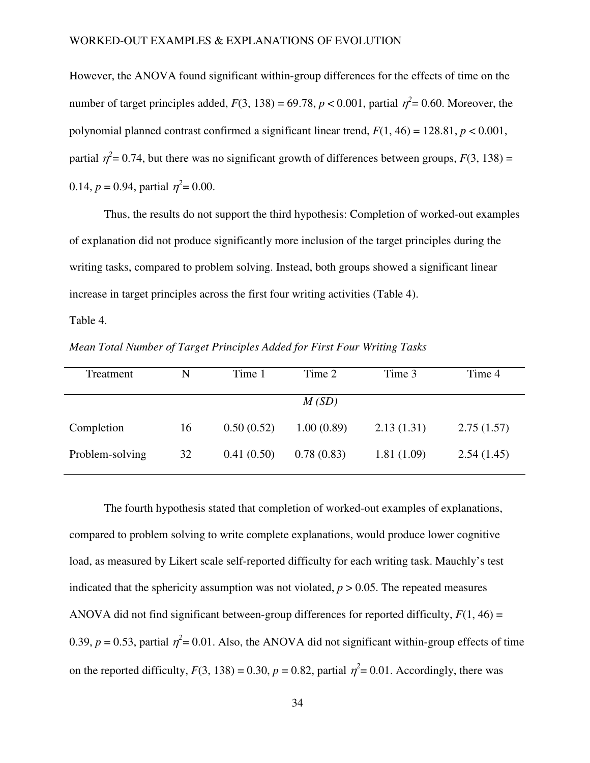However, the ANOVA found significant within-group differences for the effects of time on the number of target principles added,  $F(3, 138) = 69.78$ ,  $p < 0.001$ , partial  $\eta^2 = 0.60$ . Moreover, the polynomial planned contrast confirmed a significant linear trend,  $F(1, 46) = 128.81$ ,  $p < 0.001$ , partial  $\eta^2$  = 0.74, but there was no significant growth of differences between groups,  $F(3, 138)$  = 0.14,  $p = 0.94$ , partial  $\eta^2 = 0.00$ .

Thus, the results do not support the third hypothesis: Completion of worked-out examples of explanation did not produce significantly more inclusion of the target principles during the writing tasks, compared to problem solving. Instead, both groups showed a significant linear increase in target principles across the first four writing activities (Table 4).

Table 4.

*Mean Total Number of Target Principles Added for First Four Writing Tasks* 

| Treatment       | N  | Time 1     | Time 2     | Time 3     | Time 4     |
|-----------------|----|------------|------------|------------|------------|
|                 |    |            | M(SD)      |            |            |
| Completion      | 16 | 0.50(0.52) | 1.00(0.89) | 2.13(1.31) | 2.75(1.57) |
| Problem-solving | 32 | 0.41(0.50) | 0.78(0.83) | 1.81(1.09) | 2.54(1.45) |

 The fourth hypothesis stated that completion of worked-out examples of explanations, compared to problem solving to write complete explanations, would produce lower cognitive load, as measured by Likert scale self-reported difficulty for each writing task. Mauchly's test indicated that the sphericity assumption was not violated,  $p > 0.05$ . The repeated measures ANOVA did not find significant between-group differences for reported difficulty,  $F(1, 46) =$ 0.39,  $p = 0.53$ , partial  $\eta^2 = 0.01$ . Also, the ANOVA did not significant within-group effects of time on the reported difficulty,  $F(3, 138) = 0.30$ ,  $p = 0.82$ , partial  $\eta^2 = 0.01$ . Accordingly, there was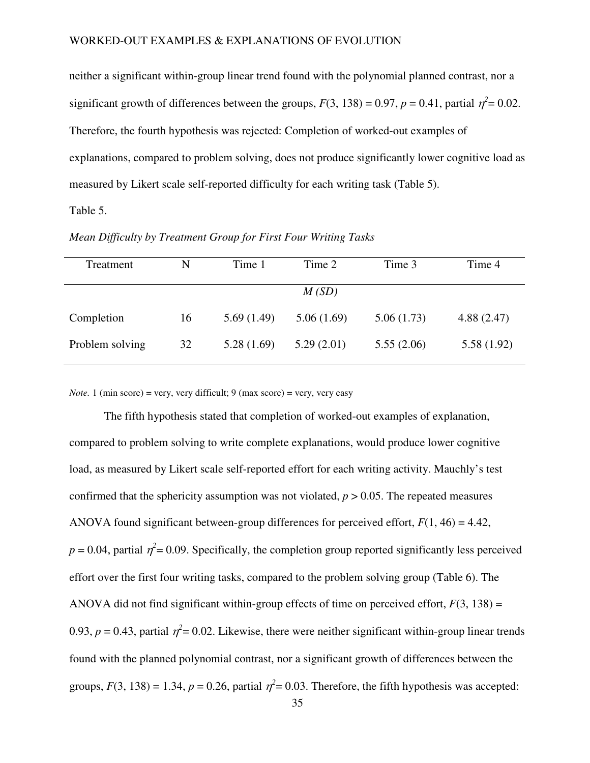neither a significant within-group linear trend found with the polynomial planned contrast, nor a significant growth of differences between the groups,  $F(3, 138) = 0.97$ ,  $p = 0.41$ , partial  $\eta^2 = 0.02$ . Therefore, the fourth hypothesis was rejected: Completion of worked-out examples of explanations, compared to problem solving, does not produce significantly lower cognitive load as measured by Likert scale self-reported difficulty for each writing task (Table 5). Table 5.

| Treatment       | N  | Time 1     | Time 2     | Time 3     | Time 4     |
|-----------------|----|------------|------------|------------|------------|
|                 |    |            | M(SD)      |            |            |
| Completion      | 16 | 5.69(1.49) | 5.06(1.69) | 5.06(1.73) | 4.88(2.47) |
| Problem solving | 32 | 5.28(1.69) | 5.29(2.01) | 5.55(2.06) | 5.58(1.92) |

*Mean Difficulty by Treatment Group for First Four Writing Tasks* 

*Note.* 1 (min score) = very, very difficult; 9 (max score) = very, very easy

 The fifth hypothesis stated that completion of worked-out examples of explanation, compared to problem solving to write complete explanations, would produce lower cognitive load, as measured by Likert scale self-reported effort for each writing activity. Mauchly's test confirmed that the sphericity assumption was not violated,  $p > 0.05$ . The repeated measures ANOVA found significant between-group differences for perceived effort, *F*(1, 46) = 4.42,  $p = 0.04$ , partial  $\eta^2 = 0.09$ . Specifically, the completion group reported significantly less perceived effort over the first four writing tasks, compared to the problem solving group (Table 6). The ANOVA did not find significant within-group effects of time on perceived effort,  $F(3, 138) =$ 0.93,  $p = 0.43$ , partial  $\eta^2 = 0.02$ . Likewise, there were neither significant within-group linear trends found with the planned polynomial contrast, nor a significant growth of differences between the groups,  $F(3, 138) = 1.34$ ,  $p = 0.26$ , partial  $\eta^2 = 0.03$ . Therefore, the fifth hypothesis was accepted: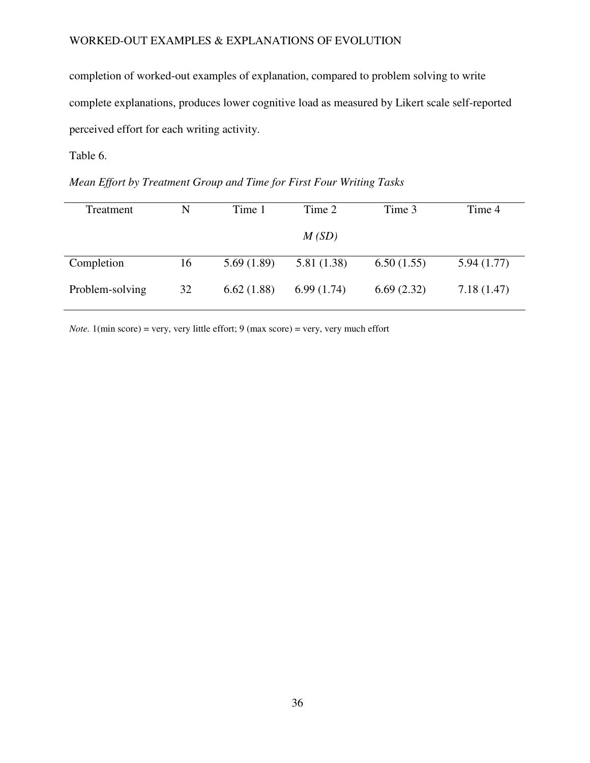completion of worked-out examples of explanation, compared to problem solving to write complete explanations, produces lower cognitive load as measured by Likert scale self-reported perceived effort for each writing activity.

Table 6.

*Mean Effort by Treatment Group and Time for First Four Writing Tasks* 

| Treatment       | N  | Time 1     | Time 2     | Time 3     | Time 4     |
|-----------------|----|------------|------------|------------|------------|
|                 |    |            | M(SD)      |            |            |
| Completion      | 16 | 5.69(1.89) | 5.81(1.38) | 6.50(1.55) | 5.94(1.77) |
| Problem-solving | 32 | 6.62(1.88) | 6.99(1.74) | 6.69(2.32) | 7.18(1.47) |

*Note.* 1(min score) = very, very little effort; 9 (max score) = very, very much effort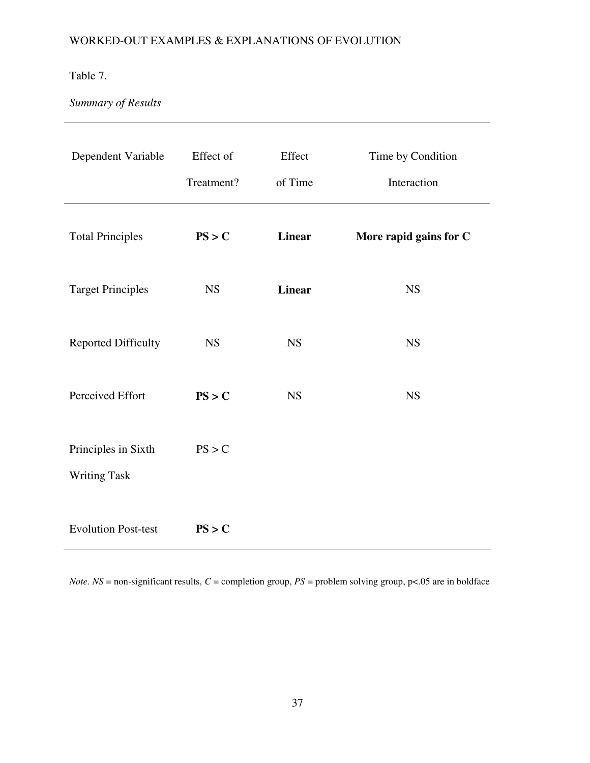## Table 7.

# *Summary of Results*

| Dependent Variable         | Effect of  | Effect        | Time by Condition      |
|----------------------------|------------|---------------|------------------------|
|                            | Treatment? | of Time       | Interaction            |
| <b>Total Principles</b>    | PS > C     | <b>Linear</b> | More rapid gains for C |
| <b>Target Principles</b>   | <b>NS</b>  | <b>Linear</b> | <b>NS</b>              |
| <b>Reported Difficulty</b> | <b>NS</b>  | <b>NS</b>     | <b>NS</b>              |
| Perceived Effort           | PS > C     | <b>NS</b>     | <b>NS</b>              |
| Principles in Sixth        | PS > C     |               |                        |
| <b>Writing Task</b>        |            |               |                        |
| <b>Evolution Post-test</b> | PS > C     |               |                        |

*Note.*  $NS =$  non-significant results,  $C =$  completion group,  $PS =$  problem solving group,  $p < .05$  are in boldface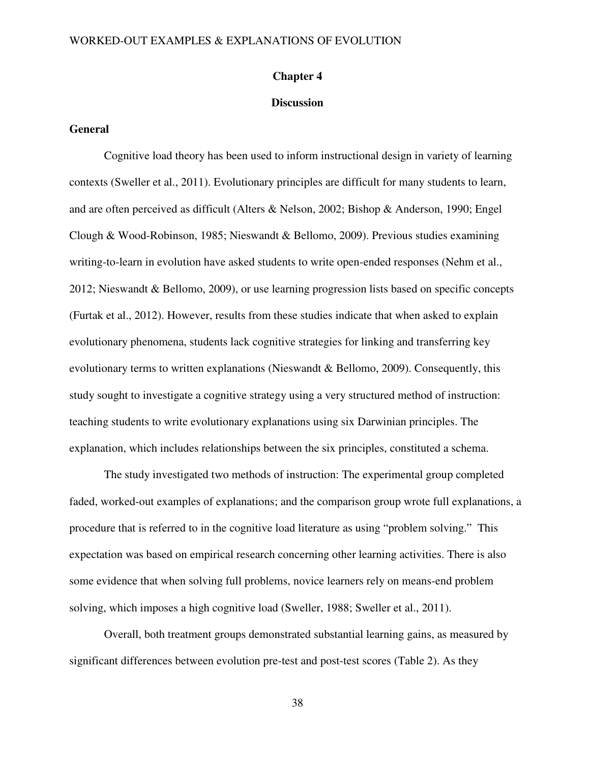#### **Chapter 4**

#### **Discussion**

## **General**

Cognitive load theory has been used to inform instructional design in variety of learning contexts (Sweller et al., 2011). Evolutionary principles are difficult for many students to learn, and are often perceived as difficult (Alters & Nelson, 2002; Bishop & Anderson, 1990; Engel Clough & Wood-Robinson, 1985; Nieswandt & Bellomo, 2009). Previous studies examining writing-to-learn in evolution have asked students to write open-ended responses (Nehm et al., 2012; Nieswandt & Bellomo, 2009), or use learning progression lists based on specific concepts (Furtak et al., 2012). However, results from these studies indicate that when asked to explain evolutionary phenomena, students lack cognitive strategies for linking and transferring key evolutionary terms to written explanations (Nieswandt & Bellomo, 2009). Consequently, this study sought to investigate a cognitive strategy using a very structured method of instruction: teaching students to write evolutionary explanations using six Darwinian principles. The explanation, which includes relationships between the six principles, constituted a schema.

The study investigated two methods of instruction: The experimental group completed faded, worked-out examples of explanations; and the comparison group wrote full explanations, a procedure that is referred to in the cognitive load literature as using "problem solving." This expectation was based on empirical research concerning other learning activities. There is also some evidence that when solving full problems, novice learners rely on means-end problem solving, which imposes a high cognitive load (Sweller, 1988; Sweller et al., 2011).

Overall, both treatment groups demonstrated substantial learning gains, as measured by significant differences between evolution pre-test and post-test scores (Table 2). As they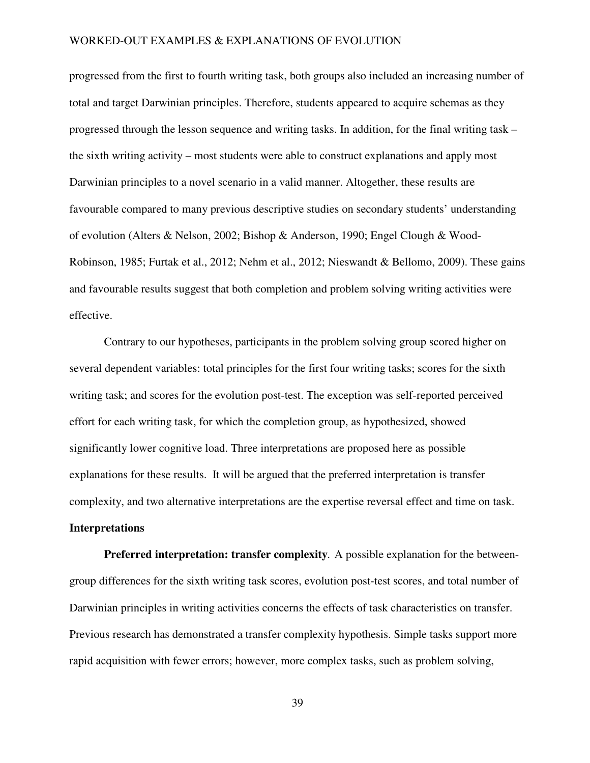progressed from the first to fourth writing task, both groups also included an increasing number of total and target Darwinian principles. Therefore, students appeared to acquire schemas as they progressed through the lesson sequence and writing tasks. In addition, for the final writing task – the sixth writing activity – most students were able to construct explanations and apply most Darwinian principles to a novel scenario in a valid manner. Altogether, these results are favourable compared to many previous descriptive studies on secondary students' understanding of evolution (Alters & Nelson, 2002; Bishop & Anderson, 1990; Engel Clough & Wood-Robinson, 1985; Furtak et al., 2012; Nehm et al., 2012; Nieswandt & Bellomo, 2009). These gains and favourable results suggest that both completion and problem solving writing activities were effective.

Contrary to our hypotheses, participants in the problem solving group scored higher on several dependent variables: total principles for the first four writing tasks; scores for the sixth writing task; and scores for the evolution post-test. The exception was self-reported perceived effort for each writing task, for which the completion group, as hypothesized, showed significantly lower cognitive load. Three interpretations are proposed here as possible explanations for these results. It will be argued that the preferred interpretation is transfer complexity, and two alternative interpretations are the expertise reversal effect and time on task. **Interpretations**

**Preferred interpretation: transfer complexity.** A possible explanation for the betweengroup differences for the sixth writing task scores, evolution post-test scores, and total number of Darwinian principles in writing activities concerns the effects of task characteristics on transfer. Previous research has demonstrated a transfer complexity hypothesis. Simple tasks support more rapid acquisition with fewer errors; however, more complex tasks, such as problem solving,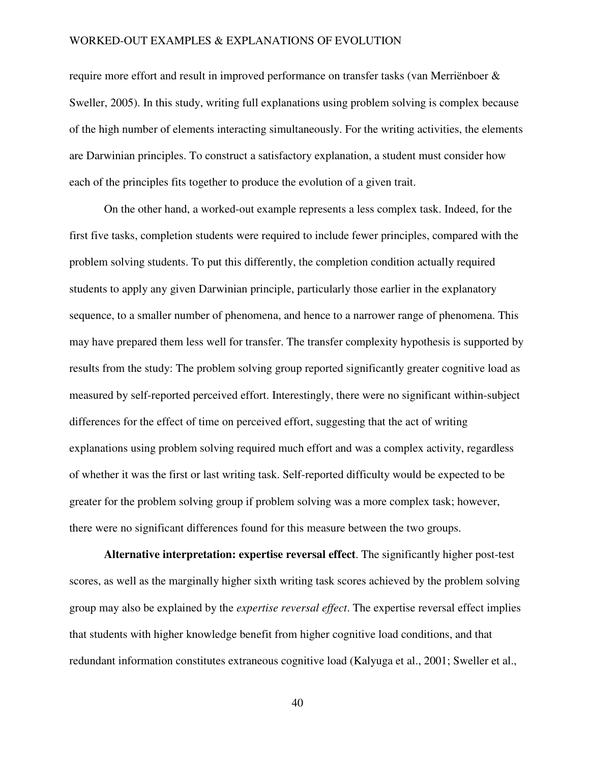require more effort and result in improved performance on transfer tasks (van Merriënboer & Sweller, 2005). In this study, writing full explanations using problem solving is complex because of the high number of elements interacting simultaneously. For the writing activities, the elements are Darwinian principles. To construct a satisfactory explanation, a student must consider how each of the principles fits together to produce the evolution of a given trait.

On the other hand, a worked-out example represents a less complex task. Indeed, for the first five tasks, completion students were required to include fewer principles, compared with the problem solving students. To put this differently, the completion condition actually required students to apply any given Darwinian principle, particularly those earlier in the explanatory sequence, to a smaller number of phenomena, and hence to a narrower range of phenomena. This may have prepared them less well for transfer. The transfer complexity hypothesis is supported by results from the study: The problem solving group reported significantly greater cognitive load as measured by self-reported perceived effort. Interestingly, there were no significant within-subject differences for the effect of time on perceived effort, suggesting that the act of writing explanations using problem solving required much effort and was a complex activity, regardless of whether it was the first or last writing task. Self-reported difficulty would be expected to be greater for the problem solving group if problem solving was a more complex task; however, there were no significant differences found for this measure between the two groups.

**Alternative interpretation: expertise reversal effect**. The significantly higher post-test scores, as well as the marginally higher sixth writing task scores achieved by the problem solving group may also be explained by the *expertise reversal effect*. The expertise reversal effect implies that students with higher knowledge benefit from higher cognitive load conditions, and that redundant information constitutes extraneous cognitive load (Kalyuga et al., 2001; Sweller et al.,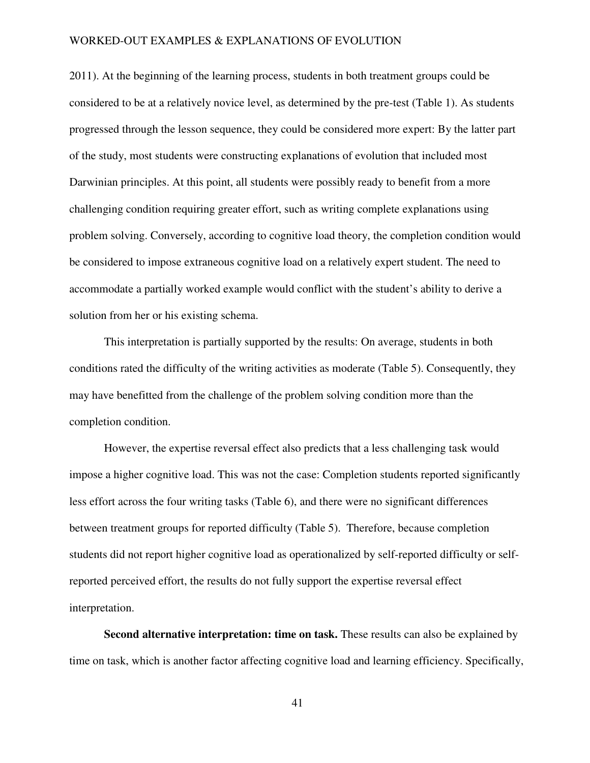2011). At the beginning of the learning process, students in both treatment groups could be considered to be at a relatively novice level, as determined by the pre-test (Table 1). As students progressed through the lesson sequence, they could be considered more expert: By the latter part of the study, most students were constructing explanations of evolution that included most Darwinian principles. At this point, all students were possibly ready to benefit from a more challenging condition requiring greater effort, such as writing complete explanations using problem solving. Conversely, according to cognitive load theory, the completion condition would be considered to impose extraneous cognitive load on a relatively expert student. The need to accommodate a partially worked example would conflict with the student's ability to derive a solution from her or his existing schema.

This interpretation is partially supported by the results: On average, students in both conditions rated the difficulty of the writing activities as moderate (Table 5). Consequently, they may have benefitted from the challenge of the problem solving condition more than the completion condition.

However, the expertise reversal effect also predicts that a less challenging task would impose a higher cognitive load. This was not the case: Completion students reported significantly less effort across the four writing tasks (Table 6), and there were no significant differences between treatment groups for reported difficulty (Table 5). Therefore, because completion students did not report higher cognitive load as operationalized by self-reported difficulty or selfreported perceived effort, the results do not fully support the expertise reversal effect interpretation.

**Second alternative interpretation: time on task.** These results can also be explained by time on task, which is another factor affecting cognitive load and learning efficiency. Specifically,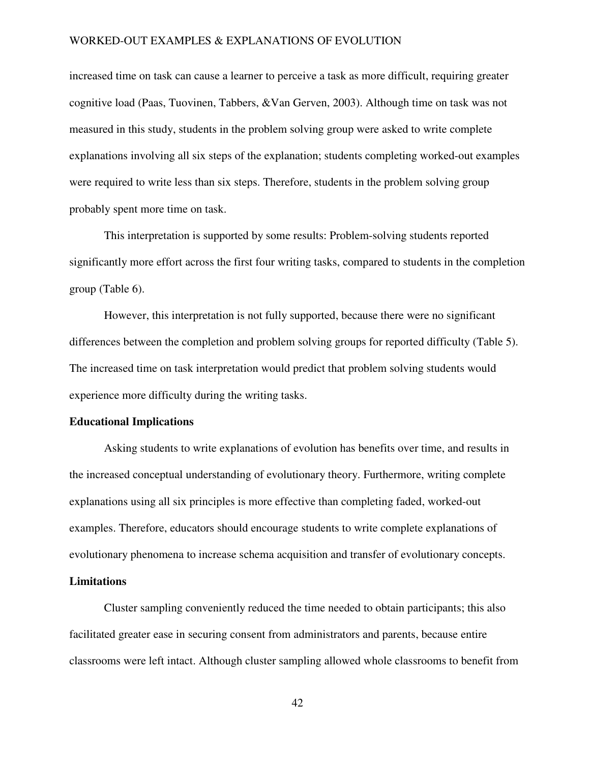increased time on task can cause a learner to perceive a task as more difficult, requiring greater cognitive load (Paas, Tuovinen, Tabbers, &Van Gerven, 2003). Although time on task was not measured in this study, students in the problem solving group were asked to write complete explanations involving all six steps of the explanation; students completing worked-out examples were required to write less than six steps. Therefore, students in the problem solving group probably spent more time on task.

This interpretation is supported by some results: Problem-solving students reported significantly more effort across the first four writing tasks, compared to students in the completion group (Table 6).

However, this interpretation is not fully supported, because there were no significant differences between the completion and problem solving groups for reported difficulty (Table 5). The increased time on task interpretation would predict that problem solving students would experience more difficulty during the writing tasks.

#### **Educational Implications**

 Asking students to write explanations of evolution has benefits over time, and results in the increased conceptual understanding of evolutionary theory. Furthermore, writing complete explanations using all six principles is more effective than completing faded, worked-out examples. Therefore, educators should encourage students to write complete explanations of evolutionary phenomena to increase schema acquisition and transfer of evolutionary concepts.

## **Limitations**

Cluster sampling conveniently reduced the time needed to obtain participants; this also facilitated greater ease in securing consent from administrators and parents, because entire classrooms were left intact. Although cluster sampling allowed whole classrooms to benefit from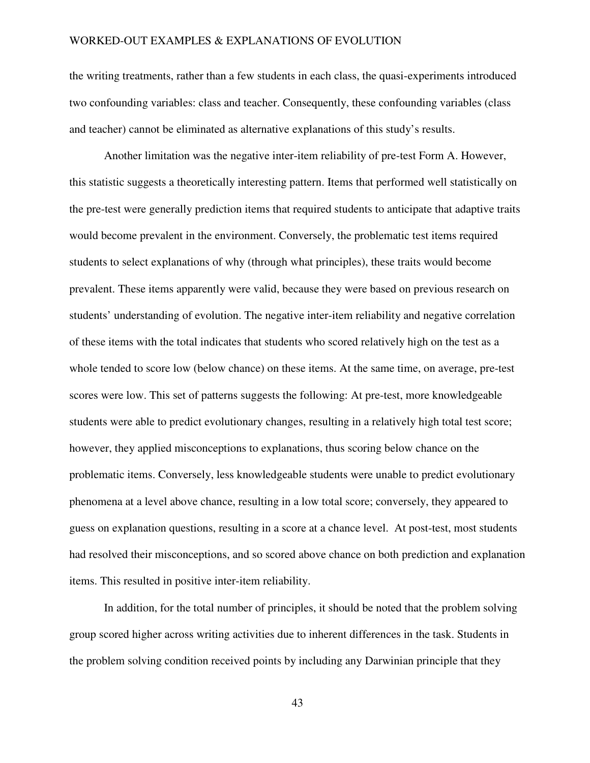the writing treatments, rather than a few students in each class, the quasi-experiments introduced two confounding variables: class and teacher. Consequently, these confounding variables (class and teacher) cannot be eliminated as alternative explanations of this study's results.

 Another limitation was the negative inter-item reliability of pre-test Form A. However, this statistic suggests a theoretically interesting pattern. Items that performed well statistically on the pre-test were generally prediction items that required students to anticipate that adaptive traits would become prevalent in the environment. Conversely, the problematic test items required students to select explanations of why (through what principles), these traits would become prevalent. These items apparently were valid, because they were based on previous research on students' understanding of evolution. The negative inter-item reliability and negative correlation of these items with the total indicates that students who scored relatively high on the test as a whole tended to score low (below chance) on these items. At the same time, on average, pre-test scores were low. This set of patterns suggests the following: At pre-test, more knowledgeable students were able to predict evolutionary changes, resulting in a relatively high total test score; however, they applied misconceptions to explanations, thus scoring below chance on the problematic items. Conversely, less knowledgeable students were unable to predict evolutionary phenomena at a level above chance, resulting in a low total score; conversely, they appeared to guess on explanation questions, resulting in a score at a chance level. At post-test, most students had resolved their misconceptions, and so scored above chance on both prediction and explanation items. This resulted in positive inter-item reliability.

In addition, for the total number of principles, it should be noted that the problem solving group scored higher across writing activities due to inherent differences in the task. Students in the problem solving condition received points by including any Darwinian principle that they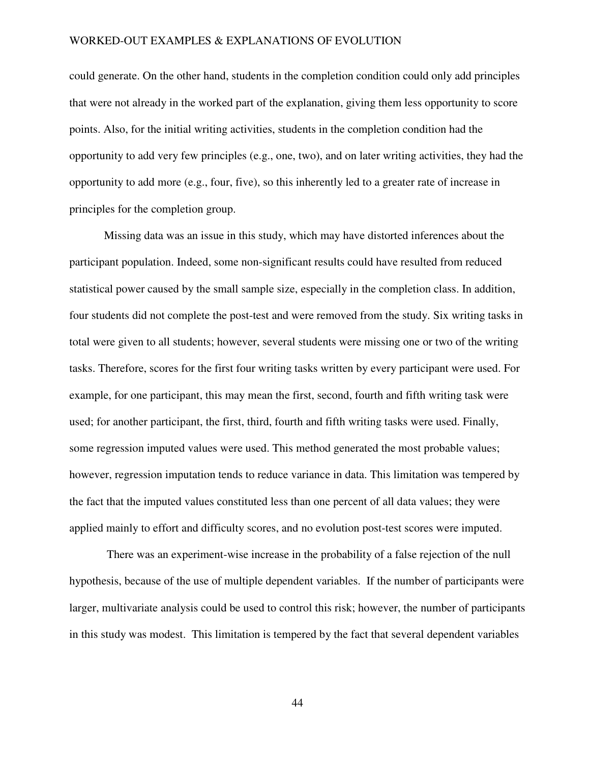could generate. On the other hand, students in the completion condition could only add principles that were not already in the worked part of the explanation, giving them less opportunity to score points. Also, for the initial writing activities, students in the completion condition had the opportunity to add very few principles (e.g., one, two), and on later writing activities, they had the opportunity to add more (e.g., four, five), so this inherently led to a greater rate of increase in principles for the completion group.

Missing data was an issue in this study, which may have distorted inferences about the participant population. Indeed, some non-significant results could have resulted from reduced statistical power caused by the small sample size, especially in the completion class. In addition, four students did not complete the post-test and were removed from the study. Six writing tasks in total were given to all students; however, several students were missing one or two of the writing tasks. Therefore, scores for the first four writing tasks written by every participant were used. For example, for one participant, this may mean the first, second, fourth and fifth writing task were used; for another participant, the first, third, fourth and fifth writing tasks were used. Finally, some regression imputed values were used. This method generated the most probable values; however, regression imputation tends to reduce variance in data. This limitation was tempered by the fact that the imputed values constituted less than one percent of all data values; they were applied mainly to effort and difficulty scores, and no evolution post-test scores were imputed.

 There was an experiment-wise increase in the probability of a false rejection of the null hypothesis, because of the use of multiple dependent variables. If the number of participants were larger, multivariate analysis could be used to control this risk; however, the number of participants in this study was modest. This limitation is tempered by the fact that several dependent variables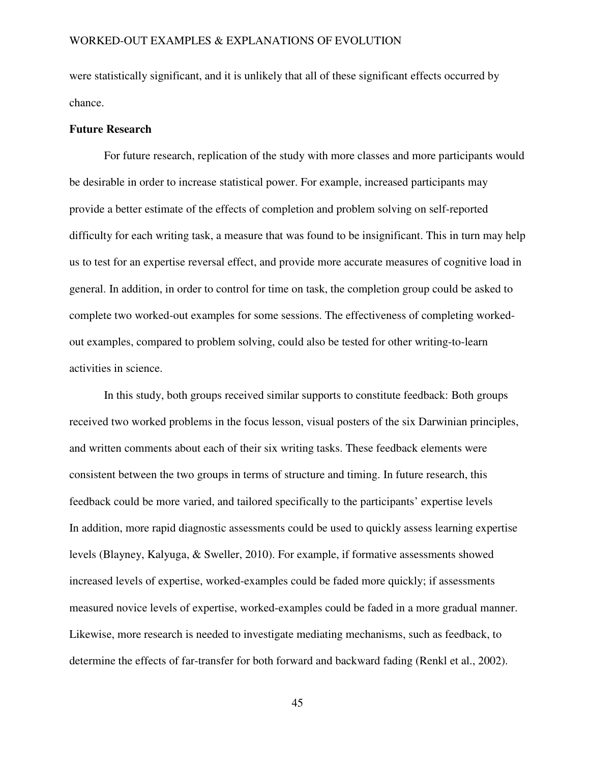were statistically significant, and it is unlikely that all of these significant effects occurred by chance.

#### **Future Research**

For future research, replication of the study with more classes and more participants would be desirable in order to increase statistical power. For example, increased participants may provide a better estimate of the effects of completion and problem solving on self-reported difficulty for each writing task, a measure that was found to be insignificant. This in turn may help us to test for an expertise reversal effect, and provide more accurate measures of cognitive load in general. In addition, in order to control for time on task, the completion group could be asked to complete two worked-out examples for some sessions. The effectiveness of completing workedout examples, compared to problem solving, could also be tested for other writing-to-learn activities in science.

In this study, both groups received similar supports to constitute feedback: Both groups received two worked problems in the focus lesson, visual posters of the six Darwinian principles, and written comments about each of their six writing tasks. These feedback elements were consistent between the two groups in terms of structure and timing. In future research, this feedback could be more varied, and tailored specifically to the participants' expertise levels In addition, more rapid diagnostic assessments could be used to quickly assess learning expertise levels (Blayney, Kalyuga, & Sweller, 2010). For example, if formative assessments showed increased levels of expertise, worked-examples could be faded more quickly; if assessments measured novice levels of expertise, worked-examples could be faded in a more gradual manner. Likewise, more research is needed to investigate mediating mechanisms, such as feedback, to determine the effects of far-transfer for both forward and backward fading (Renkl et al., 2002).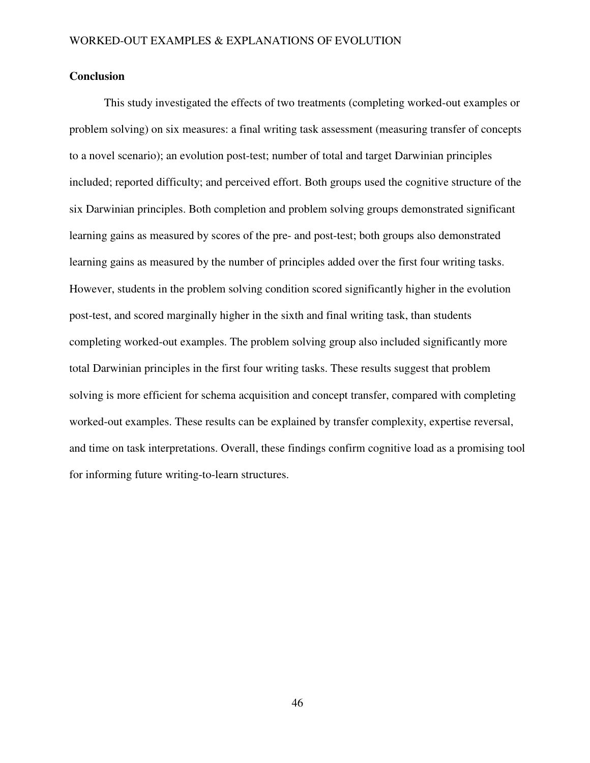## **Conclusion**

 This study investigated the effects of two treatments (completing worked-out examples or problem solving) on six measures: a final writing task assessment (measuring transfer of concepts to a novel scenario); an evolution post-test; number of total and target Darwinian principles included; reported difficulty; and perceived effort. Both groups used the cognitive structure of the six Darwinian principles. Both completion and problem solving groups demonstrated significant learning gains as measured by scores of the pre- and post-test; both groups also demonstrated learning gains as measured by the number of principles added over the first four writing tasks. However, students in the problem solving condition scored significantly higher in the evolution post-test, and scored marginally higher in the sixth and final writing task, than students completing worked-out examples. The problem solving group also included significantly more total Darwinian principles in the first four writing tasks. These results suggest that problem solving is more efficient for schema acquisition and concept transfer, compared with completing worked-out examples. These results can be explained by transfer complexity, expertise reversal, and time on task interpretations. Overall, these findings confirm cognitive load as a promising tool for informing future writing-to-learn structures.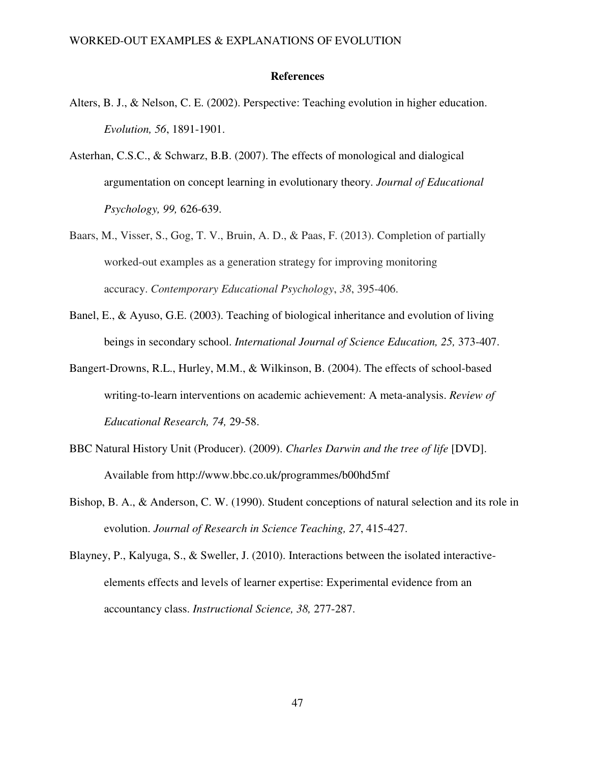#### **References**

- Alters, B. J., & Nelson, C. E. (2002). Perspective: Teaching evolution in higher education. *Evolution, 56*, 1891-1901.
- Asterhan, C.S.C., & Schwarz, B.B. (2007). The effects of monological and dialogical argumentation on concept learning in evolutionary theory. *Journal of Educational Psychology, 99,* 626-639.
- Baars, M., Visser, S., Gog, T. V., Bruin, A. D., & Paas, F. (2013). Completion of partially worked-out examples as a generation strategy for improving monitoring accuracy. *Contemporary Educational Psychology*, *38*, 395-406.
- Banel, E., & Ayuso, G.E. (2003). Teaching of biological inheritance and evolution of living beings in secondary school. *International Journal of Science Education, 25,* 373-407.
- Bangert-Drowns, R.L., Hurley, M.M., & Wilkinson, B. (2004). The effects of school-based writing-to-learn interventions on academic achievement: A meta-analysis. *Review of Educational Research, 74,* 29-58.
- BBC Natural History Unit (Producer). (2009). *Charles Darwin and the tree of life* [DVD]. Available from http://www.bbc.co.uk/programmes/b00hd5mf
- Bishop, B. A., & Anderson, C. W. (1990). Student conceptions of natural selection and its role in evolution. *Journal of Research in Science Teaching, 27*, 415-427.
- Blayney, P., Kalyuga, S., & Sweller, J. (2010). Interactions between the isolated interactive elements effects and levels of learner expertise: Experimental evidence from an accountancy class. *Instructional Science, 38,* 277-287.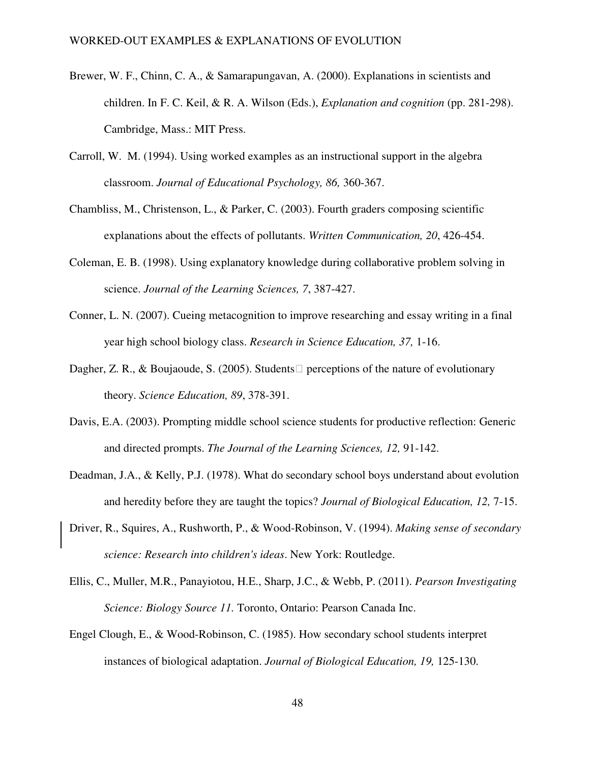- Brewer, W. F., Chinn, C. A., & Samarapungavan, A. (2000). Explanations in scientists and children. In F. C. Keil, & R. A. Wilson (Eds.), *Explanation and cognition* (pp. 281-298). Cambridge, Mass.: MIT Press.
- Carroll, W. M. (1994). Using worked examples as an instructional support in the algebra classroom. *Journal of Educational Psychology, 86,* 360-367.
- Chambliss, M., Christenson, L., & Parker, C. (2003). Fourth graders composing scientific explanations about the effects of pollutants. *Written Communication, 20*, 426-454.
- Coleman, E. B. (1998). Using explanatory knowledge during collaborative problem solving in science. *Journal of the Learning Sciences, 7*, 387-427.
- Conner, L. N. (2007). Cueing metacognition to improve researching and essay writing in a final year high school biology class. *Research in Science Education, 37,* 1-16.
- Dagher, Z. R., & Boujaoude, S. (2005). Students perceptions of the nature of evolutionary theory. *Science Education, 89*, 378-391.
- Davis, E.A. (2003). Prompting middle school science students for productive reflection: Generic and directed prompts. *The Journal of the Learning Sciences, 12,* 91-142.
- Deadman, J.A., & Kelly, P.J. (1978). What do secondary school boys understand about evolution and heredity before they are taught the topics? *Journal of Biological Education, 12,* 7-15.
- Driver, R., Squires, A., Rushworth, P., & Wood-Robinson, V. (1994). *Making sense of secondary science: Research into children's ideas*. New York: Routledge.
- Ellis, C., Muller, M.R., Panayiotou, H.E., Sharp, J.C., & Webb, P. (2011). *Pearson Investigating Science: Biology Source 11.* Toronto, Ontario: Pearson Canada Inc.
- Engel Clough, E., & Wood-Robinson, C. (1985). How secondary school students interpret instances of biological adaptation. *Journal of Biological Education, 19,* 125-130.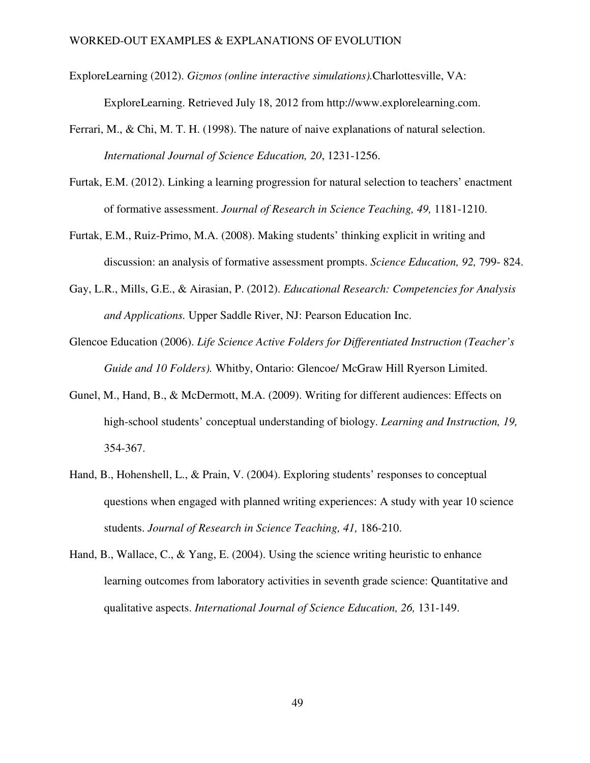- ExploreLearning (2012). *Gizmos (online interactive simulations).*Charlottesville, VA: ExploreLearning. Retrieved July 18, 2012 from http://www.explorelearning.com.
- Ferrari, M., & Chi, M. T. H. (1998). The nature of naive explanations of natural selection. *International Journal of Science Education, 20*, 1231-1256.
- Furtak, E.M. (2012). Linking a learning progression for natural selection to teachers' enactment of formative assessment. *Journal of Research in Science Teaching, 49,* 1181-1210.
- Furtak, E.M., Ruiz-Primo, M.A. (2008). Making students' thinking explicit in writing and discussion: an analysis of formative assessment prompts. *Science Education, 92,* 799- 824.
- Gay, L.R., Mills, G.E., & Airasian, P. (2012). *Educational Research: Competencies for Analysis and Applications.* Upper Saddle River, NJ: Pearson Education Inc.
- Glencoe Education (2006). *Life Science Active Folders for Differentiated Instruction (Teacher's Guide and 10 Folders).* Whitby, Ontario: Glencoe/ McGraw Hill Ryerson Limited.
- Gunel, M., Hand, B., & McDermott, M.A. (2009). Writing for different audiences: Effects on high-school students' conceptual understanding of biology. *Learning and Instruction, 19,* 354-367.
- Hand, B., Hohenshell, L., & Prain, V. (2004). Exploring students' responses to conceptual questions when engaged with planned writing experiences: A study with year 10 science students. *Journal of Research in Science Teaching, 41,* 186-210.
- Hand, B., Wallace, C., & Yang, E. (2004). Using the science writing heuristic to enhance learning outcomes from laboratory activities in seventh grade science: Quantitative and qualitative aspects. *International Journal of Science Education, 26,* 131-149.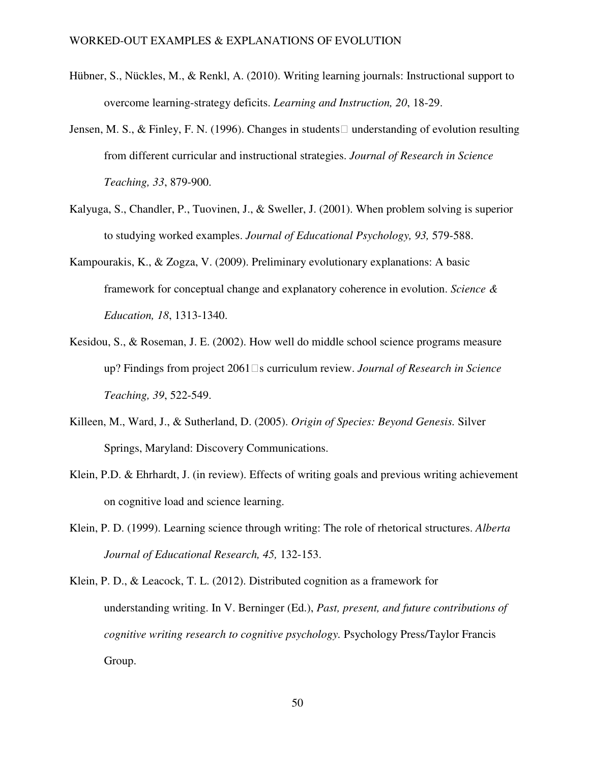- Hübner, S., Nückles, M., & Renkl, A. (2010). Writing learning journals: Instructional support to overcome learning-strategy deficits. *Learning and Instruction, 20*, 18-29.
- Jensen, M. S., & Finley, F. N. (1996). Changes in students understanding of evolution resulting from different curricular and instructional strategies. *Journal of Research in Science Teaching, 33*, 879-900.
- Kalyuga, S., Chandler, P., Tuovinen, J., & Sweller, J. (2001). When problem solving is superior to studying worked examples. *Journal of Educational Psychology, 93,* 579-588.
- Kampourakis, K., & Zogza, V. (2009). Preliminary evolutionary explanations: A basic framework for conceptual change and explanatory coherence in evolution. *Science & Education, 18*, 1313-1340.
- Kesidou, S., & Roseman, J. E. (2002). How well do middle school science programs measure up? Findings from project 2061s curriculum review. *Journal of Research in Science Teaching, 39*, 522-549.
- Killeen, M., Ward, J., & Sutherland, D. (2005). *Origin of Species: Beyond Genesis.* Silver Springs, Maryland: Discovery Communications.
- Klein, P.D. & Ehrhardt, J. (in review). Effects of writing goals and previous writing achievement on cognitive load and science learning.
- Klein, P. D. (1999). Learning science through writing: The role of rhetorical structures. *Alberta Journal of Educational Research, 45,* 132-153.

Klein, P. D., & Leacock, T. L. (2012). Distributed cognition as a framework for understanding writing. In V. Berninger (Ed.), *Past, present, and future contributions of cognitive writing research to cognitive psychology.* Psychology Press/Taylor Francis Group.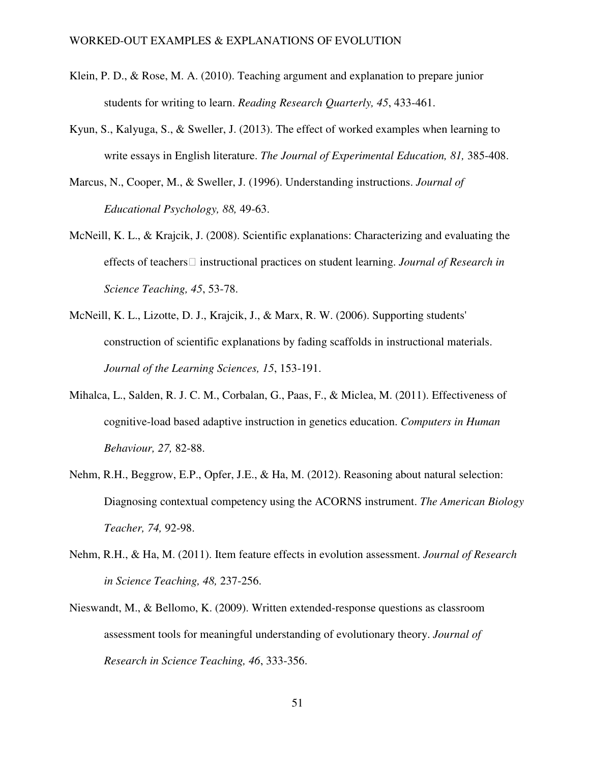- Klein, P. D., & Rose, M. A. (2010). Teaching argument and explanation to prepare junior students for writing to learn. *Reading Research Quarterly, 45*, 433-461.
- Kyun, S., Kalyuga, S., & Sweller, J. (2013). The effect of worked examples when learning to write essays in English literature. *The Journal of Experimental Education, 81,* 385-408.
- Marcus, N., Cooper, M., & Sweller, J. (1996). Understanding instructions. *Journal of Educational Psychology, 88,* 49-63.
- McNeill, K. L., & Krajcik, J. (2008). Scientific explanations: Characterizing and evaluating the effects of teachers instructional practices on student learning. *Journal of Research in Science Teaching, 45*, 53-78.
- McNeill, K. L., Lizotte, D. J., Krajcik, J., & Marx, R. W. (2006). Supporting students' construction of scientific explanations by fading scaffolds in instructional materials. *Journal of the Learning Sciences, 15*, 153-191.
- Mihalca, L., Salden, R. J. C. M., Corbalan, G., Paas, F., & Miclea, M. (2011). Effectiveness of cognitive-load based adaptive instruction in genetics education. *Computers in Human Behaviour, 27,* 82-88.
- Nehm, R.H., Beggrow, E.P., Opfer, J.E., & Ha, M. (2012). Reasoning about natural selection: Diagnosing contextual competency using the ACORNS instrument. *The American Biology Teacher, 74,* 92-98.
- Nehm, R.H., & Ha, M. (2011). Item feature effects in evolution assessment. *Journal of Research in Science Teaching, 48,* 237-256.
- Nieswandt, M., & Bellomo, K. (2009). Written extended-response questions as classroom assessment tools for meaningful understanding of evolutionary theory. *Journal of Research in Science Teaching, 46*, 333-356.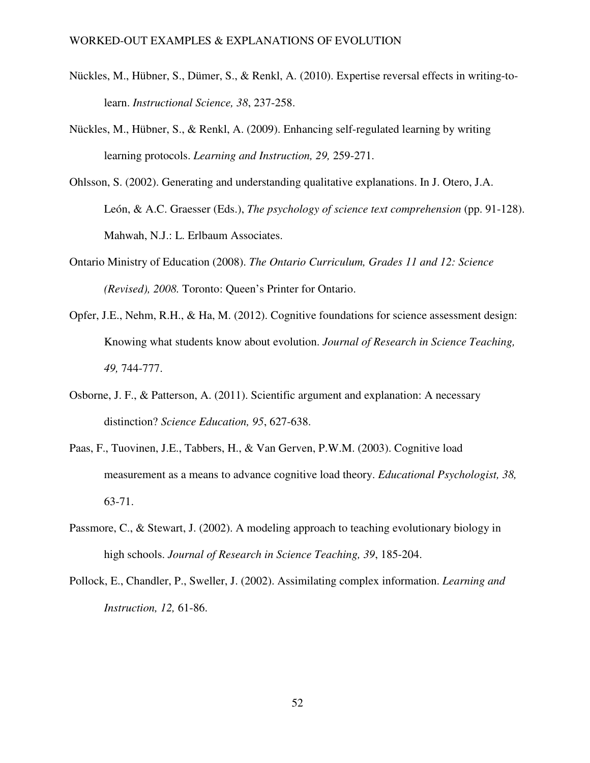- Nückles, M., Hübner, S., Dümer, S., & Renkl, A. (2010). Expertise reversal effects in writing-tolearn. *Instructional Science, 38*, 237-258.
- Nückles, M., Hübner, S., & Renkl, A. (2009). Enhancing self-regulated learning by writing learning protocols. *Learning and Instruction, 29,* 259-271.
- Ohlsson, S. (2002). Generating and understanding qualitative explanations. In J. Otero, J.A. León, & A.C. Graesser (Eds.), *The psychology of science text comprehension* (pp. 91-128). Mahwah, N.J.: L. Erlbaum Associates.
- Ontario Ministry of Education (2008). *The Ontario Curriculum, Grades 11 and 12: Science (Revised), 2008.* Toronto: Queen's Printer for Ontario.
- Opfer, J.E., Nehm, R.H., & Ha, M. (2012). Cognitive foundations for science assessment design: Knowing what students know about evolution. *Journal of Research in Science Teaching, 49,* 744-777.
- Osborne, J. F., & Patterson, A. (2011). Scientific argument and explanation: A necessary distinction? *Science Education, 95*, 627-638.
- Paas, F., Tuovinen, J.E., Tabbers, H., & Van Gerven, P.W.M. (2003). Cognitive load measurement as a means to advance cognitive load theory. *Educational Psychologist, 38,* 63-71.
- Passmore, C., & Stewart, J. (2002). A modeling approach to teaching evolutionary biology in high schools. *Journal of Research in Science Teaching, 39*, 185-204.
- Pollock, E., Chandler, P., Sweller, J. (2002). Assimilating complex information. *Learning and Instruction, 12,* 61-86.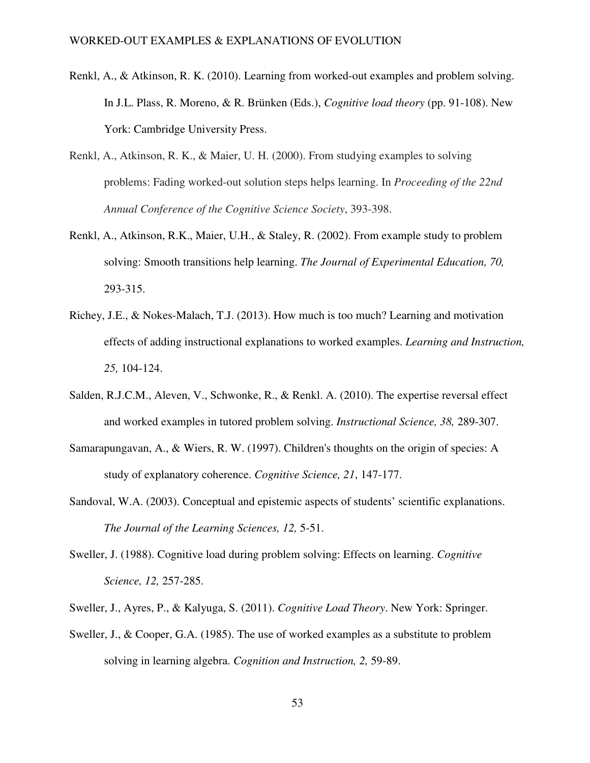- Renkl, A., & Atkinson, R. K. (2010). Learning from worked-out examples and problem solving. In J.L. Plass, R. Moreno, & R. Brünken (Eds.), *Cognitive load theory* (pp. 91-108). New York: Cambridge University Press.
- Renkl, A., Atkinson, R. K., & Maier, U. H. (2000). From studying examples to solving problems: Fading worked-out solution steps helps learning. In *Proceeding of the 22nd Annual Conference of the Cognitive Science Society*, 393-398.
- Renkl, A., Atkinson, R.K., Maier, U.H., & Staley, R. (2002). From example study to problem solving: Smooth transitions help learning. *The Journal of Experimental Education, 70,* 293-315.
- Richey, J.E., & Nokes-Malach, T.J. (2013). How much is too much? Learning and motivation effects of adding instructional explanations to worked examples. *Learning and Instruction, 25,* 104-124.
- Salden, R.J.C.M., Aleven, V., Schwonke, R., & Renkl. A. (2010). The expertise reversal effect and worked examples in tutored problem solving. *Instructional Science, 38,* 289-307.
- Samarapungavan, A., & Wiers, R. W. (1997). Children's thoughts on the origin of species: A study of explanatory coherence. *Cognitive Science, 21*, 147-177.
- Sandoval, W.A. (2003). Conceptual and epistemic aspects of students' scientific explanations. *The Journal of the Learning Sciences, 12,* 5-51.
- Sweller, J. (1988). Cognitive load during problem solving: Effects on learning. *Cognitive Science, 12,* 257-285.
- Sweller, J., Ayres, P., & Kalyuga, S. (2011). *Cognitive Load Theory*. New York: Springer.
- Sweller, J., & Cooper, G.A. (1985). The use of worked examples as a substitute to problem solving in learning algebra. *Cognition and Instruction, 2,* 59-89.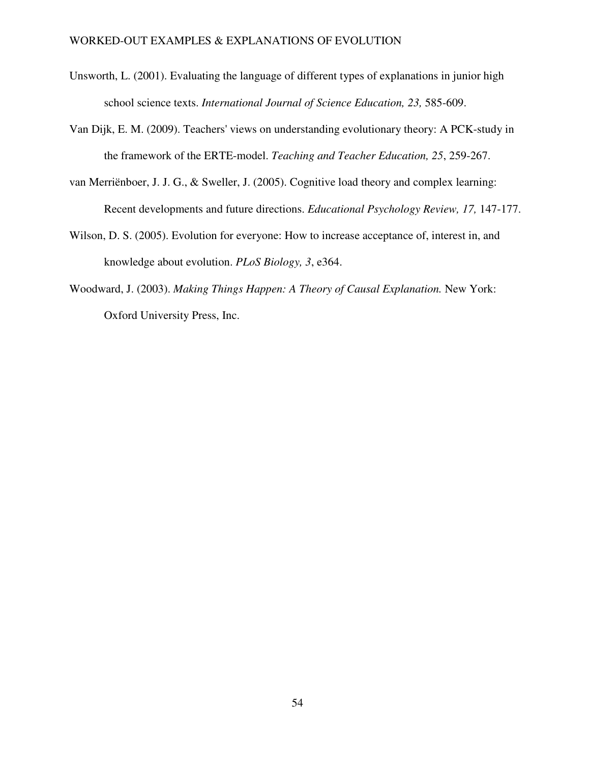- Unsworth, L. (2001). Evaluating the language of different types of explanations in junior high school science texts. *International Journal of Science Education, 23,* 585-609.
- Van Dijk, E. M. (2009). Teachers' views on understanding evolutionary theory: A PCK-study in the framework of the ERTE-model. *Teaching and Teacher Education, 25*, 259-267.
- van Merriënboer, J. J. G., & Sweller, J. (2005). Cognitive load theory and complex learning: Recent developments and future directions. *Educational Psychology Review, 17,* 147-177.
- Wilson, D. S. (2005). Evolution for everyone: How to increase acceptance of, interest in, and knowledge about evolution. *PLoS Biology, 3*, e364.
- Woodward, J. (2003). *Making Things Happen: A Theory of Causal Explanation.* New York: Oxford University Press, Inc.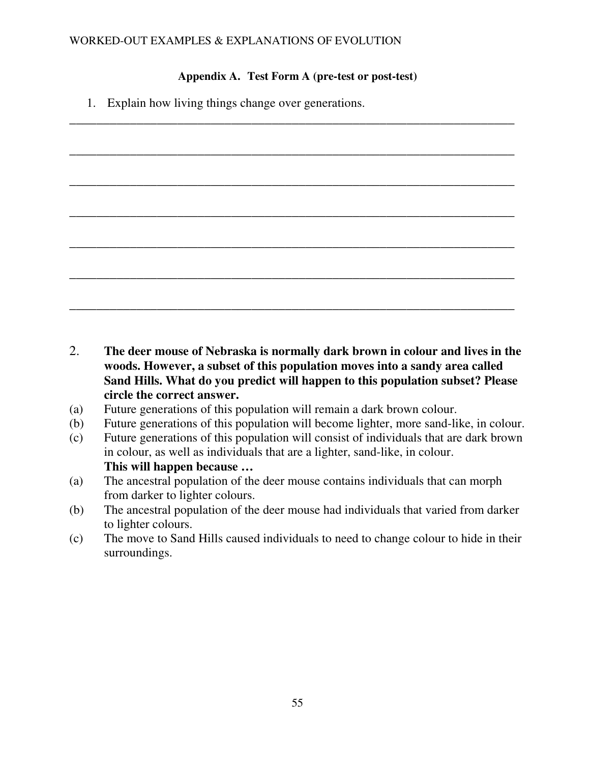## **Appendix A. Test Form A (pre-test or post-test)**

\_\_\_\_\_\_\_\_\_\_\_\_\_\_\_\_\_\_\_\_\_\_\_\_\_\_\_\_\_\_\_\_\_\_\_\_\_\_\_\_\_\_\_\_\_\_\_\_\_\_\_\_\_\_\_\_\_\_\_\_\_\_\_\_\_\_

\_\_\_\_\_\_\_\_\_\_\_\_\_\_\_\_\_\_\_\_\_\_\_\_\_\_\_\_\_\_\_\_\_\_\_\_\_\_\_\_\_\_\_\_\_\_\_\_\_\_\_\_\_\_\_\_\_\_\_\_\_\_\_\_\_\_

\_\_\_\_\_\_\_\_\_\_\_\_\_\_\_\_\_\_\_\_\_\_\_\_\_\_\_\_\_\_\_\_\_\_\_\_\_\_\_\_\_\_\_\_\_\_\_\_\_\_\_\_\_\_\_\_\_\_\_\_\_\_\_\_\_\_

\_\_\_\_\_\_\_\_\_\_\_\_\_\_\_\_\_\_\_\_\_\_\_\_\_\_\_\_\_\_\_\_\_\_\_\_\_\_\_\_\_\_\_\_\_\_\_\_\_\_\_\_\_\_\_\_\_\_\_\_\_\_\_\_\_\_

\_\_\_\_\_\_\_\_\_\_\_\_\_\_\_\_\_\_\_\_\_\_\_\_\_\_\_\_\_\_\_\_\_\_\_\_\_\_\_\_\_\_\_\_\_\_\_\_\_\_\_\_\_\_\_\_\_\_\_\_\_\_\_\_\_\_

1. Explain how living things change over generations.

| The deer mouse of Nebraska is normally dark brown in colour and lives in the |
|------------------------------------------------------------------------------|
| woods. However, a subset of this population moves into a sandy area called   |

- **woods. However, a subset of this population moves into a sandy area called Sand Hills. What do you predict will happen to this population subset? Please circle the correct answer.**
- (a) Future generations of this population will remain a dark brown colour.
- (b) Future generations of this population will become lighter, more sand-like, in colour.
- (c) Future generations of this population will consist of individuals that are dark brown in colour, as well as individuals that are a lighter, sand-like, in colour. **This will happen because …**
- (a) The ancestral population of the deer mouse contains individuals that can morph from darker to lighter colours.
- (b) The ancestral population of the deer mouse had individuals that varied from darker to lighter colours.
- (c) The move to Sand Hills caused individuals to need to change colour to hide in their surroundings.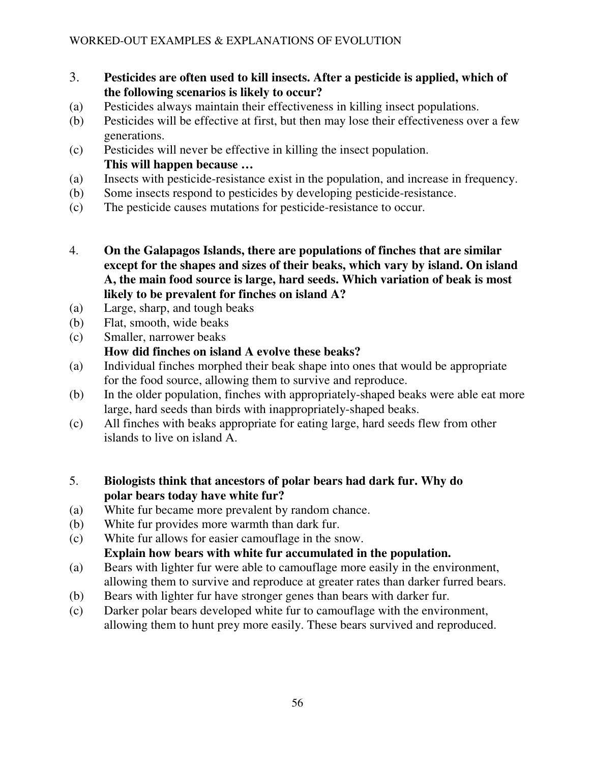- 3. **Pesticides are often used to kill insects. After a pesticide is applied, which of the following scenarios is likely to occur?**
- (a) Pesticides always maintain their effectiveness in killing insect populations.
- (b) Pesticides will be effective at first, but then may lose their effectiveness over a few generations.
- (c) Pesticides will never be effective in killing the insect population. **This will happen because …**
- (a) Insects with pesticide-resistance exist in the population, and increase in frequency.
- (b) Some insects respond to pesticides by developing pesticide-resistance.
- (c) The pesticide causes mutations for pesticide-resistance to occur.
- 4. **On the Galapagos Islands, there are populations of finches that are similar except for the shapes and sizes of their beaks, which vary by island. On island A, the main food source is large, hard seeds. Which variation of beak is most likely to be prevalent for finches on island A?**
- (a) Large, sharp, and tough beaks
- (b) Flat, smooth, wide beaks
- (c) Smaller, narrower beaks

# **How did finches on island A evolve these beaks?**

- (a) Individual finches morphed their beak shape into ones that would be appropriate for the food source, allowing them to survive and reproduce.
- (b) In the older population, finches with appropriately-shaped beaks were able eat more large, hard seeds than birds with inappropriately-shaped beaks.
- (c) All finches with beaks appropriate for eating large, hard seeds flew from other islands to live on island A.
- 5. **Biologists think that ancestors of polar bears had dark fur. Why do polar bears today have white fur?**
- (a) White fur became more prevalent by random chance.
- (b) White fur provides more warmth than dark fur.
- (c) White fur allows for easier camouflage in the snow.

# **Explain how bears with white fur accumulated in the population.**

- (a) Bears with lighter fur were able to camouflage more easily in the environment, allowing them to survive and reproduce at greater rates than darker furred bears.
- (b) Bears with lighter fur have stronger genes than bears with darker fur.
- (c) Darker polar bears developed white fur to camouflage with the environment, allowing them to hunt prey more easily. These bears survived and reproduced.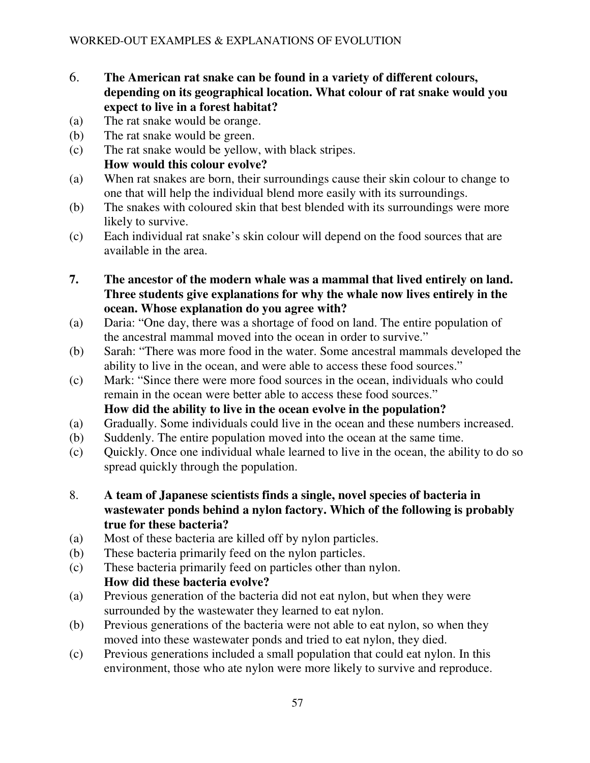- 6. **The American rat snake can be found in a variety of different colours, depending on its geographical location. What colour of rat snake would you expect to live in a forest habitat?**
- (a) The rat snake would be orange.
- (b) The rat snake would be green.
- (c) The rat snake would be yellow, with black stripes. **How would this colour evolve?**
- (a) When rat snakes are born, their surroundings cause their skin colour to change to one that will help the individual blend more easily with its surroundings.
- (b) The snakes with coloured skin that best blended with its surroundings were more likely to survive.
- (c) Each individual rat snake's skin colour will depend on the food sources that are available in the area.
- **7. The ancestor of the modern whale was a mammal that lived entirely on land. Three students give explanations for why the whale now lives entirely in the ocean. Whose explanation do you agree with?**
- (a) Daria: "One day, there was a shortage of food on land. The entire population of the ancestral mammal moved into the ocean in order to survive."
- (b) Sarah: "There was more food in the water. Some ancestral mammals developed the ability to live in the ocean, and were able to access these food sources."
- (c) Mark: "Since there were more food sources in the ocean, individuals who could remain in the ocean were better able to access these food sources." **How did the ability to live in the ocean evolve in the population?**
- (a) Gradually. Some individuals could live in the ocean and these numbers increased.
- (b) Suddenly. The entire population moved into the ocean at the same time.
- (c) Quickly. Once one individual whale learned to live in the ocean, the ability to do so spread quickly through the population.
- 8. **A team of Japanese scientists finds a single, novel species of bacteria in wastewater ponds behind a nylon factory. Which of the following is probably true for these bacteria?**
- (a) Most of these bacteria are killed off by nylon particles.
- (b) These bacteria primarily feed on the nylon particles.
- (c) These bacteria primarily feed on particles other than nylon. **How did these bacteria evolve?**
- (a) Previous generation of the bacteria did not eat nylon, but when they were surrounded by the wastewater they learned to eat nylon.
- (b) Previous generations of the bacteria were not able to eat nylon, so when they moved into these wastewater ponds and tried to eat nylon, they died.
- (c) Previous generations included a small population that could eat nylon. In this environment, those who ate nylon were more likely to survive and reproduce.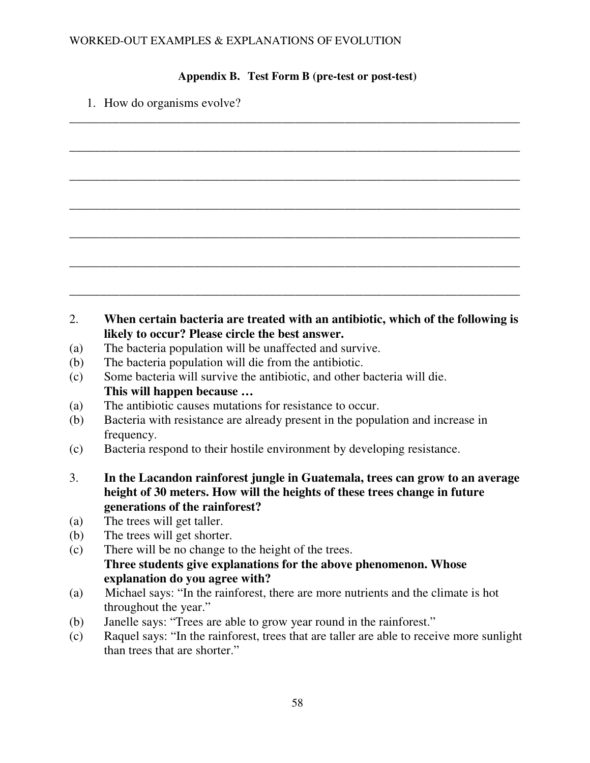## **Appendix B. Test Form B (pre-test or post-test)**

\_\_\_\_\_\_\_\_\_\_\_\_\_\_\_\_\_\_\_\_\_\_\_\_\_\_\_\_\_\_\_\_\_\_\_\_\_\_\_\_\_\_\_\_\_\_\_\_\_\_\_\_\_\_\_\_\_\_\_\_\_\_\_\_\_\_\_\_\_\_\_\_

\_\_\_\_\_\_\_\_\_\_\_\_\_\_\_\_\_\_\_\_\_\_\_\_\_\_\_\_\_\_\_\_\_\_\_\_\_\_\_\_\_\_\_\_\_\_\_\_\_\_\_\_\_\_\_\_\_\_\_\_\_\_\_\_\_\_\_\_\_\_\_\_

\_\_\_\_\_\_\_\_\_\_\_\_\_\_\_\_\_\_\_\_\_\_\_\_\_\_\_\_\_\_\_\_\_\_\_\_\_\_\_\_\_\_\_\_\_\_\_\_\_\_\_\_\_\_\_\_\_\_\_\_\_\_\_\_\_\_\_\_\_\_\_\_

\_\_\_\_\_\_\_\_\_\_\_\_\_\_\_\_\_\_\_\_\_\_\_\_\_\_\_\_\_\_\_\_\_\_\_\_\_\_\_\_\_\_\_\_\_\_\_\_\_\_\_\_\_\_\_\_\_\_\_\_\_\_\_\_\_\_\_\_\_\_\_\_

\_\_\_\_\_\_\_\_\_\_\_\_\_\_\_\_\_\_\_\_\_\_\_\_\_\_\_\_\_\_\_\_\_\_\_\_\_\_\_\_\_\_\_\_\_\_\_\_\_\_\_\_\_\_\_\_\_\_\_\_\_\_\_\_\_\_\_\_\_\_\_\_

\_\_\_\_\_\_\_\_\_\_\_\_\_\_\_\_\_\_\_\_\_\_\_\_\_\_\_\_\_\_\_\_\_\_\_\_\_\_\_\_\_\_\_\_\_\_\_\_\_\_\_\_\_\_\_\_\_\_\_\_\_\_\_\_\_\_\_\_\_\_\_\_

\_\_\_\_\_\_\_\_\_\_\_\_\_\_\_\_\_\_\_\_\_\_\_\_\_\_\_\_\_\_\_\_\_\_\_\_\_\_\_\_\_\_\_\_\_\_\_\_\_\_\_\_\_\_\_\_\_\_\_\_\_\_\_\_\_\_\_\_\_\_\_\_

1. How do organisms evolve?

## 2. **When certain bacteria are treated with an antibiotic, which of the following is likely to occur? Please circle the best answer.**

- (a) The bacteria population will be unaffected and survive.
- (b) The bacteria population will die from the antibiotic.
- (c) Some bacteria will survive the antibiotic, and other bacteria will die. **This will happen because …**
- (a) The antibiotic causes mutations for resistance to occur.
- (b) Bacteria with resistance are already present in the population and increase in frequency.
- (c) Bacteria respond to their hostile environment by developing resistance.
- 3. **In the Lacandon rainforest jungle in Guatemala, trees can grow to an average height of 30 meters. How will the heights of these trees change in future generations of the rainforest?**
- (a) The trees will get taller.
- (b) The trees will get shorter.
- (c) There will be no change to the height of the trees. **Three students give explanations for the above phenomenon. Whose explanation do you agree with?**
- (a) Michael says: "In the rainforest, there are more nutrients and the climate is hot throughout the year."
- (b) Janelle says: "Trees are able to grow year round in the rainforest."
- (c) Raquel says: "In the rainforest, trees that are taller are able to receive more sunlight than trees that are shorter."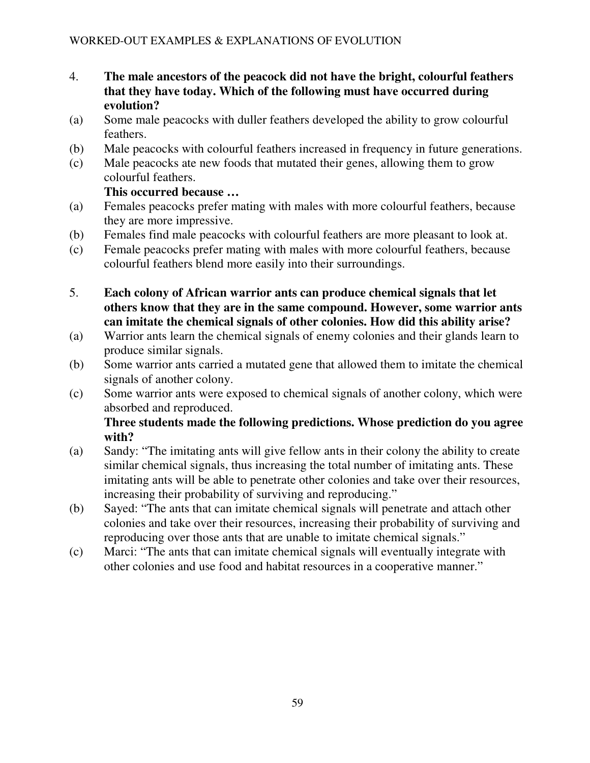- 4. **The male ancestors of the peacock did not have the bright, colourful feathers that they have today. Which of the following must have occurred during evolution?**
- (a) Some male peacocks with duller feathers developed the ability to grow colourful feathers.
- (b) Male peacocks with colourful feathers increased in frequency in future generations.
- (c) Male peacocks ate new foods that mutated their genes, allowing them to grow colourful feathers.

# **This occurred because …**

- (a) Females peacocks prefer mating with males with more colourful feathers, because they are more impressive.
- (b) Females find male peacocks with colourful feathers are more pleasant to look at.
- (c) Female peacocks prefer mating with males with more colourful feathers, because colourful feathers blend more easily into their surroundings.
- 5. **Each colony of African warrior ants can produce chemical signals that let others know that they are in the same compound. However, some warrior ants can imitate the chemical signals of other colonies. How did this ability arise?**
- (a) Warrior ants learn the chemical signals of enemy colonies and their glands learn to produce similar signals.
- (b) Some warrior ants carried a mutated gene that allowed them to imitate the chemical signals of another colony.
- (c) Some warrior ants were exposed to chemical signals of another colony, which were absorbed and reproduced.

# **Three students made the following predictions. Whose prediction do you agree with?**

- (a) Sandy: "The imitating ants will give fellow ants in their colony the ability to create similar chemical signals, thus increasing the total number of imitating ants. These imitating ants will be able to penetrate other colonies and take over their resources, increasing their probability of surviving and reproducing."
- (b) Sayed: "The ants that can imitate chemical signals will penetrate and attach other colonies and take over their resources, increasing their probability of surviving and reproducing over those ants that are unable to imitate chemical signals."
- (c) Marci: "The ants that can imitate chemical signals will eventually integrate with other colonies and use food and habitat resources in a cooperative manner."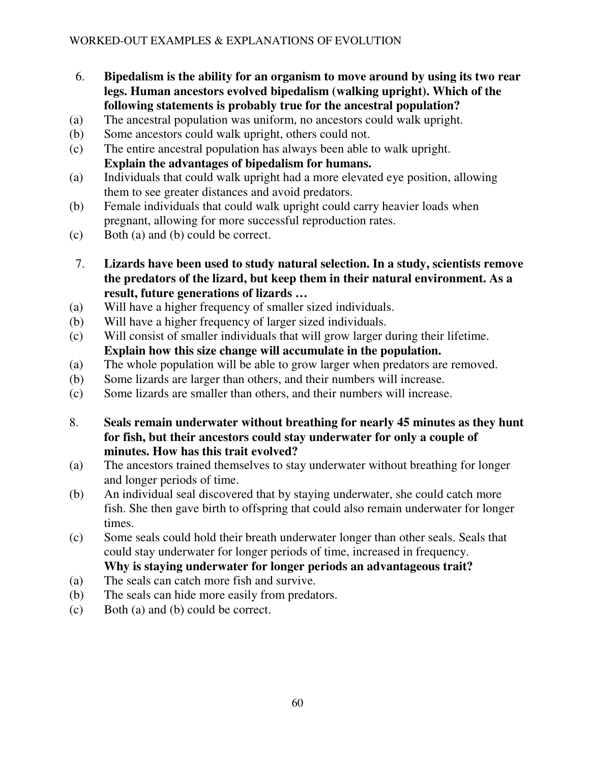- 6. **Bipedalism is the ability for an organism to move around by using its two rear legs. Human ancestors evolved bipedalism (walking upright). Which of the following statements is probably true for the ancestral population?**
- (a) The ancestral population was uniform, no ancestors could walk upright.
- (b) Some ancestors could walk upright, others could not.
- (c) The entire ancestral population has always been able to walk upright. **Explain the advantages of bipedalism for humans.**
- (a) Individuals that could walk upright had a more elevated eye position, allowing them to see greater distances and avoid predators.
- (b) Female individuals that could walk upright could carry heavier loads when pregnant, allowing for more successful reproduction rates.
- (c) Both (a) and (b) could be correct.
- 7. **Lizards have been used to study natural selection. In a study, scientists remove the predators of the lizard, but keep them in their natural environment. As a result, future generations of lizards …**
- (a) Will have a higher frequency of smaller sized individuals.
- (b) Will have a higher frequency of larger sized individuals.
- (c) Will consist of smaller individuals that will grow larger during their lifetime. **Explain how this size change will accumulate in the population.**
- (a) The whole population will be able to grow larger when predators are removed.
- (b) Some lizards are larger than others, and their numbers will increase.
- (c) Some lizards are smaller than others, and their numbers will increase.
- 8. **Seals remain underwater without breathing for nearly 45 minutes as they hunt for fish, but their ancestors could stay underwater for only a couple of minutes. How has this trait evolved?**
- (a) The ancestors trained themselves to stay underwater without breathing for longer and longer periods of time.
- (b) An individual seal discovered that by staying underwater, she could catch more fish. She then gave birth to offspring that could also remain underwater for longer times.
- (c) Some seals could hold their breath underwater longer than other seals. Seals that could stay underwater for longer periods of time, increased in frequency. **Why is staying underwater for longer periods an advantageous trait?**
- (a) The seals can catch more fish and survive.
- (b) The seals can hide more easily from predators.
- (c) Both (a) and (b) could be correct.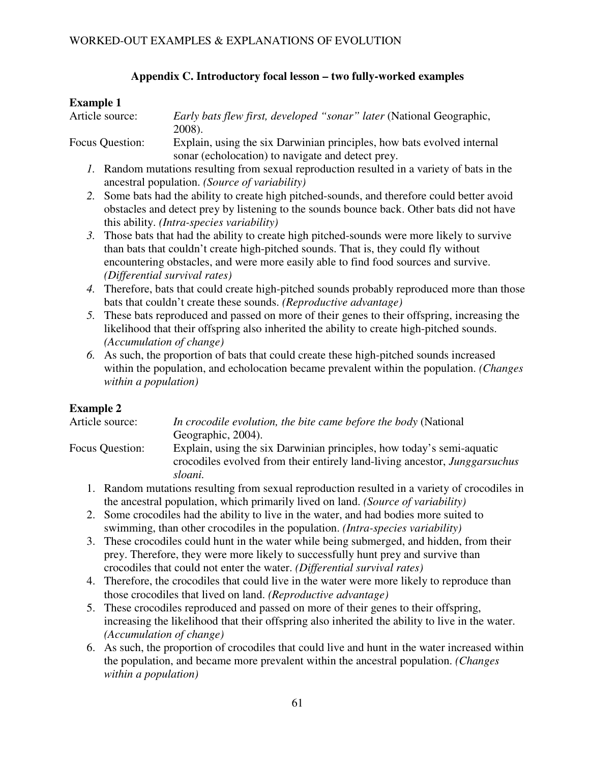## **Appendix C. Introductory focal lesson – two fully-worked examples**

## **Example 1**

Article source: *Early bats flew first, developed "sonar" later* (National Geographic, 2008).

Focus Question: Explain, using the six Darwinian principles, how bats evolved internal sonar (echolocation) to navigate and detect prey.

- *1.* Random mutations resulting from sexual reproduction resulted in a variety of bats in the ancestral population. *(Source of variability)*
- *2.* Some bats had the ability to create high pitched-sounds, and therefore could better avoid obstacles and detect prey by listening to the sounds bounce back. Other bats did not have this ability. *(Intra-species variability)*
- *3.* Those bats that had the ability to create high pitched-sounds were more likely to survive than bats that couldn't create high-pitched sounds. That is, they could fly without encountering obstacles, and were more easily able to find food sources and survive. *(Differential survival rates)*
- *4.* Therefore, bats that could create high-pitched sounds probably reproduced more than those bats that couldn't create these sounds. *(Reproductive advantage)*
- *5.* These bats reproduced and passed on more of their genes to their offspring, increasing the likelihood that their offspring also inherited the ability to create high-pitched sounds. *(Accumulation of change)*
- *6.* As such, the proportion of bats that could create these high-pitched sounds increased within the population, and echolocation became prevalent within the population. *(Changes within a population)*

# **Example 2**

Article source: *In crocodile evolution, the bite came before the body* (National Geographic, 2004).

- Focus Question: Explain, using the six Darwinian principles, how today's semi-aquatic crocodiles evolved from their entirely land-living ancestor, *Junggarsuchus sloani.*
	- 1. Random mutations resulting from sexual reproduction resulted in a variety of crocodiles in the ancestral population, which primarily lived on land. *(Source of variability)*
	- 2. Some crocodiles had the ability to live in the water, and had bodies more suited to swimming, than other crocodiles in the population. *(Intra-species variability)*
	- 3. These crocodiles could hunt in the water while being submerged, and hidden, from their prey. Therefore, they were more likely to successfully hunt prey and survive than crocodiles that could not enter the water. *(Differential survival rates)*
	- 4. Therefore, the crocodiles that could live in the water were more likely to reproduce than those crocodiles that lived on land. *(Reproductive advantage)*
	- 5. These crocodiles reproduced and passed on more of their genes to their offspring, increasing the likelihood that their offspring also inherited the ability to live in the water. *(Accumulation of change)*
	- 6. As such, the proportion of crocodiles that could live and hunt in the water increased within the population, and became more prevalent within the ancestral population. *(Changes within a population)*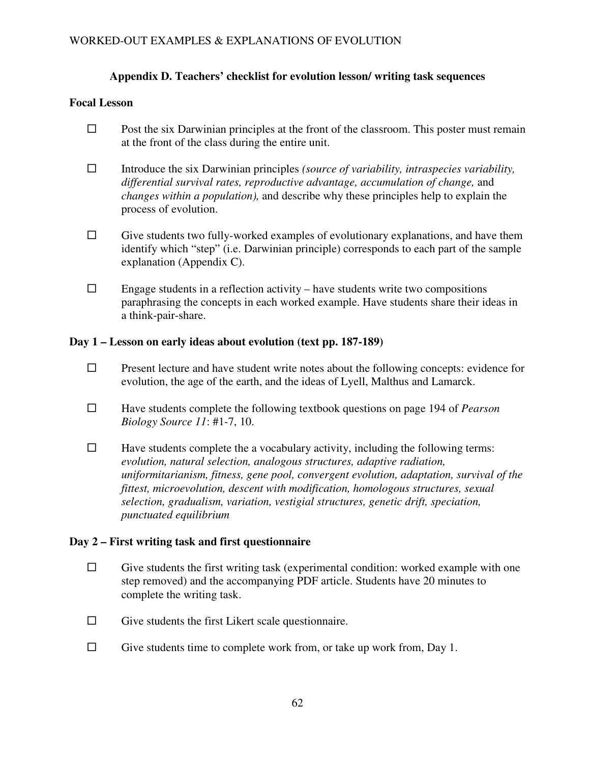## **Appendix D. Teachers' checklist for evolution lesson/ writing task sequences**

## **Focal Lesson**

- $\Box$  Post the six Darwinian principles at the front of the classroom. This poster must remain at the front of the class during the entire unit.
- Introduce the six Darwinian principles *(source of variability, intraspecies variability, differential survival rates, reproductive advantage, accumulation of change,* and *changes within a population),* and describe why these principles help to explain the process of evolution.
- $\Box$  Give students two fully-worked examples of evolutionary explanations, and have them identify which "step" (i.e. Darwinian principle) corresponds to each part of the sample explanation (Appendix C).
- $\Box$  Engage students in a reflection activity have students write two compositions paraphrasing the concepts in each worked example. Have students share their ideas in a think-pair-share.

## **Day 1 – Lesson on early ideas about evolution (text pp. 187-189)**

- $\square$  Present lecture and have student write notes about the following concepts: evidence for evolution, the age of the earth, and the ideas of Lyell, Malthus and Lamarck.
- Have students complete the following textbook questions on page 194 of *Pearson Biology Source 11*: #1-7, 10.
- $\Box$  Have students complete the a vocabulary activity, including the following terms: *evolution, natural selection, analogous structures, adaptive radiation, uniformitarianism, fitness, gene pool, convergent evolution, adaptation, survival of the fittest, microevolution, descent with modification, homologous structures, sexual selection, gradualism, variation, vestigial structures, genetic drift, speciation, punctuated equilibrium*

## **Day 2 – First writing task and first questionnaire**

- $\Box$  Give students the first writing task (experimental condition: worked example with one step removed) and the accompanying PDF article. Students have 20 minutes to complete the writing task.
- $\Box$  Give students the first Likert scale questionnaire.
- $\square$  Give students time to complete work from, or take up work from, Day 1.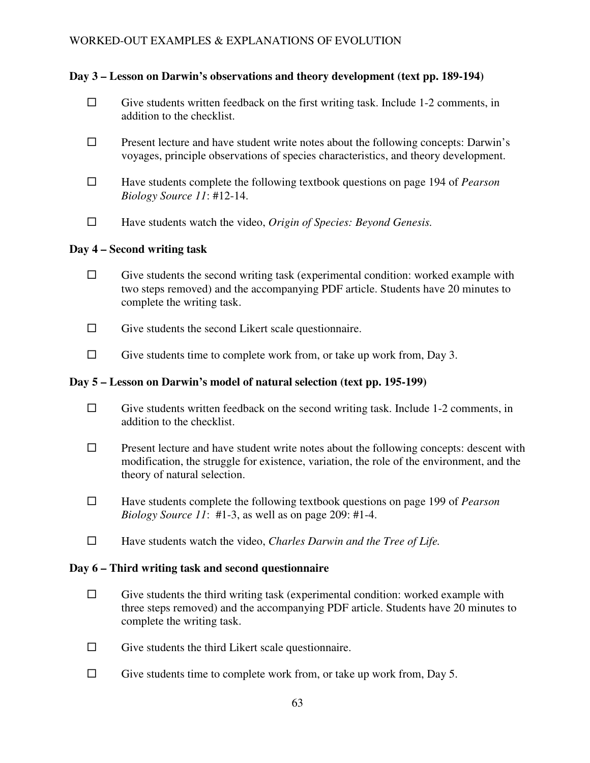## **Day 3 – Lesson on Darwin's observations and theory development (text pp. 189-194)**

- $\Box$  Give students written feedback on the first writing task. Include 1-2 comments, in addition to the checklist.
- $\square$  Present lecture and have student write notes about the following concepts: Darwin's voyages, principle observations of species characteristics, and theory development.
- Have students complete the following textbook questions on page 194 of *Pearson Biology Source 11*: #12-14.
- Have students watch the video, *Origin of Species: Beyond Genesis.*

## **Day 4 – Second writing task**

- $\Box$  Give students the second writing task (experimental condition: worked example with two steps removed) and the accompanying PDF article. Students have 20 minutes to complete the writing task.
- $\Box$  Give students the second Likert scale questionnaire.
- $\Box$  Give students time to complete work from, or take up work from, Day 3.

## **Day 5 – Lesson on Darwin's model of natural selection (text pp. 195-199)**

- $\Box$  Give students written feedback on the second writing task. Include 1-2 comments, in addition to the checklist.
- $\square$  Present lecture and have student write notes about the following concepts: descent with modification, the struggle for existence, variation, the role of the environment, and the theory of natural selection.
- Have students complete the following textbook questions on page 199 of *Pearson Biology Source 11*: #1-3, as well as on page 209: #1-4.
- Have students watch the video, *Charles Darwin and the Tree of Life.*

## **Day 6 – Third writing task and second questionnaire**

- $\Box$  Give students the third writing task (experimental condition: worked example with three steps removed) and the accompanying PDF article. Students have 20 minutes to complete the writing task.
- $\Box$  Give students the third Likert scale questionnaire.
- $\Box$  Give students time to complete work from, or take up work from, Day 5.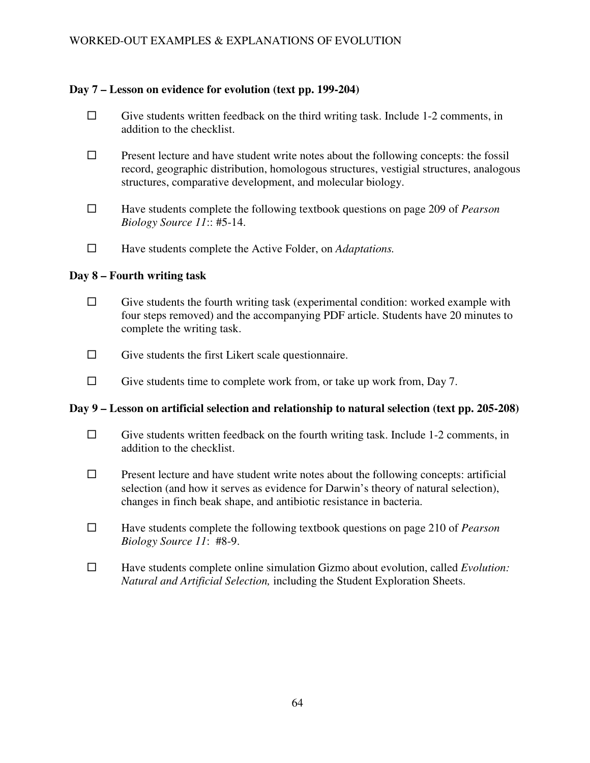## **Day 7 – Lesson on evidence for evolution (text pp. 199-204)**

- $\Box$  Give students written feedback on the third writing task. Include 1-2 comments, in addition to the checklist.
- $\square$  Present lecture and have student write notes about the following concepts: the fossil record, geographic distribution, homologous structures, vestigial structures, analogous structures, comparative development, and molecular biology.
- Have students complete the following textbook questions on page 209 of *Pearson Biology Source 11*:: #5-14.
- Have students complete the Active Folder, on *Adaptations.*

## **Day 8 – Fourth writing task**

- $\square$  Give students the fourth writing task (experimental condition: worked example with four steps removed) and the accompanying PDF article. Students have 20 minutes to complete the writing task.
- $\Box$  Give students the first Likert scale questionnaire.
- $\Box$  Give students time to complete work from, or take up work from, Day 7.

### **Day 9 – Lesson on artificial selection and relationship to natural selection (text pp. 205-208)**

- $\Box$  Give students written feedback on the fourth writing task. Include 1-2 comments, in addition to the checklist.
- $\Box$  Present lecture and have student write notes about the following concepts: artificial selection (and how it serves as evidence for Darwin's theory of natural selection), changes in finch beak shape, and antibiotic resistance in bacteria.
- Have students complete the following textbook questions on page 210 of *Pearson Biology Source 11*: #8-9.
- Have students complete online simulation Gizmo about evolution, called *Evolution: Natural and Artificial Selection,* including the Student Exploration Sheets.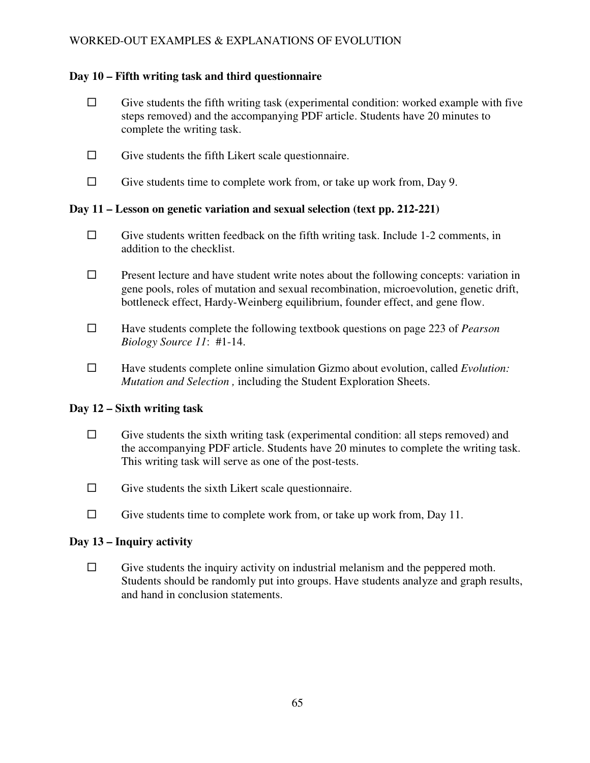## **Day 10 – Fifth writing task and third questionnaire**

- $\Box$  Give students the fifth writing task (experimental condition: worked example with five steps removed) and the accompanying PDF article. Students have 20 minutes to complete the writing task.
- $\Box$  Give students the fifth Likert scale questionnaire.
- $\Box$  Give students time to complete work from, or take up work from, Day 9.

## **Day 11 – Lesson on genetic variation and sexual selection (text pp. 212-221)**

- $\Box$  Give students written feedback on the fifth writing task. Include 1-2 comments, in addition to the checklist.
- $\square$  Present lecture and have student write notes about the following concepts: variation in gene pools, roles of mutation and sexual recombination, microevolution, genetic drift, bottleneck effect, Hardy-Weinberg equilibrium, founder effect, and gene flow.
- Have students complete the following textbook questions on page 223 of *Pearson Biology Source 11*: #1-14.
- Have students complete online simulation Gizmo about evolution, called *Evolution: Mutation and Selection ,* including the Student Exploration Sheets.

### **Day 12 – Sixth writing task**

- $\Box$  Give students the sixth writing task (experimental condition: all steps removed) and the accompanying PDF article. Students have 20 minutes to complete the writing task. This writing task will serve as one of the post-tests.
- $\Box$  Give students the sixth Likert scale questionnaire.
- $\Box$  Give students time to complete work from, or take up work from, Day 11.

### **Day 13 – Inquiry activity**

 $\Box$  Give students the inquiry activity on industrial melanism and the peppered moth. Students should be randomly put into groups. Have students analyze and graph results, and hand in conclusion statements.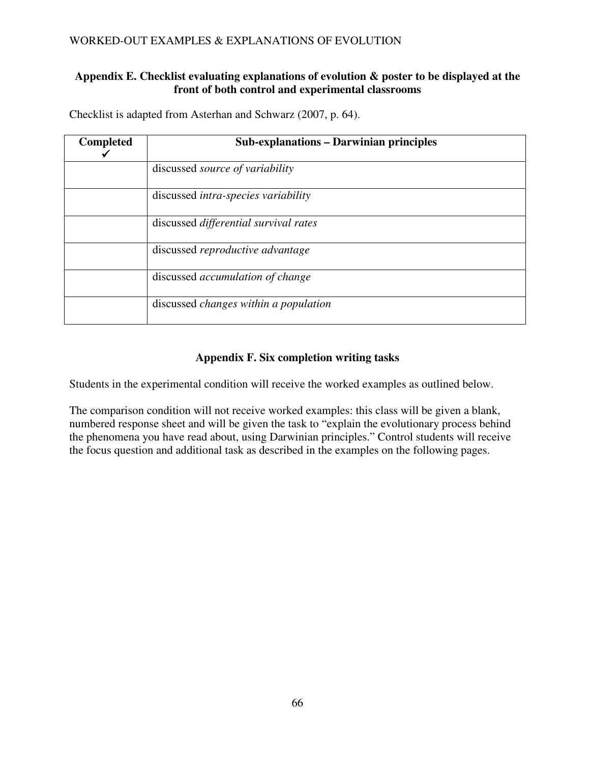## **Appendix E. Checklist evaluating explanations of evolution & poster to be displayed at the front of both control and experimental classrooms**

| Checklist is adapted from Asterhan and Schwarz (2007, p. 64). |  |
|---------------------------------------------------------------|--|
|---------------------------------------------------------------|--|

| <b>Completed</b> | <b>Sub-explanations – Darwinian principles</b> |
|------------------|------------------------------------------------|
|                  | discussed <i>source</i> of <i>variability</i>  |
|                  | discussed <i>intra-species variability</i>     |
|                  | discussed differential survival rates          |
|                  | discussed reproductive advantage               |
|                  | discussed <i>accumulation</i> of change        |
|                  | discussed changes within a population          |

# **Appendix F. Six completion writing tasks**

Students in the experimental condition will receive the worked examples as outlined below.

The comparison condition will not receive worked examples: this class will be given a blank, numbered response sheet and will be given the task to "explain the evolutionary process behind the phenomena you have read about, using Darwinian principles." Control students will receive the focus question and additional task as described in the examples on the following pages.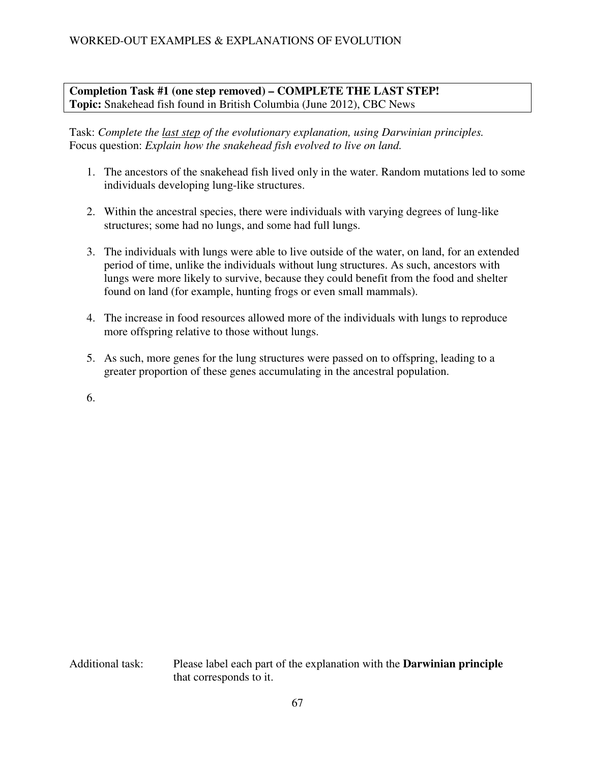# **Completion Task #1 (one step removed) – COMPLETE THE LAST STEP! Topic:** Snakehead fish found in British Columbia (June 2012), CBC News

Task: *Complete the last step of the evolutionary explanation, using Darwinian principles.*  Focus question: *Explain how the snakehead fish evolved to live on land.*

- 1. The ancestors of the snakehead fish lived only in the water. Random mutations led to some individuals developing lung-like structures.
- 2. Within the ancestral species, there were individuals with varying degrees of lung-like structures; some had no lungs, and some had full lungs.
- 3. The individuals with lungs were able to live outside of the water, on land, for an extended period of time, unlike the individuals without lung structures. As such, ancestors with lungs were more likely to survive, because they could benefit from the food and shelter found on land (for example, hunting frogs or even small mammals).
- 4. The increase in food resources allowed more of the individuals with lungs to reproduce more offspring relative to those without lungs.
- 5. As such, more genes for the lung structures were passed on to offspring, leading to a greater proportion of these genes accumulating in the ancestral population.
- 6.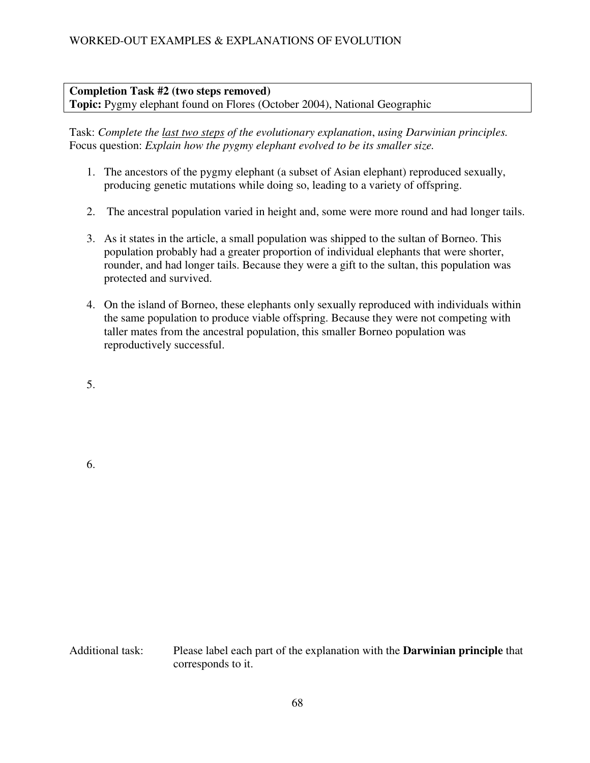## **Completion Task #2 (two steps removed) Topic:** Pygmy elephant found on Flores (October 2004), National Geographic

Task: *Complete the last two steps of the evolutionary explanation*, *using Darwinian principles.*  Focus question: *Explain how the pygmy elephant evolved to be its smaller size.* 

- 1. The ancestors of the pygmy elephant (a subset of Asian elephant) reproduced sexually, producing genetic mutations while doing so, leading to a variety of offspring.
- 2. The ancestral population varied in height and, some were more round and had longer tails.
- 3. As it states in the article, a small population was shipped to the sultan of Borneo. This population probably had a greater proportion of individual elephants that were shorter, rounder, and had longer tails. Because they were a gift to the sultan, this population was protected and survived.
- 4. On the island of Borneo, these elephants only sexually reproduced with individuals within the same population to produce viable offspring. Because they were not competing with taller mates from the ancestral population, this smaller Borneo population was reproductively successful.

5.

6.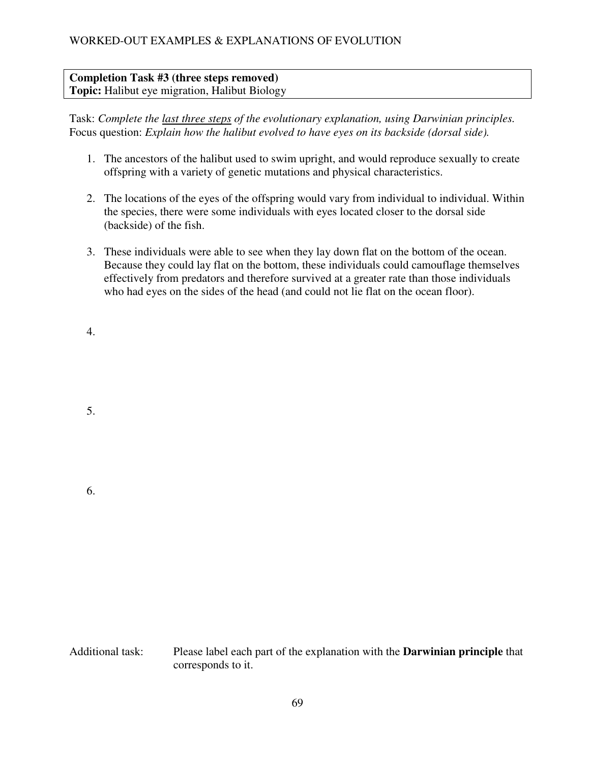# **Completion Task #3 (three steps removed) Topic:** Halibut eye migration, Halibut Biology

Task: *Complete the last three steps of the evolutionary explanation, using Darwinian principles.*  Focus question: *Explain how the halibut evolved to have eyes on its backside (dorsal side).* 

- 1. The ancestors of the halibut used to swim upright, and would reproduce sexually to create offspring with a variety of genetic mutations and physical characteristics.
- 2. The locations of the eyes of the offspring would vary from individual to individual. Within the species, there were some individuals with eyes located closer to the dorsal side (backside) of the fish.
- 3. These individuals were able to see when they lay down flat on the bottom of the ocean. Because they could lay flat on the bottom, these individuals could camouflage themselves effectively from predators and therefore survived at a greater rate than those individuals who had eyes on the sides of the head (and could not lie flat on the ocean floor).

4.

5.

6.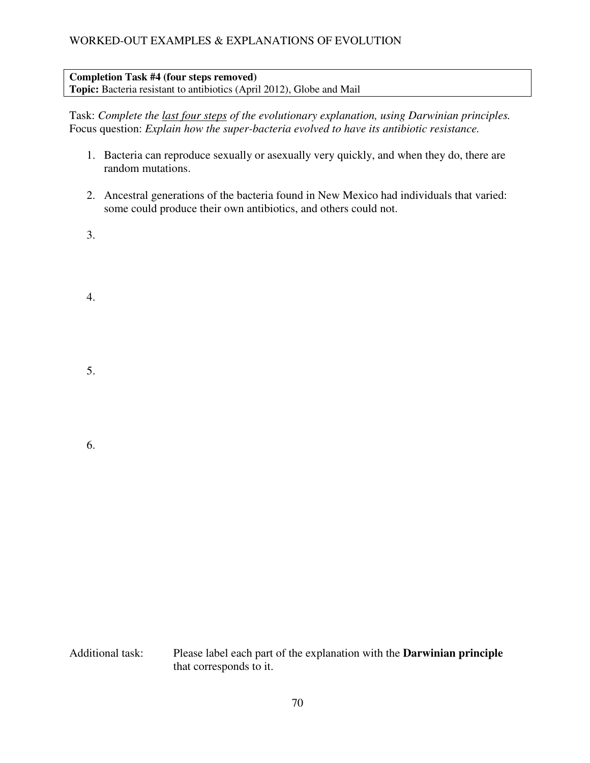#### **Completion Task #4 (four steps removed) Topic:** Bacteria resistant to antibiotics (April 2012), Globe and Mail

Task: *Complete the last four steps of the evolutionary explanation, using Darwinian principles.*  Focus question: *Explain how the super-bacteria evolved to have its antibiotic resistance.* 

- 1. Bacteria can reproduce sexually or asexually very quickly, and when they do, there are random mutations.
- 2. Ancestral generations of the bacteria found in New Mexico had individuals that varied: some could produce their own antibiotics, and others could not.
- 3.

4.

5.

6.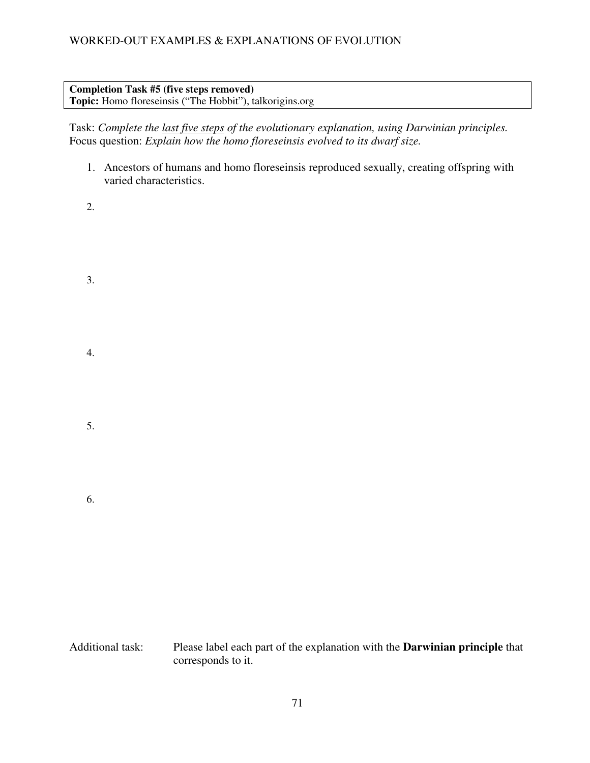# **Completion Task #5 (five steps removed)**

**Topic:** Homo floreseinsis ("The Hobbit"), talkorigins.org

Task: *Complete the last five steps of the evolutionary explanation, using Darwinian principles.*  Focus question: *Explain how the homo floreseinsis evolved to its dwarf size.* 

- 1. Ancestors of humans and homo floreseinsis reproduced sexually, creating offspring with varied characteristics.
- 2.

3.

- 4.
- 
- 5.
- 6.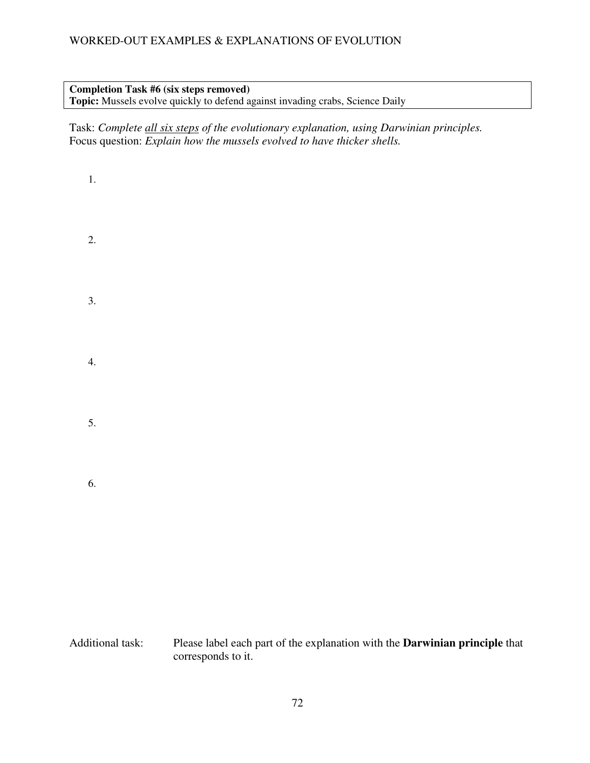# **Completion Task #6 (six steps removed)**

**Topic:** Mussels evolve quickly to defend against invading crabs, Science Daily

Task: *Complete all six steps of the evolutionary explanation, using Darwinian principles.*  Focus question: *Explain how the mussels evolved to have thicker shells.* 

2. 3. 4. 5.

6.

1.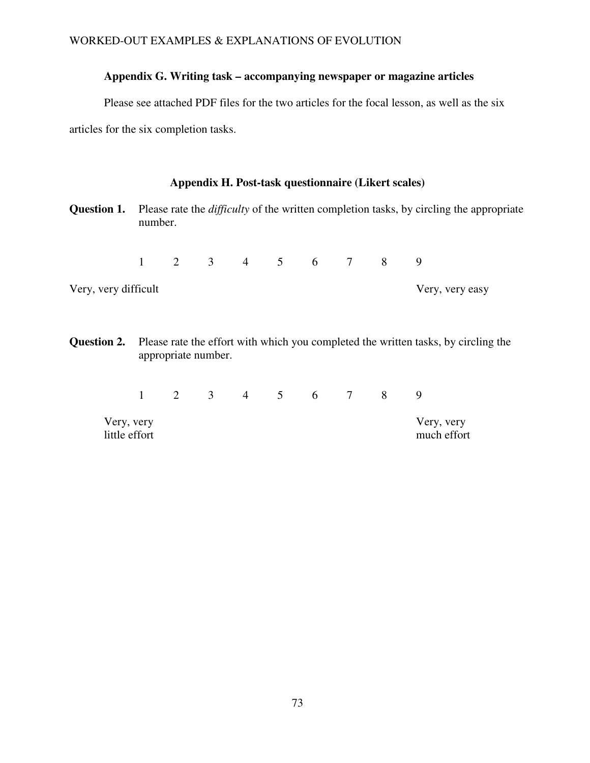## **Appendix G. Writing task – accompanying newspaper or magazine articles**

Please see attached PDF files for the two articles for the focal lesson, as well as the six

articles for the six completion tasks.

### **Appendix H. Post-task questionnaire (Likert scales)**

**Question 1.** Please rate the *difficulty* of the written completion tasks, by circling the appropriate number.

1 2 3 4 5 6 7 8 9

Very, very difficult Very, very easy

**Question 2.** Please rate the effort with which you completed the written tasks, by circling the appropriate number.

1 2 3 4 5 6 7 8 9

Very, very Very, very

much effort